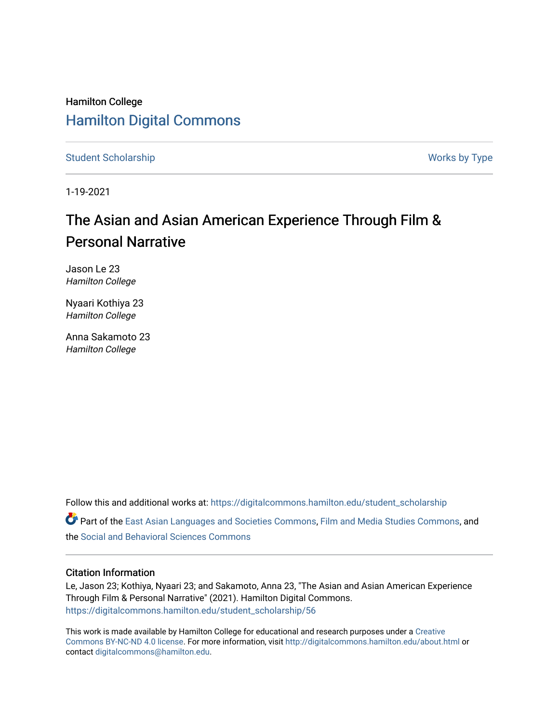## Hamilton College [Hamilton Digital Commons](https://digitalcommons.hamilton.edu/)

[Student Scholarship](https://digitalcommons.hamilton.edu/student_scholarship) Works by Type

1-19-2021

# The Asian and Asian American Experience Through Film & Personal Narrative

Jason Le 23 Hamilton College

Nyaari Kothiya 23 Hamilton College

Anna Sakamoto 23 Hamilton College

Follow this and additional works at: [https://digitalcommons.hamilton.edu/student\\_scholarship](https://digitalcommons.hamilton.edu/student_scholarship?utm_source=digitalcommons.hamilton.edu%2Fstudent_scholarship%2F56&utm_medium=PDF&utm_campaign=PDFCoverPages) 

Part of the [East Asian Languages and Societies Commons,](http://network.bepress.com/hgg/discipline/481?utm_source=digitalcommons.hamilton.edu%2Fstudent_scholarship%2F56&utm_medium=PDF&utm_campaign=PDFCoverPages) [Film and Media Studies Commons,](http://network.bepress.com/hgg/discipline/563?utm_source=digitalcommons.hamilton.edu%2Fstudent_scholarship%2F56&utm_medium=PDF&utm_campaign=PDFCoverPages) and the [Social and Behavioral Sciences Commons](http://network.bepress.com/hgg/discipline/316?utm_source=digitalcommons.hamilton.edu%2Fstudent_scholarship%2F56&utm_medium=PDF&utm_campaign=PDFCoverPages) 

#### Citation Information

Le, Jason 23; Kothiya, Nyaari 23; and Sakamoto, Anna 23, "The Asian and Asian American Experience Through Film & Personal Narrative" (2021). Hamilton Digital Commons. [https://digitalcommons.hamilton.edu/student\\_scholarship/56](https://digitalcommons.hamilton.edu/student_scholarship/56?utm_source=digitalcommons.hamilton.edu%2Fstudent_scholarship%2F56&utm_medium=PDF&utm_campaign=PDFCoverPages)

This work is made available by Hamilton College for educational and research purposes under a [Creative](https://creativecommons.org/licenses/by-nc-nd/4.0/)  [Commons BY-NC-ND 4.0 license.](https://creativecommons.org/licenses/by-nc-nd/4.0/) For more information, visit <http://digitalcommons.hamilton.edu/about.html> or contact [digitalcommons@hamilton.edu.](mailto:digitalcommons@hamilton.edu)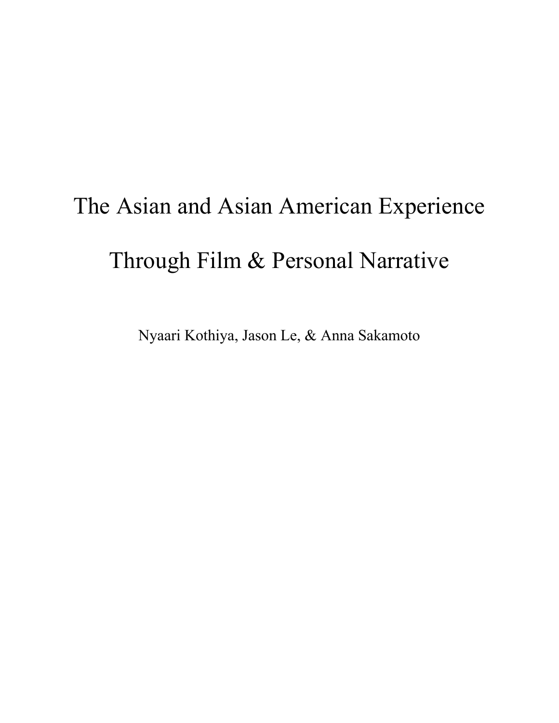# The Asian and Asian American Experience Through Film & Personal Narrative

Nyaari Kothiya, Jason Le, & Anna Sakamoto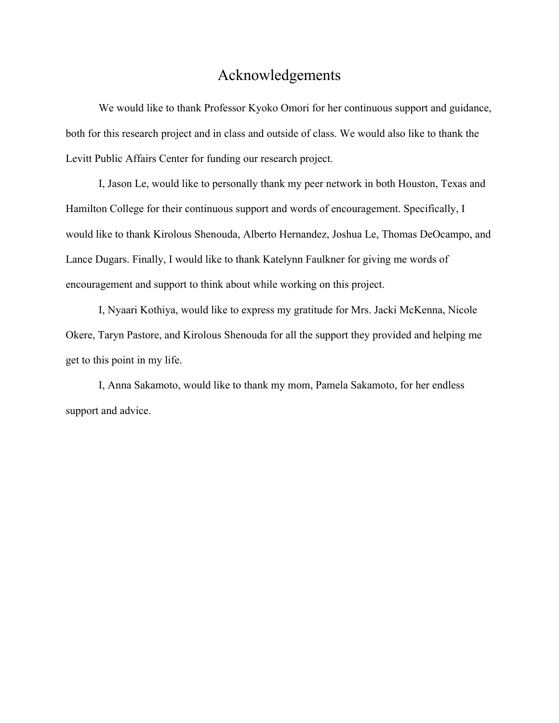### Acknowledgements

We would like to thank Professor Kyoko Omori for her continuous support and guidance, both for this research project and in class and outside of class. We would also like to thank the Levitt Public Affairs Center for funding our research project.

I, Jason Le, would like to personally thank my peer network in both Houston, Texas and Hamilton College for their continuous support and words of encouragement. Specifically, I would like to thank Kirolous Shenouda, Alberto Hernandez, Joshua Le, Thomas DeOcampo, and Lance Dugars. Finally, I would like to thank Katelynn Faulkner for giving me words of encouragement and support to think about while working on this project.

I, Nyaari Kothiya, would like to express my gratitude for Mrs. Jacki McKenna, Nicole Okere, Taryn Pastore, and Kirolous Shenouda for all the support they provided and helping me get to this point in my life.

I, Anna Sakamoto, would like to thank my mom, Pamela Sakamoto, for her endless support and advice.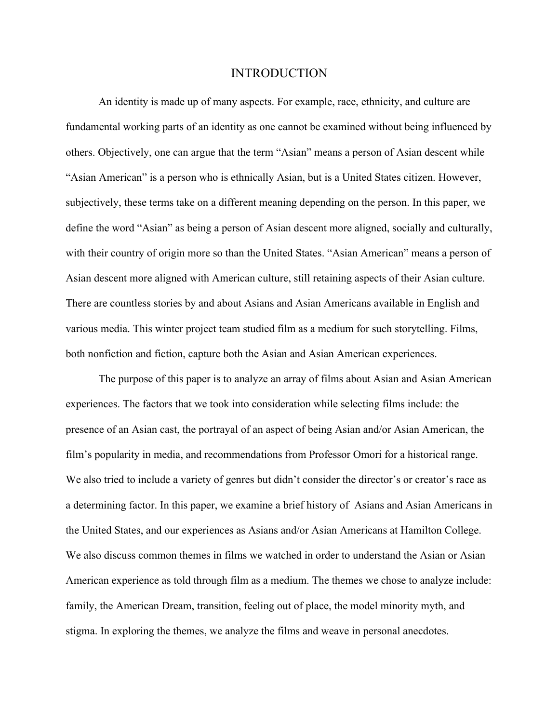#### INTRODUCTION

An identity is made up of many aspects. For example, race, ethnicity, and culture are fundamental working parts of an identity as one cannot be examined without being influenced by others. Objectively, one can argue that the term "Asian" means a person of Asian descent while "Asian American" is a person who is ethnically Asian, but is a United States citizen. However, subjectively, these terms take on a different meaning depending on the person. In this paper, we define the word "Asian" as being a person of Asian descent more aligned, socially and culturally, with their country of origin more so than the United States. "Asian American" means a person of Asian descent more aligned with American culture, still retaining aspects of their Asian culture. There are countless stories by and about Asians and Asian Americans available in English and various media. This winter project team studied film as a medium for such storytelling. Films, both nonfiction and fiction, capture both the Asian and Asian American experiences.

The purpose of this paper is to analyze an array of films about Asian and Asian American experiences. The factors that we took into consideration while selecting films include: the presence of an Asian cast, the portrayal of an aspect of being Asian and/or Asian American, the film's popularity in media, and recommendations from Professor Omori for a historical range. We also tried to include a variety of genres but didn't consider the director's or creator's race as a determining factor. In this paper, we examine a brief history of Asians and Asian Americans in the United States, and our experiences as Asians and/or Asian Americans at Hamilton College. We also discuss common themes in films we watched in order to understand the Asian or Asian American experience as told through film as a medium. The themes we chose to analyze include: family, the American Dream, transition, feeling out of place, the model minority myth, and stigma. In exploring the themes, we analyze the films and weave in personal anecdotes.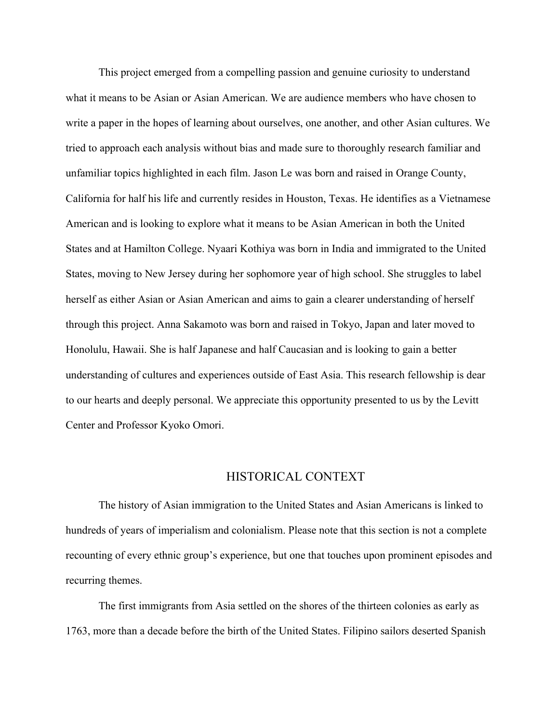This project emerged from a compelling passion and genuine curiosity to understand what it means to be Asian or Asian American. We are audience members who have chosen to write a paper in the hopes of learning about ourselves, one another, and other Asian cultures. We tried to approach each analysis without bias and made sure to thoroughly research familiar and unfamiliar topics highlighted in each film. Jason Le was born and raised in Orange County, California for half his life and currently resides in Houston, Texas. He identifies as a Vietnamese American and is looking to explore what it means to be Asian American in both the United States and at Hamilton College. Nyaari Kothiya was born in India and immigrated to the United States, moving to New Jersey during her sophomore year of high school. She struggles to label herself as either Asian or Asian American and aims to gain a clearer understanding of herself through this project. Anna Sakamoto was born and raised in Tokyo, Japan and later moved to Honolulu, Hawaii. She is half Japanese and half Caucasian and is looking to gain a better understanding of cultures and experiences outside of East Asia. This research fellowship is dear to our hearts and deeply personal. We appreciate this opportunity presented to us by the Levitt Center and Professor Kyoko Omori.

#### HISTORICAL CONTEXT

The history of Asian immigration to the United States and Asian Americans is linked to hundreds of years of imperialism and colonialism. Please note that this section is not a complete recounting of every ethnic group's experience, but one that touches upon prominent episodes and recurring themes.

The first immigrants from Asia settled on the shores of the thirteen colonies as early as 1763, more than a decade before the birth of the United States. Filipino sailors deserted Spanish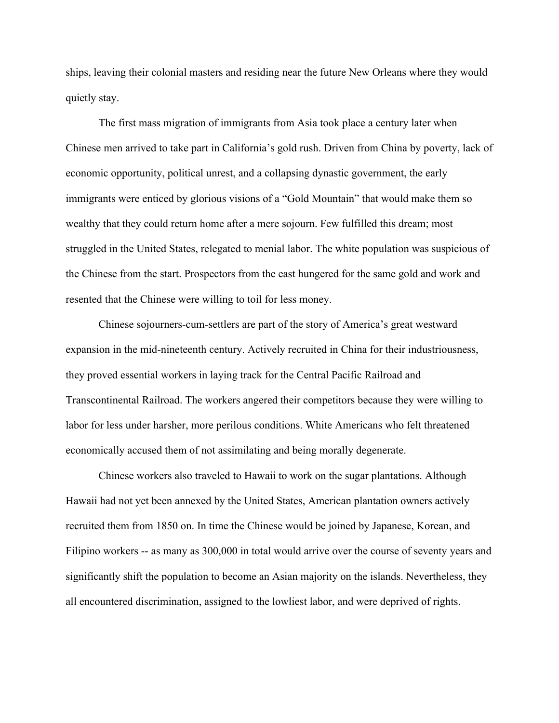ships, leaving their colonial masters and residing near the future New Orleans where they would quietly stay.

The first mass migration of immigrants from Asia took place a century later when Chinese men arrived to take part in California's gold rush. Driven from China by poverty, lack of economic opportunity, political unrest, and a collapsing dynastic government, the early immigrants were enticed by glorious visions of a "Gold Mountain" that would make them so wealthy that they could return home after a mere sojourn. Few fulfilled this dream; most struggled in the United States, relegated to menial labor. The white population was suspicious of the Chinese from the start. Prospectors from the east hungered for the same gold and work and resented that the Chinese were willing to toil for less money.

Chinese sojourners-cum-settlers are part of the story of America's great westward expansion in the mid-nineteenth century. Actively recruited in China for their industriousness, they proved essential workers in laying track for the Central Pacific Railroad and Transcontinental Railroad. The workers angered their competitors because they were willing to labor for less under harsher, more perilous conditions. White Americans who felt threatened economically accused them of not assimilating and being morally degenerate.

Chinese workers also traveled to Hawaii to work on the sugar plantations. Although Hawaii had not yet been annexed by the United States, American plantation owners actively recruited them from 1850 on. In time the Chinese would be joined by Japanese, Korean, and Filipino workers -- as many as 300,000 in total would arrive over the course of seventy years and significantly shift the population to become an Asian majority on the islands. Nevertheless, they all encountered discrimination, assigned to the lowliest labor, and were deprived of rights.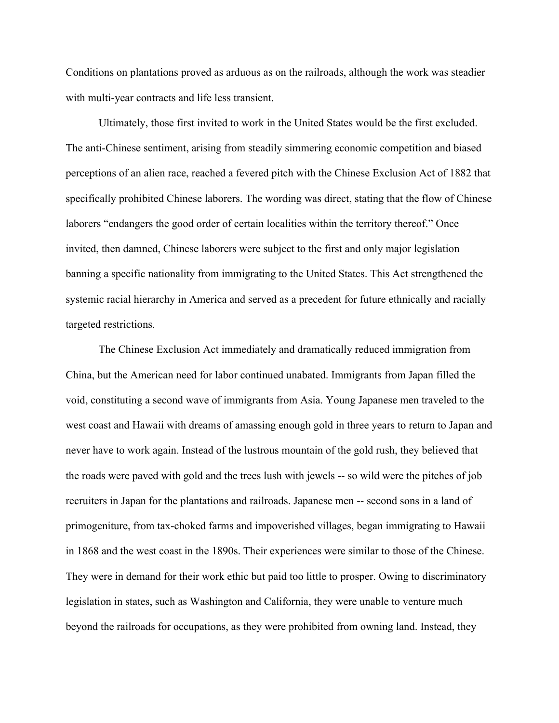Conditions on plantations proved as arduous as on the railroads, although the work was steadier with multi-year contracts and life less transient.

Ultimately, those first invited to work in the United States would be the first excluded. The anti-Chinese sentiment, arising from steadily simmering economic competition and biased perceptions of an alien race, reached a fevered pitch with the Chinese Exclusion Act of 1882 that specifically prohibited Chinese laborers. The wording was direct, stating that the flow of Chinese laborers "endangers the good order of certain localities within the territory thereof." Once invited, then damned, Chinese laborers were subject to the first and only major legislation banning a specific nationality from immigrating to the United States. This Act strengthened the systemic racial hierarchy in America and served as a precedent for future ethnically and racially targeted restrictions.

The Chinese Exclusion Act immediately and dramatically reduced immigration from China, but the American need for labor continued unabated. Immigrants from Japan filled the void, constituting a second wave of immigrants from Asia. Young Japanese men traveled to the west coast and Hawaii with dreams of amassing enough gold in three years to return to Japan and never have to work again. Instead of the lustrous mountain of the gold rush, they believed that the roads were paved with gold and the trees lush with jewels -- so wild were the pitches of job recruiters in Japan for the plantations and railroads. Japanese men -- second sons in a land of primogeniture, from tax-choked farms and impoverished villages, began immigrating to Hawaii in 1868 and the west coast in the 1890s. Their experiences were similar to those of the Chinese. They were in demand for their work ethic but paid too little to prosper. Owing to discriminatory legislation in states, such as Washington and California, they were unable to venture much beyond the railroads for occupations, as they were prohibited from owning land. Instead, they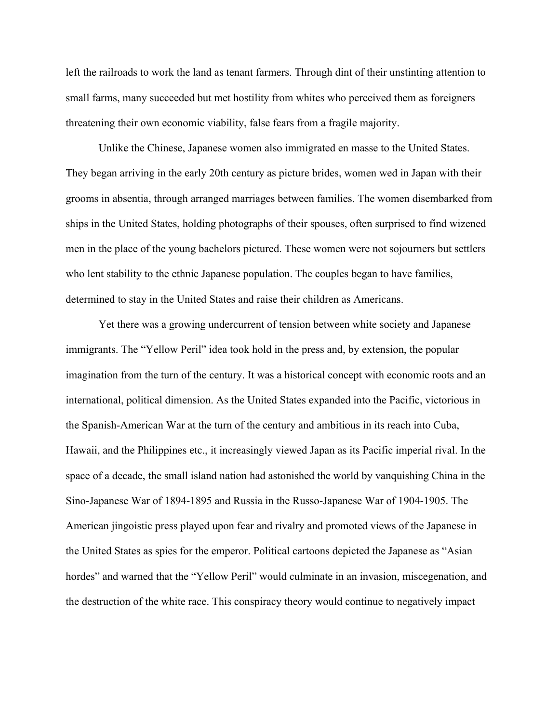left the railroads to work the land as tenant farmers. Through dint of their unstinting attention to small farms, many succeeded but met hostility from whites who perceived them as foreigners threatening their own economic viability, false fears from a fragile majority.

Unlike the Chinese, Japanese women also immigrated en masse to the United States. They began arriving in the early 20th century as picture brides, women wed in Japan with their grooms in absentia, through arranged marriages between families. The women disembarked from ships in the United States, holding photographs of their spouses, often surprised to find wizened men in the place of the young bachelors pictured. These women were not sojourners but settlers who lent stability to the ethnic Japanese population. The couples began to have families, determined to stay in the United States and raise their children as Americans.

Yet there was a growing undercurrent of tension between white society and Japanese immigrants. The "Yellow Peril" idea took hold in the press and, by extension, the popular imagination from the turn of the century. It was a historical concept with economic roots and an international, political dimension. As the United States expanded into the Pacific, victorious in the Spanish-American War at the turn of the century and ambitious in its reach into Cuba, Hawaii, and the Philippines etc., it increasingly viewed Japan as its Pacific imperial rival. In the space of a decade, the small island nation had astonished the world by vanquishing China in the Sino-Japanese War of 1894-1895 and Russia in the Russo-Japanese War of 1904-1905. The American jingoistic press played upon fear and rivalry and promoted views of the Japanese in the United States as spies for the emperor. Political cartoons depicted the Japanese as "Asian hordes" and warned that the "Yellow Peril" would culminate in an invasion, miscegenation, and the destruction of the white race. This conspiracy theory would continue to negatively impact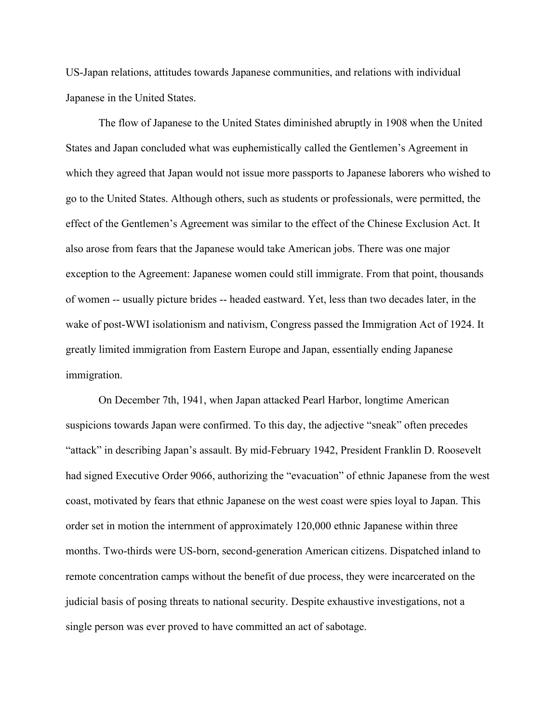US-Japan relations, attitudes towards Japanese communities, and relations with individual Japanese in the United States.

The flow of Japanese to the United States diminished abruptly in 1908 when the United States and Japan concluded what was euphemistically called the Gentlemen's Agreement in which they agreed that Japan would not issue more passports to Japanese laborers who wished to go to the United States. Although others, such as students or professionals, were permitted, the effect of the Gentlemen's Agreement was similar to the effect of the Chinese Exclusion Act. It also arose from fears that the Japanese would take American jobs. There was one major exception to the Agreement: Japanese women could still immigrate. From that point, thousands of women -- usually picture brides -- headed eastward. Yet, less than two decades later, in the wake of post-WWI isolationism and nativism, Congress passed the Immigration Act of 1924. It greatly limited immigration from Eastern Europe and Japan, essentially ending Japanese immigration.

On December 7th, 1941, when Japan attacked Pearl Harbor, longtime American suspicions towards Japan were confirmed. To this day, the adjective "sneak" often precedes "attack" in describing Japan's assault. By mid-February 1942, President Franklin D. Roosevelt had signed Executive Order 9066, authorizing the "evacuation" of ethnic Japanese from the west coast, motivated by fears that ethnic Japanese on the west coast were spies loyal to Japan. This order set in motion the internment of approximately 120,000 ethnic Japanese within three months. Two-thirds were US-born, second-generation American citizens. Dispatched inland to remote concentration camps without the benefit of due process, they were incarcerated on the judicial basis of posing threats to national security. Despite exhaustive investigations, not a single person was ever proved to have committed an act of sabotage.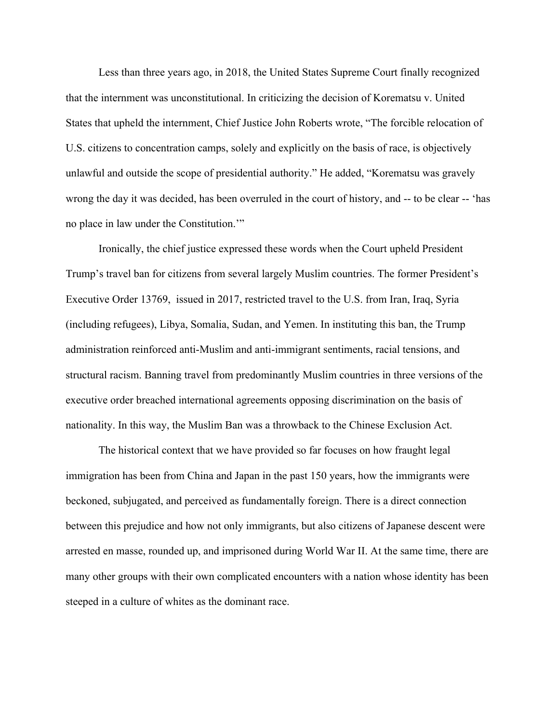Less than three years ago, in 2018, the United States Supreme Court finally recognized that the internment was unconstitutional. In criticizing the decision of Korematsu v. United States that upheld the internment, Chief Justice John Roberts wrote, "The forcible relocation of U.S. citizens to concentration camps, solely and explicitly on the basis of race, is objectively unlawful and outside the scope of presidential authority." He added, "Korematsu was gravely wrong the day it was decided, has been overruled in the court of history, and -- to be clear -- 'has no place in law under the Constitution.'"

Ironically, the chief justice expressed these words when the Court upheld President Trump's travel ban for citizens from several largely Muslim countries. The former President's Executive Order 13769, issued in 2017, restricted travel to the U.S. from Iran, Iraq, Syria (including refugees), Libya, Somalia, Sudan, and Yemen. In instituting this ban, the Trump administration reinforced anti-Muslim and anti-immigrant sentiments, racial tensions, and structural racism. Banning travel from predominantly Muslim countries in three versions of the executive order breached international agreements opposing discrimination on the basis of nationality. In this way, the Muslim Ban was a throwback to the Chinese Exclusion Act.

The historical context that we have provided so far focuses on how fraught legal immigration has been from China and Japan in the past 150 years, how the immigrants were beckoned, subjugated, and perceived as fundamentally foreign. There is a direct connection between this prejudice and how not only immigrants, but also citizens of Japanese descent were arrested en masse, rounded up, and imprisoned during World War II. At the same time, there are many other groups with their own complicated encounters with a nation whose identity has been steeped in a culture of whites as the dominant race.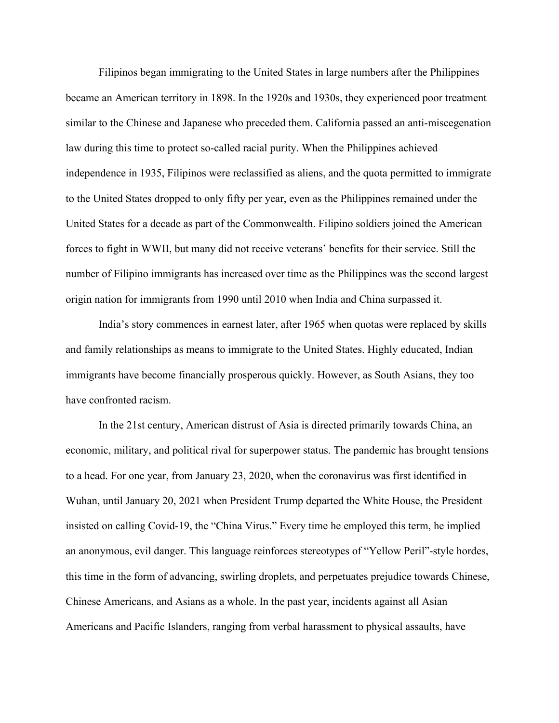Filipinos began immigrating to the United States in large numbers after the Philippines became an American territory in 1898. In the 1920s and 1930s, they experienced poor treatment similar to the Chinese and Japanese who preceded them. California passed an anti-miscegenation law during this time to protect so-called racial purity. When the Philippines achieved independence in 1935, Filipinos were reclassified as aliens, and the quota permitted to immigrate to the United States dropped to only fifty per year, even as the Philippines remained under the United States for a decade as part of the Commonwealth. Filipino soldiers joined the American forces to fight in WWII, but many did not receive veterans' benefits for their service. Still the number of Filipino immigrants has increased over time as the Philippines was the second largest origin nation for immigrants from 1990 until 2010 when India and China surpassed it.

India's story commences in earnest later, after 1965 when quotas were replaced by skills and family relationships as means to immigrate to the United States. Highly educated, Indian immigrants have become financially prosperous quickly. However, as South Asians, they too have confronted racism.

In the 21st century, American distrust of Asia is directed primarily towards China, an economic, military, and political rival for superpower status. The pandemic has brought tensions to a head. For one year, from January 23, 2020, when the coronavirus was first identified in Wuhan, until January 20, 2021 when President Trump departed the White House, the President insisted on calling Covid-19, the "China Virus." Every time he employed this term, he implied an anonymous, evil danger. This language reinforces stereotypes of "Yellow Peril"-style hordes, this time in the form of advancing, swirling droplets, and perpetuates prejudice towards Chinese, Chinese Americans, and Asians as a whole. In the past year, incidents against all Asian Americans and Pacific Islanders, ranging from verbal harassment to physical assaults, have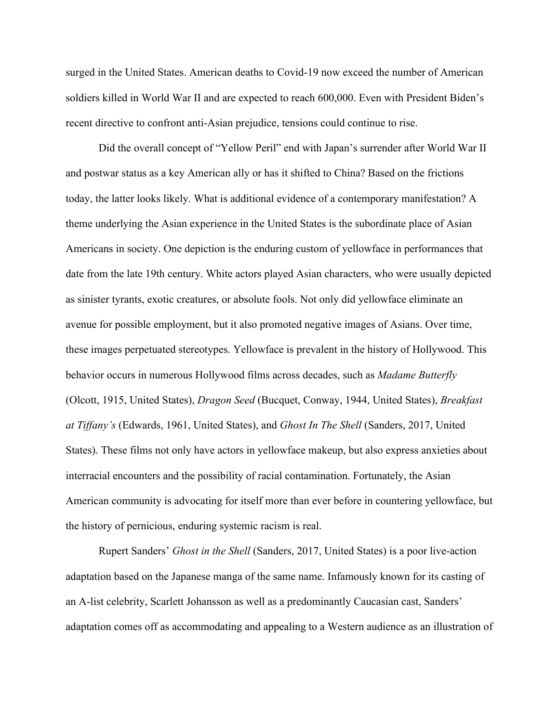surged in the United States. American deaths to Covid-19 now exceed the number of American soldiers killed in World War II and are expected to reach 600,000. Even with President Biden's recent directive to confront anti-Asian prejudice, tensions could continue to rise.

Did the overall concept of "Yellow Peril" end with Japan's surrender after World War II and postwar status as a key American ally or has it shifted to China? Based on the frictions today, the latter looks likely. What is additional evidence of a contemporary manifestation? A theme underlying the Asian experience in the United States is the subordinate place of Asian Americans in society. One depiction is the enduring custom of yellowface in performances that date from the late 19th century. White actors played Asian characters, who were usually depicted as sinister tyrants, exotic creatures, or absolute fools. Not only did yellowface eliminate an avenue for possible employment, but it also promoted negative images of Asians. Over time, these images perpetuated stereotypes. Yellowface is prevalent in the history of Hollywood. This behavior occurs in numerous Hollywood films across decades, such as *Madame Butterfly* (Olcott, 1915, United States), *Dragon Seed* (Bucquet, Conway, 1944, United States), *Breakfast at Tiffany's* (Edwards, 1961, United States), and *Ghost In The Shell* (Sanders, 2017, United States). These films not only have actors in yellowface makeup, but also express anxieties about interracial encounters and the possibility of racial contamination. Fortunately, the Asian American community is advocating for itself more than ever before in countering yellowface, but the history of pernicious, enduring systemic racism is real.

Rupert Sanders' *Ghost in the Shell* (Sanders, 2017, United States) is a poor live-action adaptation based on the Japanese manga of the same name. Infamously known for its casting of an A-list celebrity, Scarlett Johansson as well as a predominantly Caucasian cast, Sanders' adaptation comes off as accommodating and appealing to a Western audience as an illustration of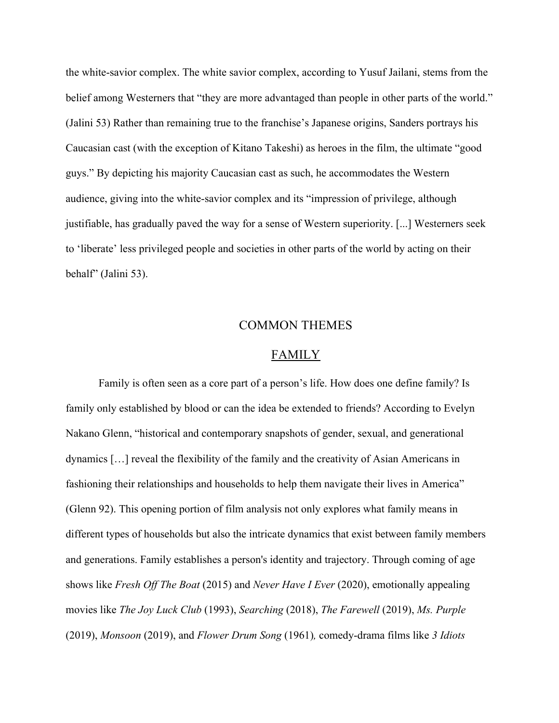the white-savior complex. The white savior complex, according to Yusuf Jailani, stems from the belief among Westerners that "they are more advantaged than people in other parts of the world." (Jalini 53) Rather than remaining true to the franchise's Japanese origins, Sanders portrays his Caucasian cast (with the exception of Kitano Takeshi) as heroes in the film, the ultimate "good guys." By depicting his majority Caucasian cast as such, he accommodates the Western audience, giving into the white-savior complex and its "impression of privilege, although justifiable, has gradually paved the way for a sense of Western superiority. [...] Westerners seek to 'liberate' less privileged people and societies in other parts of the world by acting on their behalf" (Jalini 53).

#### COMMON THEMES

#### FAMILY

Family is often seen as a core part of a person's life. How does one define family? Is family only established by blood or can the idea be extended to friends? According to Evelyn Nakano Glenn, "historical and contemporary snapshots of gender, sexual, and generational dynamics […] reveal the flexibility of the family and the creativity of Asian Americans in fashioning their relationships and households to help them navigate their lives in America" (Glenn 92). This opening portion of film analysis not only explores what family means in different types of households but also the intricate dynamics that exist between family members and generations. Family establishes a person's identity and trajectory. Through coming of age shows like *Fresh Off The Boat* (2015) and *Never Have I Ever* (2020), emotionally appealing movies like *The Joy Luck Club* (1993), *Searching* (2018), *The Farewell* (2019), *Ms. Purple* (2019), *Monsoon* (2019), and *Flower Drum Song* (1961)*,* comedy-drama films like *3 Idiots*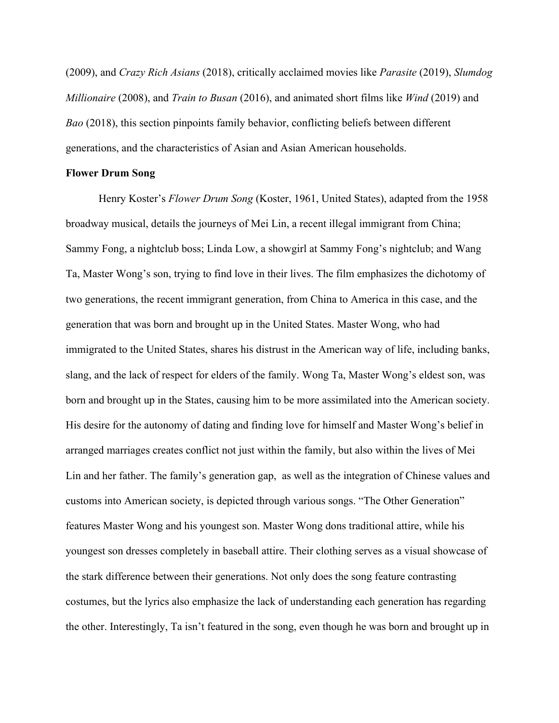(2009), and *Crazy Rich Asians* (2018), critically acclaimed movies like *Parasite* (2019), *Slumdog Millionaire* (2008), and *Train to Busan* (2016), and animated short films like *Wind* (2019) and *Bao* (2018), this section pinpoints family behavior, conflicting beliefs between different generations, and the characteristics of Asian and Asian American households.

#### **Flower Drum Song**

Henry Koster's *Flower Drum Song* (Koster, 1961, United States), adapted from the 1958 broadway musical, details the journeys of Mei Lin, a recent illegal immigrant from China; Sammy Fong, a nightclub boss; Linda Low, a showgirl at Sammy Fong's nightclub; and Wang Ta, Master Wong's son, trying to find love in their lives. The film emphasizes the dichotomy of two generations, the recent immigrant generation, from China to America in this case, and the generation that was born and brought up in the United States. Master Wong, who had immigrated to the United States, shares his distrust in the American way of life, including banks, slang, and the lack of respect for elders of the family. Wong Ta, Master Wong's eldest son, was born and brought up in the States, causing him to be more assimilated into the American society. His desire for the autonomy of dating and finding love for himself and Master Wong's belief in arranged marriages creates conflict not just within the family, but also within the lives of Mei Lin and her father. The family's generation gap, as well as the integration of Chinese values and customs into American society, is depicted through various songs. "The Other Generation" features Master Wong and his youngest son. Master Wong dons traditional attire, while his youngest son dresses completely in baseball attire. Their clothing serves as a visual showcase of the stark difference between their generations. Not only does the song feature contrasting costumes, but the lyrics also emphasize the lack of understanding each generation has regarding the other. Interestingly, Ta isn't featured in the song, even though he was born and brought up in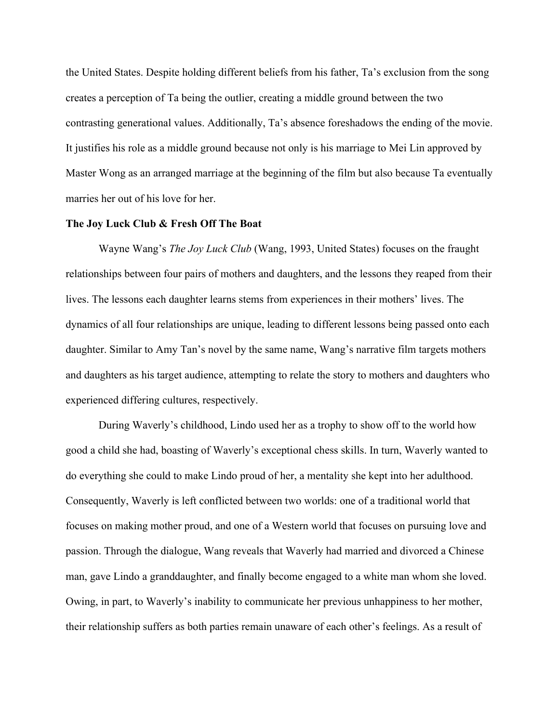the United States. Despite holding different beliefs from his father, Ta's exclusion from the song creates a perception of Ta being the outlier, creating a middle ground between the two contrasting generational values. Additionally, Ta's absence foreshadows the ending of the movie. It justifies his role as a middle ground because not only is his marriage to Mei Lin approved by Master Wong as an arranged marriage at the beginning of the film but also because Ta eventually marries her out of his love for her.

#### **The Joy Luck Club & Fresh Off The Boat**

Wayne Wang's *The Joy Luck Club* (Wang, 1993, United States) focuses on the fraught relationships between four pairs of mothers and daughters, and the lessons they reaped from their lives. The lessons each daughter learns stems from experiences in their mothers' lives. The dynamics of all four relationships are unique, leading to different lessons being passed onto each daughter. Similar to Amy Tan's novel by the same name, Wang's narrative film targets mothers and daughters as his target audience, attempting to relate the story to mothers and daughters who experienced differing cultures, respectively.

During Waverly's childhood, Lindo used her as a trophy to show off to the world how good a child she had, boasting of Waverly's exceptional chess skills. In turn, Waverly wanted to do everything she could to make Lindo proud of her, a mentality she kept into her adulthood. Consequently, Waverly is left conflicted between two worlds: one of a traditional world that focuses on making mother proud, and one of a Western world that focuses on pursuing love and passion. Through the dialogue, Wang reveals that Waverly had married and divorced a Chinese man, gave Lindo a granddaughter, and finally become engaged to a white man whom she loved. Owing, in part, to Waverly's inability to communicate her previous unhappiness to her mother, their relationship suffers as both parties remain unaware of each other's feelings. As a result of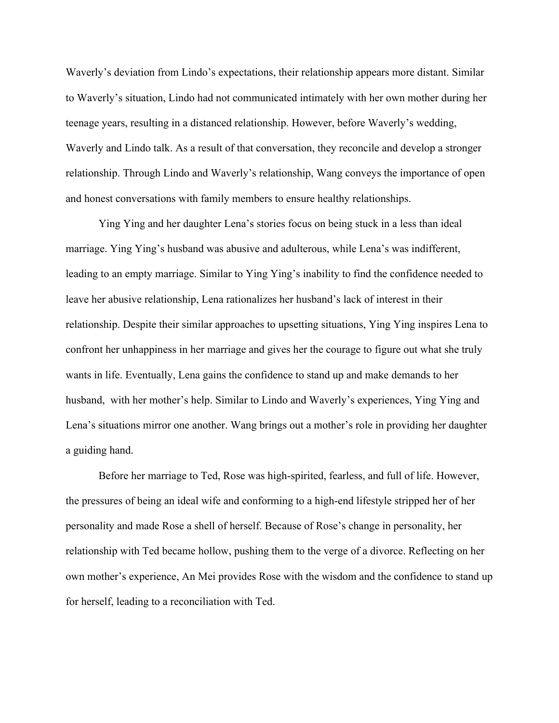Waverly's deviation from Lindo's expectations, their relationship appears more distant. Similar to Waverly's situation, Lindo had not communicated intimately with her own mother during her teenage years, resulting in a distanced relationship. However, before Waverly's wedding, Waverly and Lindo talk. As a result of that conversation, they reconcile and develop a stronger relationship. Through Lindo and Waverly's relationship, Wang conveys the importance of open and honest conversations with family members to ensure healthy relationships.

Ying Ying and her daughter Lena's stories focus on being stuck in a less than ideal marriage. Ying Ying's husband was abusive and adulterous, while Lena's was indifferent, leading to an empty marriage. Similar to Ying Ying's inability to find the confidence needed to leave her abusive relationship, Lena rationalizes her husband's lack of interest in their relationship. Despite their similar approaches to upsetting situations, Ying Ying inspires Lena to confront her unhappiness in her marriage and gives her the courage to figure out what she truly wants in life. Eventually, Lena gains the confidence to stand up and make demands to her husband, with her mother's help. Similar to Lindo and Waverly's experiences, Ying Ying and Lena's situations mirror one another. Wang brings out a mother's role in providing her daughter a guiding hand.

Before her marriage to Ted, Rose was high-spirited, fearless, and full of life. However, the pressures of being an ideal wife and conforming to a high-end lifestyle stripped her of her personality and made Rose a shell of herself. Because of Rose's change in personality, her relationship with Ted became hollow, pushing them to the verge of a divorce. Reflecting on her own mother's experience, An Mei provides Rose with the wisdom and the confidence to stand up for herself, leading to a reconciliation with Ted.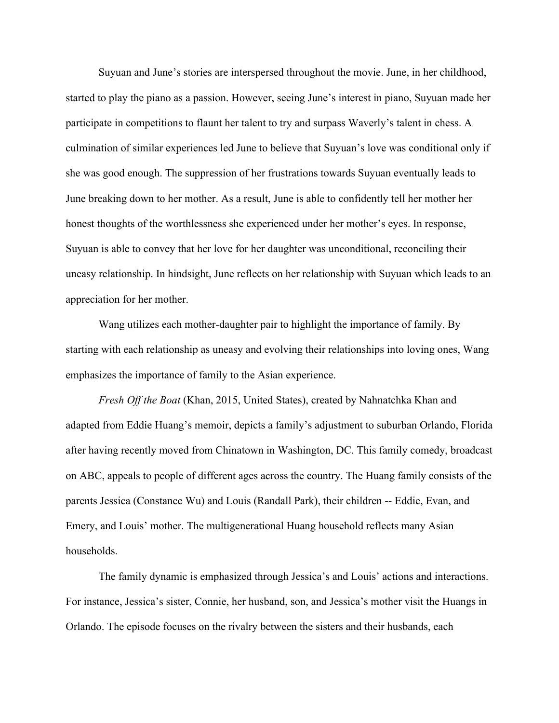Suyuan and June's stories are interspersed throughout the movie. June, in her childhood, started to play the piano as a passion. However, seeing June's interest in piano, Suyuan made her participate in competitions to flaunt her talent to try and surpass Waverly's talent in chess. A culmination of similar experiences led June to believe that Suyuan's love was conditional only if she was good enough. The suppression of her frustrations towards Suyuan eventually leads to June breaking down to her mother. As a result, June is able to confidently tell her mother her honest thoughts of the worthlessness she experienced under her mother's eyes. In response, Suyuan is able to convey that her love for her daughter was unconditional, reconciling their uneasy relationship. In hindsight, June reflects on her relationship with Suyuan which leads to an appreciation for her mother.

Wang utilizes each mother-daughter pair to highlight the importance of family. By starting with each relationship as uneasy and evolving their relationships into loving ones, Wang emphasizes the importance of family to the Asian experience.

*Fresh Off the Boat* (Khan, 2015, United States), created by Nahnatchka Khan and adapted from Eddie Huang's memoir, depicts a family's adjustment to suburban Orlando, Florida after having recently moved from Chinatown in Washington, DC. This family comedy, broadcast on ABC, appeals to people of different ages across the country. The Huang family consists of the parents Jessica (Constance Wu) and Louis (Randall Park), their children -- Eddie, Evan, and Emery, and Louis' mother. The multigenerational Huang household reflects many Asian households.

The family dynamic is emphasized through Jessica's and Louis' actions and interactions. For instance, Jessica's sister, Connie, her husband, son, and Jessica's mother visit the Huangs in Orlando. The episode focuses on the rivalry between the sisters and their husbands, each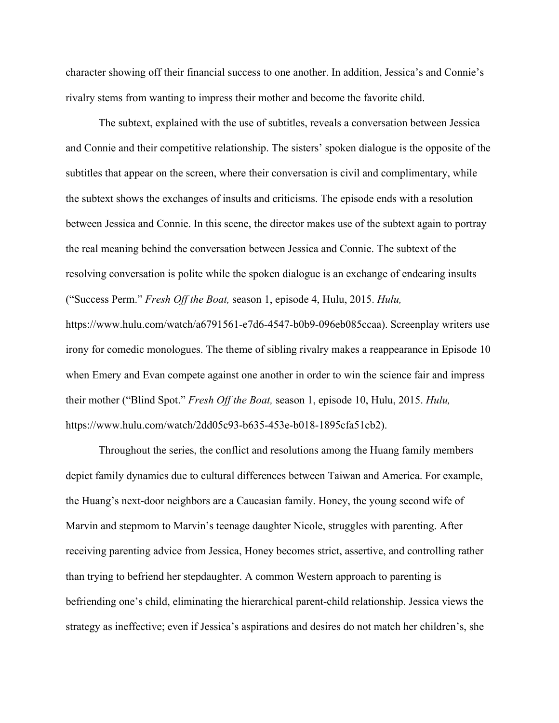character showing off their financial success to one another. In addition, Jessica's and Connie's rivalry stems from wanting to impress their mother and become the favorite child.

The subtext, explained with the use of subtitles, reveals a conversation between Jessica and Connie and their competitive relationship. The sisters' spoken dialogue is the opposite of the subtitles that appear on the screen, where their conversation is civil and complimentary, while the subtext shows the exchanges of insults and criticisms. The episode ends with a resolution between Jessica and Connie. In this scene, the director makes use of the subtext again to portray the real meaning behind the conversation between Jessica and Connie. The subtext of the resolving conversation is polite while the spoken dialogue is an exchange of endearing insults ("Success Perm." *Fresh Off the Boat,* season 1, episode 4, Hulu, 2015. *Hulu,* https://www.hulu.com/watch/a6791561-e7d6-4547-b0b9-096eb085ccaa). Screenplay writers use irony for comedic monologues. The theme of sibling rivalry makes a reappearance in Episode 10 when Emery and Evan compete against one another in order to win the science fair and impress their mother ("Blind Spot." *Fresh Off the Boat,* season 1, episode 10, Hulu, 2015. *Hulu,* https://www.hulu.com/watch/2dd05c93-b635-453e-b018-1895cfa51cb2).

Throughout the series, the conflict and resolutions among the Huang family members depict family dynamics due to cultural differences between Taiwan and America. For example, the Huang's next-door neighbors are a Caucasian family. Honey, the young second wife of Marvin and stepmom to Marvin's teenage daughter Nicole, struggles with parenting. After receiving parenting advice from Jessica, Honey becomes strict, assertive, and controlling rather than trying to befriend her stepdaughter. A common Western approach to parenting is befriending one's child, eliminating the hierarchical parent-child relationship. Jessica views the strategy as ineffective; even if Jessica's aspirations and desires do not match her children's, she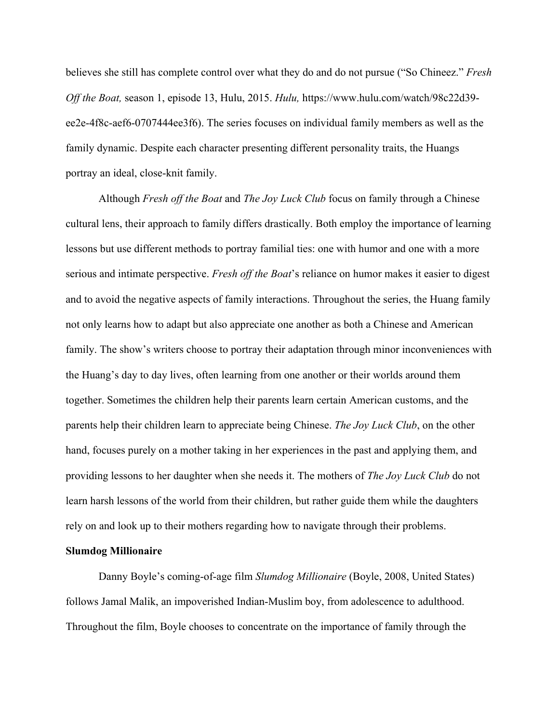believes she still has complete control over what they do and do not pursue ("So Chineez." *Fresh Off the Boat,* season 1, episode 13, Hulu, 2015. *Hulu,* https://www.hulu.com/watch/98c22d39 ee2e-4f8c-aef6-0707444ee3f6). The series focuses on individual family members as well as the family dynamic. Despite each character presenting different personality traits, the Huangs portray an ideal, close-knit family.

Although *Fresh off the Boat* and *The Joy Luck Club* focus on family through a Chinese cultural lens, their approach to family differs drastically. Both employ the importance of learning lessons but use different methods to portray familial ties: one with humor and one with a more serious and intimate perspective. *Fresh off the Boat*'s reliance on humor makes it easier to digest and to avoid the negative aspects of family interactions. Throughout the series, the Huang family not only learns how to adapt but also appreciate one another as both a Chinese and American family. The show's writers choose to portray their adaptation through minor inconveniences with the Huang's day to day lives, often learning from one another or their worlds around them together. Sometimes the children help their parents learn certain American customs, and the parents help their children learn to appreciate being Chinese. *The Joy Luck Club*, on the other hand, focuses purely on a mother taking in her experiences in the past and applying them, and providing lessons to her daughter when she needs it. The mothers of *The Joy Luck Club* do not learn harsh lessons of the world from their children, but rather guide them while the daughters rely on and look up to their mothers regarding how to navigate through their problems.

#### **Slumdog Millionaire**

Danny Boyle's coming-of-age film *Slumdog Millionaire* (Boyle, 2008, United States) follows Jamal Malik, an impoverished Indian-Muslim boy, from adolescence to adulthood. Throughout the film, Boyle chooses to concentrate on the importance of family through the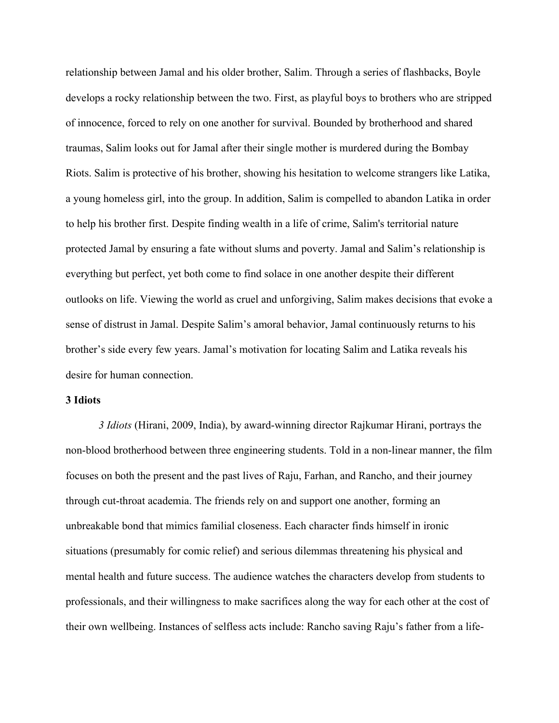relationship between Jamal and his older brother, Salim. Through a series of flashbacks, Boyle develops a rocky relationship between the two. First, as playful boys to brothers who are stripped of innocence, forced to rely on one another for survival. Bounded by brotherhood and shared traumas, Salim looks out for Jamal after their single mother is murdered during the Bombay Riots. Salim is protective of his brother, showing his hesitation to welcome strangers like Latika, a young homeless girl, into the group. In addition, Salim is compelled to abandon Latika in order to help his brother first. Despite finding wealth in a life of crime, Salim's territorial nature protected Jamal by ensuring a fate without slums and poverty. Jamal and Salim's relationship is everything but perfect, yet both come to find solace in one another despite their different outlooks on life. Viewing the world as cruel and unforgiving, Salim makes decisions that evoke a sense of distrust in Jamal. Despite Salim's amoral behavior, Jamal continuously returns to his brother's side every few years. Jamal's motivation for locating Salim and Latika reveals his desire for human connection.

#### **3 Idiots**

*3 Idiots* (Hirani, 2009, India), by award-winning director Rajkumar Hirani, portrays the non-blood brotherhood between three engineering students. Told in a non-linear manner, the film focuses on both the present and the past lives of Raju, Farhan, and Rancho, and their journey through cut-throat academia. The friends rely on and support one another, forming an unbreakable bond that mimics familial closeness. Each character finds himself in ironic situations (presumably for comic relief) and serious dilemmas threatening his physical and mental health and future success. The audience watches the characters develop from students to professionals, and their willingness to make sacrifices along the way for each other at the cost of their own wellbeing. Instances of selfless acts include: Rancho saving Raju's father from a life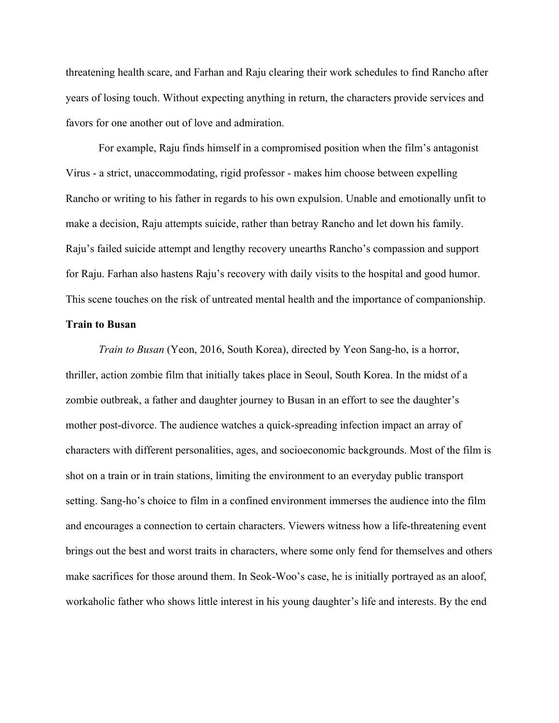threatening health scare, and Farhan and Raju clearing their work schedules to find Rancho after years of losing touch. Without expecting anything in return, the characters provide services and favors for one another out of love and admiration.

For example, Raju finds himself in a compromised position when the film's antagonist Virus - a strict, unaccommodating, rigid professor - makes him choose between expelling Rancho or writing to his father in regards to his own expulsion. Unable and emotionally unfit to make a decision, Raju attempts suicide, rather than betray Rancho and let down his family. Raju's failed suicide attempt and lengthy recovery unearths Rancho's compassion and support for Raju. Farhan also hastens Raju's recovery with daily visits to the hospital and good humor. This scene touches on the risk of untreated mental health and the importance of companionship.

#### **Train to Busan**

*Train to Busan* (Yeon, 2016, South Korea), directed by Yeon Sang-ho, is a horror, thriller, action zombie film that initially takes place in Seoul, South Korea. In the midst of a zombie outbreak, a father and daughter journey to Busan in an effort to see the daughter's mother post-divorce. The audience watches a quick-spreading infection impact an array of characters with different personalities, ages, and socioeconomic backgrounds. Most of the film is shot on a train or in train stations, limiting the environment to an everyday public transport setting. Sang-ho's choice to film in a confined environment immerses the audience into the film and encourages a connection to certain characters. Viewers witness how a life-threatening event brings out the best and worst traits in characters, where some only fend for themselves and others make sacrifices for those around them. In Seok-Woo's case, he is initially portrayed as an aloof, workaholic father who shows little interest in his young daughter's life and interests. By the end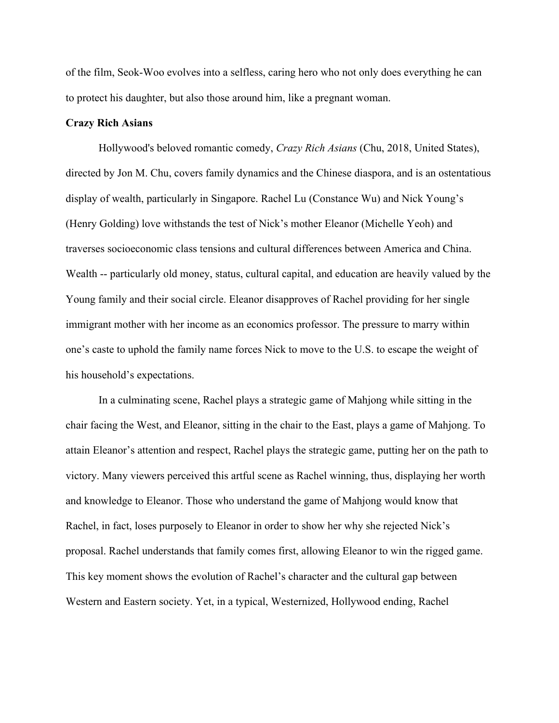of the film, Seok-Woo evolves into a selfless, caring hero who not only does everything he can to protect his daughter, but also those around him, like a pregnant woman.

#### **Crazy Rich Asians**

Hollywood's beloved romantic comedy, *Crazy Rich Asians* (Chu, 2018, United States), directed by Jon M. Chu, covers family dynamics and the Chinese diaspora, and is an ostentatious display of wealth, particularly in Singapore. Rachel Lu (Constance Wu) and Nick Young's (Henry Golding) love withstands the test of Nick's mother Eleanor (Michelle Yeoh) and traverses socioeconomic class tensions and cultural differences between America and China. Wealth -- particularly old money, status, cultural capital, and education are heavily valued by the Young family and their social circle. Eleanor disapproves of Rachel providing for her single immigrant mother with her income as an economics professor. The pressure to marry within one's caste to uphold the family name forces Nick to move to the U.S. to escape the weight of his household's expectations.

In a culminating scene, Rachel plays a strategic game of Mahjong while sitting in the chair facing the West, and Eleanor, sitting in the chair to the East, plays a game of Mahjong. To attain Eleanor's attention and respect, Rachel plays the strategic game, putting her on the path to victory. Many viewers perceived this artful scene as Rachel winning, thus, displaying her worth and knowledge to Eleanor. Those who understand the game of Mahjong would know that Rachel, in fact, loses purposely to Eleanor in order to show her why she rejected Nick's proposal. Rachel understands that family comes first, allowing Eleanor to win the rigged game. This key moment shows the evolution of Rachel's character and the cultural gap between Western and Eastern society. Yet, in a typical, Westernized, Hollywood ending, Rachel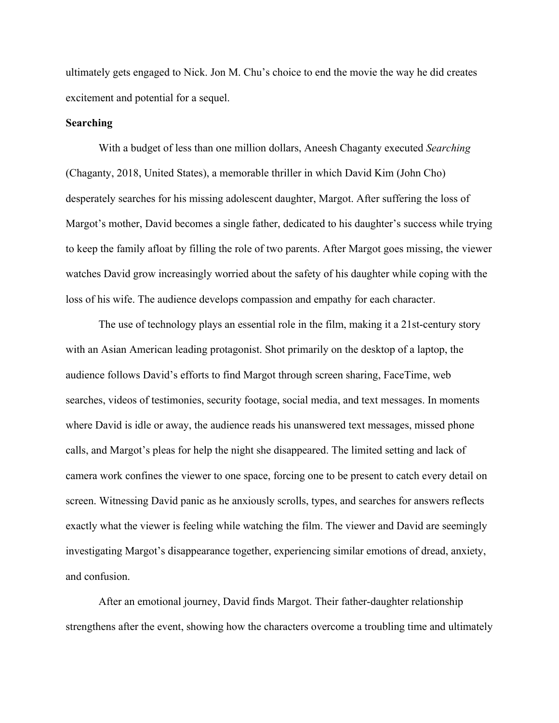ultimately gets engaged to Nick. Jon M. Chu's choice to end the movie the way he did creates excitement and potential for a sequel.

#### **Searching**

With a budget of less than one million dollars, Aneesh Chaganty executed *Searching*  (Chaganty, 2018, United States), a memorable thriller in which David Kim (John Cho) desperately searches for his missing adolescent daughter, Margot. After suffering the loss of Margot's mother, David becomes a single father, dedicated to his daughter's success while trying to keep the family afloat by filling the role of two parents. After Margot goes missing, the viewer watches David grow increasingly worried about the safety of his daughter while coping with the loss of his wife. The audience develops compassion and empathy for each character.

The use of technology plays an essential role in the film, making it a 21st-century story with an Asian American leading protagonist. Shot primarily on the desktop of a laptop, the audience follows David's efforts to find Margot through screen sharing, FaceTime, web searches, videos of testimonies, security footage, social media, and text messages. In moments where David is idle or away, the audience reads his unanswered text messages, missed phone calls, and Margot's pleas for help the night she disappeared. The limited setting and lack of camera work confines the viewer to one space, forcing one to be present to catch every detail on screen. Witnessing David panic as he anxiously scrolls, types, and searches for answers reflects exactly what the viewer is feeling while watching the film. The viewer and David are seemingly investigating Margot's disappearance together, experiencing similar emotions of dread, anxiety, and confusion.

After an emotional journey, David finds Margot. Their father-daughter relationship strengthens after the event, showing how the characters overcome a troubling time and ultimately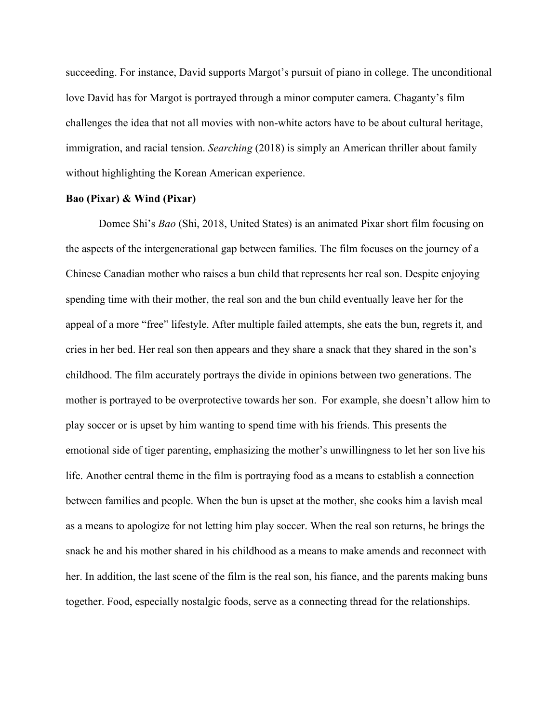succeeding. For instance, David supports Margot's pursuit of piano in college. The unconditional love David has for Margot is portrayed through a minor computer camera. Chaganty's film challenges the idea that not all movies with non-white actors have to be about cultural heritage, immigration, and racial tension. *Searching* (2018) is simply an American thriller about family without highlighting the Korean American experience.

#### **Bao (Pixar) & Wind (Pixar)**

Domee Shi's *Bao* (Shi, 2018, United States) is an animated Pixar short film focusing on the aspects of the intergenerational gap between families. The film focuses on the journey of a Chinese Canadian mother who raises a bun child that represents her real son. Despite enjoying spending time with their mother, the real son and the bun child eventually leave her for the appeal of a more "free" lifestyle. After multiple failed attempts, she eats the bun, regrets it, and cries in her bed. Her real son then appears and they share a snack that they shared in the son's childhood. The film accurately portrays the divide in opinions between two generations. The mother is portrayed to be overprotective towards her son. For example, she doesn't allow him to play soccer or is upset by him wanting to spend time with his friends. This presents the emotional side of tiger parenting, emphasizing the mother's unwillingness to let her son live his life. Another central theme in the film is portraying food as a means to establish a connection between families and people. When the bun is upset at the mother, she cooks him a lavish meal as a means to apologize for not letting him play soccer. When the real son returns, he brings the snack he and his mother shared in his childhood as a means to make amends and reconnect with her. In addition, the last scene of the film is the real son, his fiance, and the parents making buns together. Food, especially nostalgic foods, serve as a connecting thread for the relationships.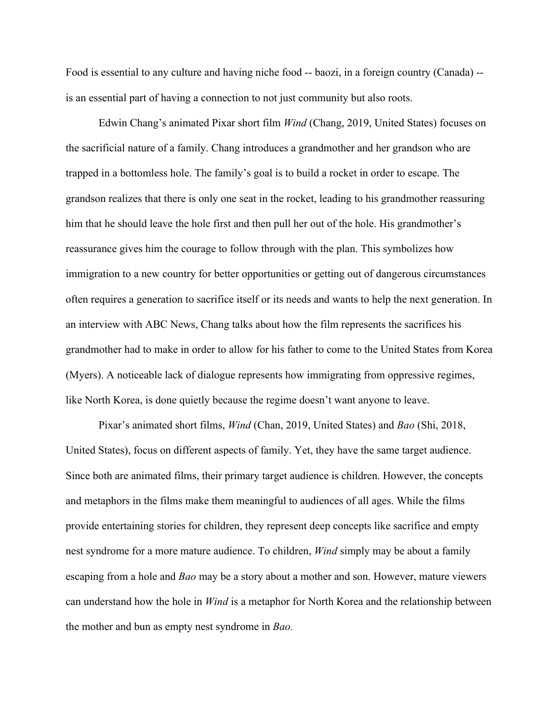Food is essential to any culture and having niche food -- baozi, in a foreign country (Canada) - is an essential part of having a connection to not just community but also roots.

Edwin Chang's animated Pixar short film *Wind* (Chang, 2019, United States) focuses on the sacrificial nature of a family. Chang introduces a grandmother and her grandson who are trapped in a bottomless hole. The family's goal is to build a rocket in order to escape. The grandson realizes that there is only one seat in the rocket, leading to his grandmother reassuring him that he should leave the hole first and then pull her out of the hole. His grandmother's reassurance gives him the courage to follow through with the plan. This symbolizes how immigration to a new country for better opportunities or getting out of dangerous circumstances often requires a generation to sacrifice itself or its needs and wants to help the next generation. In an interview with ABC News, Chang talks about how the film represents the sacrifices his grandmother had to make in order to allow for his father to come to the United States from Korea (Myers). A noticeable lack of dialogue represents how immigrating from oppressive regimes, like North Korea, is done quietly because the regime doesn't want anyone to leave.

Pixar's animated short films, *Wind* (Chan, 2019, United States) and *Bao* (Shi, 2018, United States), focus on different aspects of family. Yet, they have the same target audience. Since both are animated films, their primary target audience is children. However, the concepts and metaphors in the films make them meaningful to audiences of all ages. While the films provide entertaining stories for children, they represent deep concepts like sacrifice and empty nest syndrome for a more mature audience. To children, *Wind* simply may be about a family escaping from a hole and *Bao* may be a story about a mother and son. However, mature viewers can understand how the hole in *Wind* is a metaphor for North Korea and the relationship between the mother and bun as empty nest syndrome in *Bao.*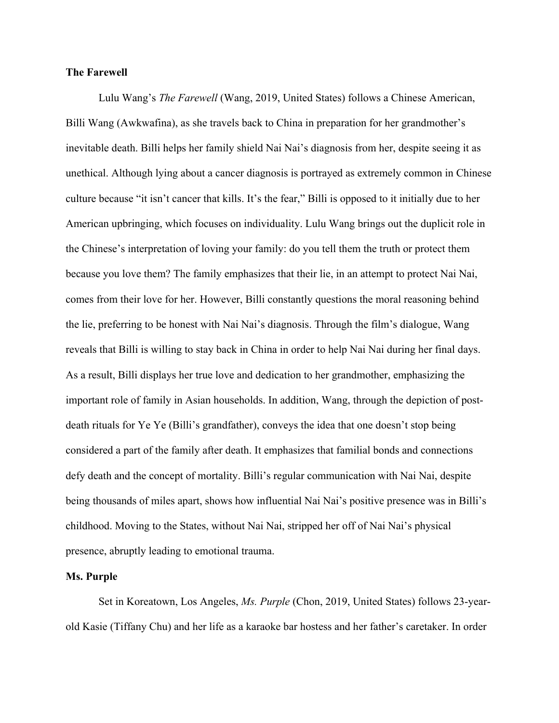#### **The Farewell**

Lulu Wang's *The Farewell* (Wang, 2019, United States) follows a Chinese American, Billi Wang (Awkwafina), as she travels back to China in preparation for her grandmother's inevitable death. Billi helps her family shield Nai Nai's diagnosis from her, despite seeing it as unethical. Although lying about a cancer diagnosis is portrayed as extremely common in Chinese culture because "it isn't cancer that kills. It's the fear," Billi is opposed to it initially due to her American upbringing, which focuses on individuality. Lulu Wang brings out the duplicit role in the Chinese's interpretation of loving your family: do you tell them the truth or protect them because you love them? The family emphasizes that their lie, in an attempt to protect Nai Nai, comes from their love for her. However, Billi constantly questions the moral reasoning behind the lie, preferring to be honest with Nai Nai's diagnosis. Through the film's dialogue, Wang reveals that Billi is willing to stay back in China in order to help Nai Nai during her final days. As a result, Billi displays her true love and dedication to her grandmother, emphasizing the important role of family in Asian households. In addition, Wang, through the depiction of postdeath rituals for Ye Ye (Billi's grandfather), conveys the idea that one doesn't stop being considered a part of the family after death. It emphasizes that familial bonds and connections defy death and the concept of mortality. Billi's regular communication with Nai Nai, despite being thousands of miles apart, shows how influential Nai Nai's positive presence was in Billi's childhood. Moving to the States, without Nai Nai, stripped her off of Nai Nai's physical presence, abruptly leading to emotional trauma.

#### **Ms. Purple**

Set in Koreatown, Los Angeles, *Ms. Purple* (Chon, 2019, United States) follows 23-yearold Kasie (Tiffany Chu) and her life as a karaoke bar hostess and her father's caretaker. In order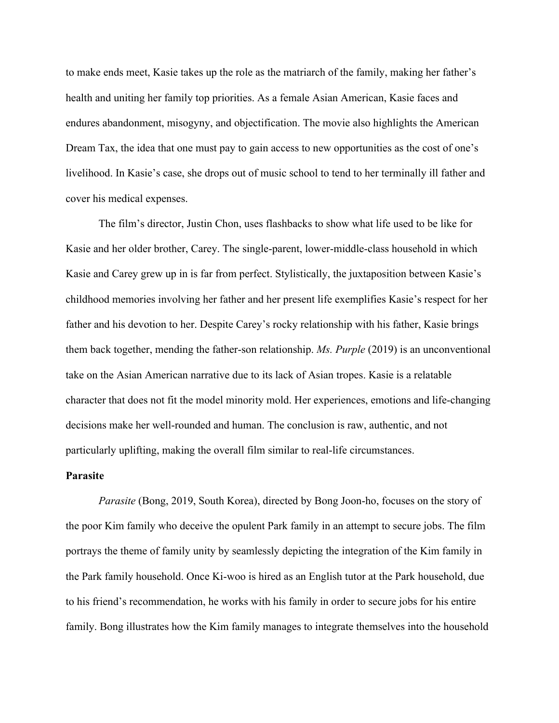to make ends meet, Kasie takes up the role as the matriarch of the family, making her father's health and uniting her family top priorities. As a female Asian American, Kasie faces and endures abandonment, misogyny, and objectification. The movie also highlights the American Dream Tax, the idea that one must pay to gain access to new opportunities as the cost of one's livelihood. In Kasie's case, she drops out of music school to tend to her terminally ill father and cover his medical expenses.

The film's director, Justin Chon, uses flashbacks to show what life used to be like for Kasie and her older brother, Carey. The single-parent, lower-middle-class household in which Kasie and Carey grew up in is far from perfect. Stylistically, the juxtaposition between Kasie's childhood memories involving her father and her present life exemplifies Kasie's respect for her father and his devotion to her. Despite Carey's rocky relationship with his father, Kasie brings them back together, mending the father-son relationship. *Ms. Purple* (2019) is an unconventional take on the Asian American narrative due to its lack of Asian tropes. Kasie is a relatable character that does not fit the model minority mold. Her experiences, emotions and life-changing decisions make her well-rounded and human. The conclusion is raw, authentic, and not particularly uplifting, making the overall film similar to real-life circumstances.

#### **Parasite**

*Parasite* (Bong, 2019, South Korea), directed by Bong Joon-ho, focuses on the story of the poor Kim family who deceive the opulent Park family in an attempt to secure jobs. The film portrays the theme of family unity by seamlessly depicting the integration of the Kim family in the Park family household. Once Ki-woo is hired as an English tutor at the Park household, due to his friend's recommendation, he works with his family in order to secure jobs for his entire family. Bong illustrates how the Kim family manages to integrate themselves into the household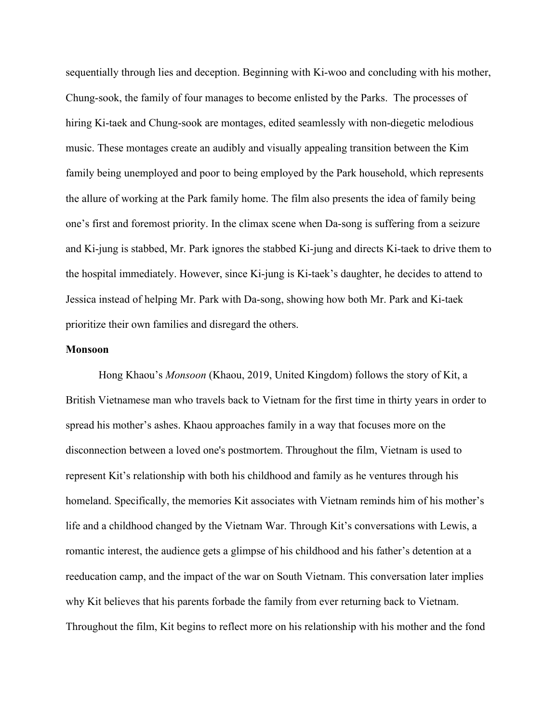sequentially through lies and deception. Beginning with Ki-woo and concluding with his mother, Chung-sook, the family of four manages to become enlisted by the Parks. The processes of hiring Ki-taek and Chung-sook are montages, edited seamlessly with non-diegetic melodious music. These montages create an audibly and visually appealing transition between the Kim family being unemployed and poor to being employed by the Park household, which represents the allure of working at the Park family home. The film also presents the idea of family being one's first and foremost priority. In the climax scene when Da-song is suffering from a seizure and Ki-jung is stabbed, Mr. Park ignores the stabbed Ki-jung and directs Ki-taek to drive them to the hospital immediately. However, since Ki-jung is Ki-taek's daughter, he decides to attend to Jessica instead of helping Mr. Park with Da-song, showing how both Mr. Park and Ki-taek prioritize their own families and disregard the others.

#### **Monsoon**

Hong Khaou's *Monsoon* (Khaou, 2019, United Kingdom) follows the story of Kit, a British Vietnamese man who travels back to Vietnam for the first time in thirty years in order to spread his mother's ashes. Khaou approaches family in a way that focuses more on the disconnection between a loved one's postmortem. Throughout the film, Vietnam is used to represent Kit's relationship with both his childhood and family as he ventures through his homeland. Specifically, the memories Kit associates with Vietnam reminds him of his mother's life and a childhood changed by the Vietnam War. Through Kit's conversations with Lewis, a romantic interest, the audience gets a glimpse of his childhood and his father's detention at a reeducation camp, and the impact of the war on South Vietnam. This conversation later implies why Kit believes that his parents forbade the family from ever returning back to Vietnam. Throughout the film, Kit begins to reflect more on his relationship with his mother and the fond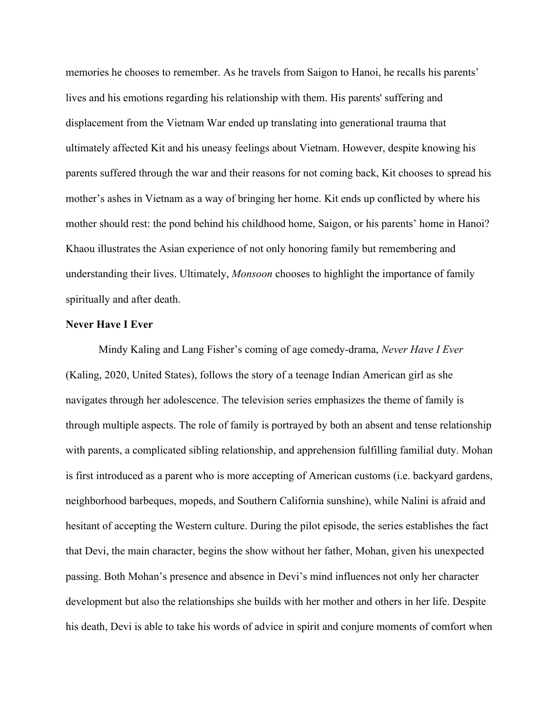memories he chooses to remember. As he travels from Saigon to Hanoi, he recalls his parents' lives and his emotions regarding his relationship with them. His parents' suffering and displacement from the Vietnam War ended up translating into generational trauma that ultimately affected Kit and his uneasy feelings about Vietnam. However, despite knowing his parents suffered through the war and their reasons for not coming back, Kit chooses to spread his mother's ashes in Vietnam as a way of bringing her home. Kit ends up conflicted by where his mother should rest: the pond behind his childhood home, Saigon, or his parents' home in Hanoi? Khaou illustrates the Asian experience of not only honoring family but remembering and understanding their lives. Ultimately, *Monsoon* chooses to highlight the importance of family spiritually and after death.

#### **Never Have I Ever**

Mindy Kaling and Lang Fisher's coming of age comedy-drama, *Never Have I Ever*  (Kaling, 2020, United States), follows the story of a teenage Indian American girl as she navigates through her adolescence. The television series emphasizes the theme of family is through multiple aspects. The role of family is portrayed by both an absent and tense relationship with parents, a complicated sibling relationship, and apprehension fulfilling familial duty. Mohan is first introduced as a parent who is more accepting of American customs (i.e. backyard gardens, neighborhood barbeques, mopeds, and Southern California sunshine), while Nalini is afraid and hesitant of accepting the Western culture. During the pilot episode, the series establishes the fact that Devi, the main character, begins the show without her father, Mohan, given his unexpected passing. Both Mohan's presence and absence in Devi's mind influences not only her character development but also the relationships she builds with her mother and others in her life. Despite his death, Devi is able to take his words of advice in spirit and conjure moments of comfort when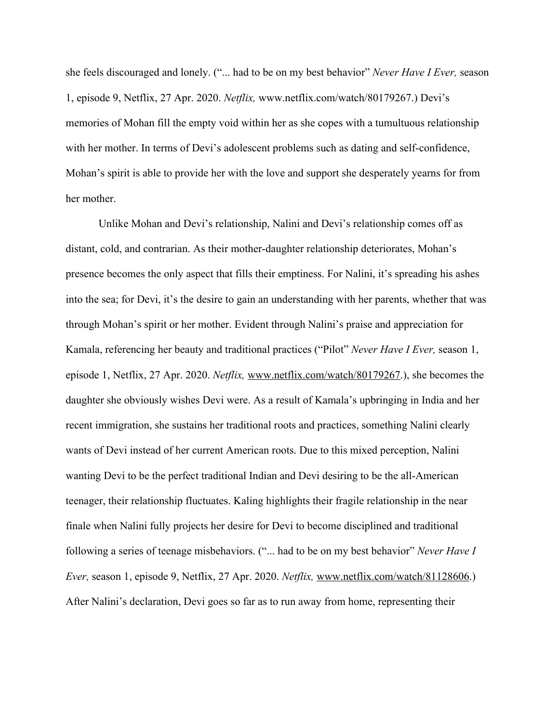she feels discouraged and lonely. ("... had to be on my best behavior" *Never Have I Ever,* season 1, episode 9, Netflix, 27 Apr. 2020. *Netflix,* www.netflix.com/watch/80179267.) Devi's memories of Mohan fill the empty void within her as she copes with a tumultuous relationship with her mother. In terms of Devi's adolescent problems such as dating and self-confidence, Mohan's spirit is able to provide her with the love and support she desperately yearns for from her mother.

Unlike Mohan and Devi's relationship, Nalini and Devi's relationship comes off as distant, cold, and contrarian. As their mother-daughter relationship deteriorates, Mohan's presence becomes the only aspect that fills their emptiness. For Nalini, it's spreading his ashes into the sea; for Devi, it's the desire to gain an understanding with her parents, whether that was through Mohan's spirit or her mother. Evident through Nalini's praise and appreciation for Kamala, referencing her beauty and traditional practices ("Pilot" *Never Have I Ever,* season 1, episode 1, Netflix, 27 Apr. 2020. *Netflix,* www.netflix.com/watch/80179267.), she becomes the daughter she obviously wishes Devi were. As a result of Kamala's upbringing in India and her recent immigration, she sustains her traditional roots and practices, something Nalini clearly wants of Devi instead of her current American roots. Due to this mixed perception, Nalini wanting Devi to be the perfect traditional Indian and Devi desiring to be the all-American teenager, their relationship fluctuates. Kaling highlights their fragile relationship in the near finale when Nalini fully projects her desire for Devi to become disciplined and traditional following a series of teenage misbehaviors. ("... had to be on my best behavior" *Never Have I Ever,* season 1, episode 9, Netflix, 27 Apr. 2020. *Netflix,* www.netflix.com/watch/81128606.) After Nalini's declaration, Devi goes so far as to run away from home, representing their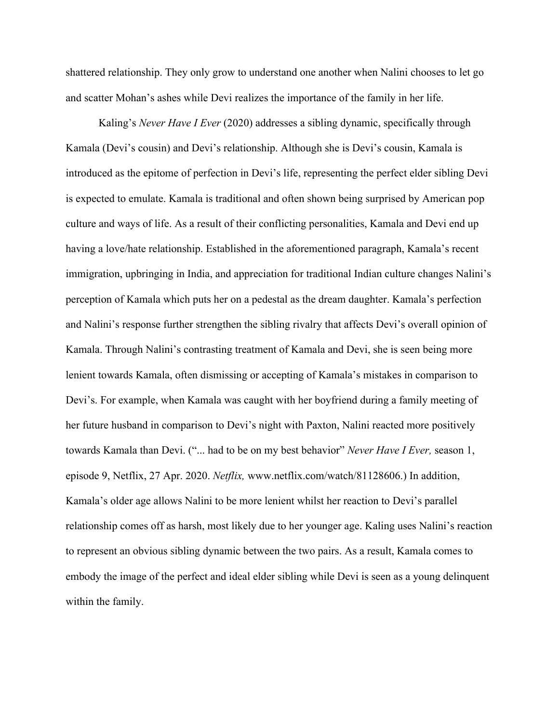shattered relationship. They only grow to understand one another when Nalini chooses to let go and scatter Mohan's ashes while Devi realizes the importance of the family in her life.

Kaling's *Never Have I Ever* (2020) addresses a sibling dynamic, specifically through Kamala (Devi's cousin) and Devi's relationship. Although she is Devi's cousin, Kamala is introduced as the epitome of perfection in Devi's life, representing the perfect elder sibling Devi is expected to emulate. Kamala is traditional and often shown being surprised by American pop culture and ways of life. As a result of their conflicting personalities, Kamala and Devi end up having a love/hate relationship. Established in the aforementioned paragraph, Kamala's recent immigration, upbringing in India, and appreciation for traditional Indian culture changes Nalini's perception of Kamala which puts her on a pedestal as the dream daughter. Kamala's perfection and Nalini's response further strengthen the sibling rivalry that affects Devi's overall opinion of Kamala. Through Nalini's contrasting treatment of Kamala and Devi, she is seen being more lenient towards Kamala, often dismissing or accepting of Kamala's mistakes in comparison to Devi's. For example, when Kamala was caught with her boyfriend during a family meeting of her future husband in comparison to Devi's night with Paxton, Nalini reacted more positively towards Kamala than Devi. ("... had to be on my best behavior" *Never Have I Ever,* season 1, episode 9, Netflix, 27 Apr. 2020. *Netflix,* www.netflix.com/watch/81128606.) In addition, Kamala's older age allows Nalini to be more lenient whilst her reaction to Devi's parallel relationship comes off as harsh, most likely due to her younger age. Kaling uses Nalini's reaction to represent an obvious sibling dynamic between the two pairs. As a result, Kamala comes to embody the image of the perfect and ideal elder sibling while Devi is seen as a young delinquent within the family.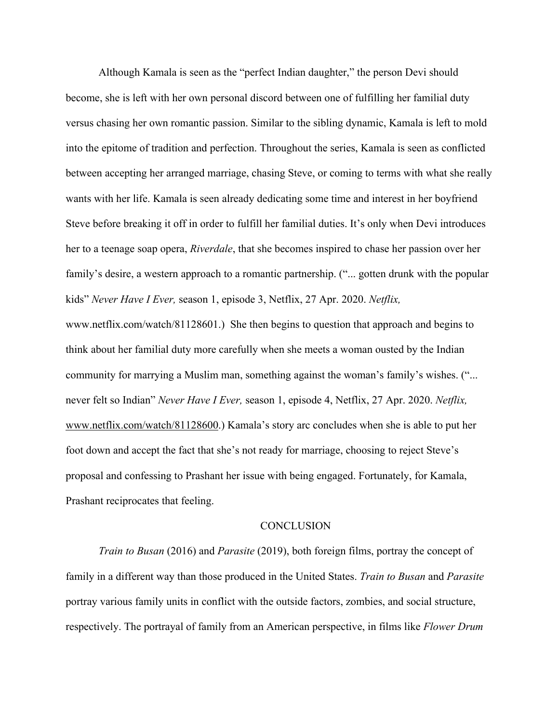Although Kamala is seen as the "perfect Indian daughter," the person Devi should become, she is left with her own personal discord between one of fulfilling her familial duty versus chasing her own romantic passion. Similar to the sibling dynamic, Kamala is left to mold into the epitome of tradition and perfection. Throughout the series, Kamala is seen as conflicted between accepting her arranged marriage, chasing Steve, or coming to terms with what she really wants with her life. Kamala is seen already dedicating some time and interest in her boyfriend Steve before breaking it off in order to fulfill her familial duties. It's only when Devi introduces her to a teenage soap opera, *Riverdale*, that she becomes inspired to chase her passion over her family's desire, a western approach to a romantic partnership. ("... gotten drunk with the popular kids" *Never Have I Ever,* season 1, episode 3, Netflix, 27 Apr. 2020. *Netflix,* www.netflix.com/watch/81128601.) She then begins to question that approach and begins to think about her familial duty more carefully when she meets a woman ousted by the Indian community for marrying a Muslim man, something against the woman's family's wishes. ("... never felt so Indian" *Never Have I Ever,* season 1, episode 4, Netflix, 27 Apr. 2020. *Netflix,* www.netflix.com/watch/81128600.) Kamala's story arc concludes when she is able to put her foot down and accept the fact that she's not ready for marriage, choosing to reject Steve's proposal and confessing to Prashant her issue with being engaged. Fortunately, for Kamala, Prashant reciprocates that feeling.

#### **CONCLUSION**

*Train to Busan* (2016) and *Parasite* (2019), both foreign films, portray the concept of family in a different way than those produced in the United States. *Train to Busan* and *Parasite* portray various family units in conflict with the outside factors, zombies, and social structure, respectively. The portrayal of family from an American perspective, in films like *Flower Drum*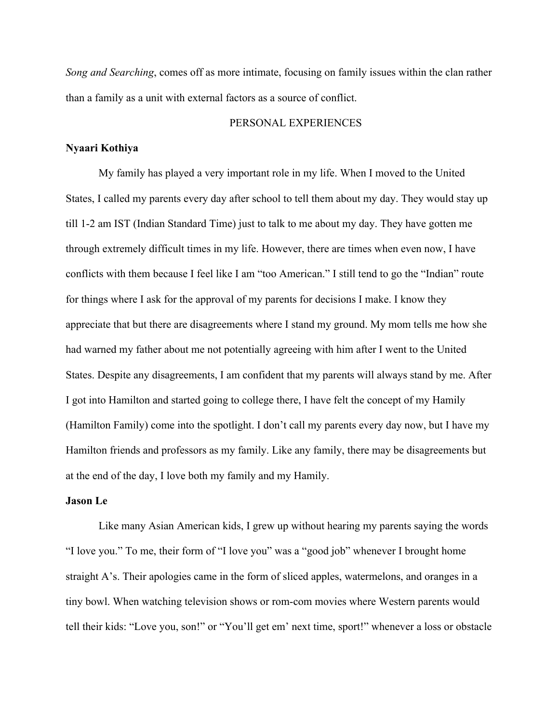*Song and Searching*, comes off as more intimate, focusing on family issues within the clan rather than a family as a unit with external factors as a source of conflict.

#### PERSONAL EXPERIENCES

#### **Nyaari Kothiya**

My family has played a very important role in my life. When I moved to the United States, I called my parents every day after school to tell them about my day. They would stay up till 1-2 am IST (Indian Standard Time) just to talk to me about my day. They have gotten me through extremely difficult times in my life. However, there are times when even now, I have conflicts with them because I feel like I am "too American." I still tend to go the "Indian" route for things where I ask for the approval of my parents for decisions I make. I know they appreciate that but there are disagreements where I stand my ground. My mom tells me how she had warned my father about me not potentially agreeing with him after I went to the United States. Despite any disagreements, I am confident that my parents will always stand by me. After I got into Hamilton and started going to college there, I have felt the concept of my Hamily (Hamilton Family) come into the spotlight. I don't call my parents every day now, but I have my Hamilton friends and professors as my family. Like any family, there may be disagreements but at the end of the day, I love both my family and my Hamily.

#### **Jason Le**

Like many Asian American kids, I grew up without hearing my parents saying the words "I love you." To me, their form of "I love you" was a "good job" whenever I brought home straight A's. Their apologies came in the form of sliced apples, watermelons, and oranges in a tiny bowl. When watching television shows or rom-com movies where Western parents would tell their kids: "Love you, son!" or "You'll get em' next time, sport!" whenever a loss or obstacle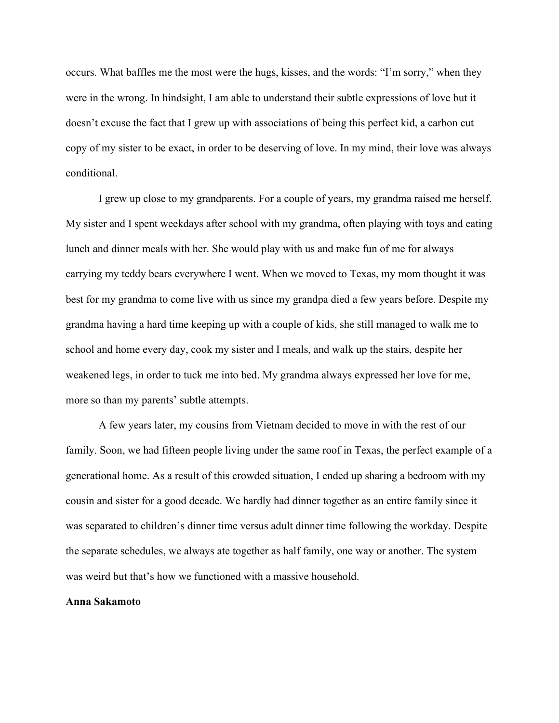occurs. What baffles me the most were the hugs, kisses, and the words: "I'm sorry," when they were in the wrong. In hindsight, I am able to understand their subtle expressions of love but it doesn't excuse the fact that I grew up with associations of being this perfect kid, a carbon cut copy of my sister to be exact, in order to be deserving of love. In my mind, their love was always conditional.

I grew up close to my grandparents. For a couple of years, my grandma raised me herself. My sister and I spent weekdays after school with my grandma, often playing with toys and eating lunch and dinner meals with her. She would play with us and make fun of me for always carrying my teddy bears everywhere I went. When we moved to Texas, my mom thought it was best for my grandma to come live with us since my grandpa died a few years before. Despite my grandma having a hard time keeping up with a couple of kids, she still managed to walk me to school and home every day, cook my sister and I meals, and walk up the stairs, despite her weakened legs, in order to tuck me into bed. My grandma always expressed her love for me, more so than my parents' subtle attempts.

A few years later, my cousins from Vietnam decided to move in with the rest of our family. Soon, we had fifteen people living under the same roof in Texas, the perfect example of a generational home. As a result of this crowded situation, I ended up sharing a bedroom with my cousin and sister for a good decade. We hardly had dinner together as an entire family since it was separated to children's dinner time versus adult dinner time following the workday. Despite the separate schedules, we always ate together as half family, one way or another. The system was weird but that's how we functioned with a massive household.

#### **Anna Sakamoto**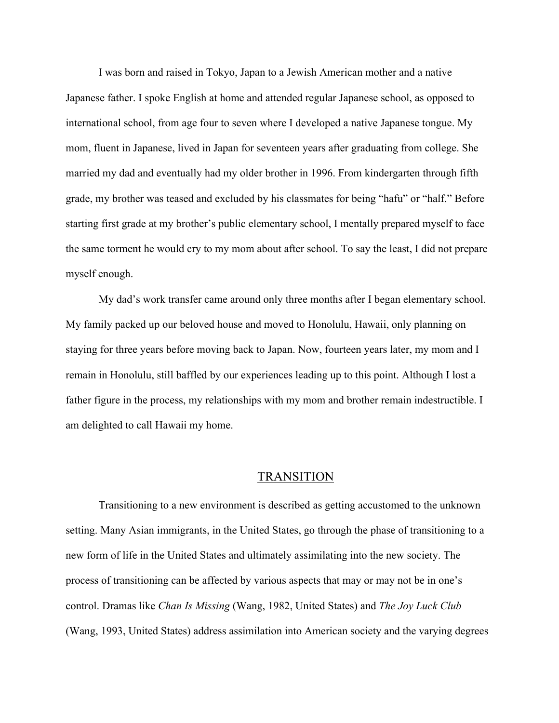I was born and raised in Tokyo, Japan to a Jewish American mother and a native Japanese father. I spoke English at home and attended regular Japanese school, as opposed to international school, from age four to seven where I developed a native Japanese tongue. My mom, fluent in Japanese, lived in Japan for seventeen years after graduating from college. She married my dad and eventually had my older brother in 1996. From kindergarten through fifth grade, my brother was teased and excluded by his classmates for being "hafu" or "half." Before starting first grade at my brother's public elementary school, I mentally prepared myself to face the same torment he would cry to my mom about after school. To say the least, I did not prepare myself enough.

My dad's work transfer came around only three months after I began elementary school. My family packed up our beloved house and moved to Honolulu, Hawaii, only planning on staying for three years before moving back to Japan. Now, fourteen years later, my mom and I remain in Honolulu, still baffled by our experiences leading up to this point. Although I lost a father figure in the process, my relationships with my mom and brother remain indestructible. I am delighted to call Hawaii my home.

#### TRANSITION

Transitioning to a new environment is described as getting accustomed to the unknown setting. Many Asian immigrants, in the United States, go through the phase of transitioning to a new form of life in the United States and ultimately assimilating into the new society. The process of transitioning can be affected by various aspects that may or may not be in one's control. Dramas like *Chan Is Missing* (Wang, 1982, United States) and *The Joy Luck Club* (Wang, 1993, United States) address assimilation into American society and the varying degrees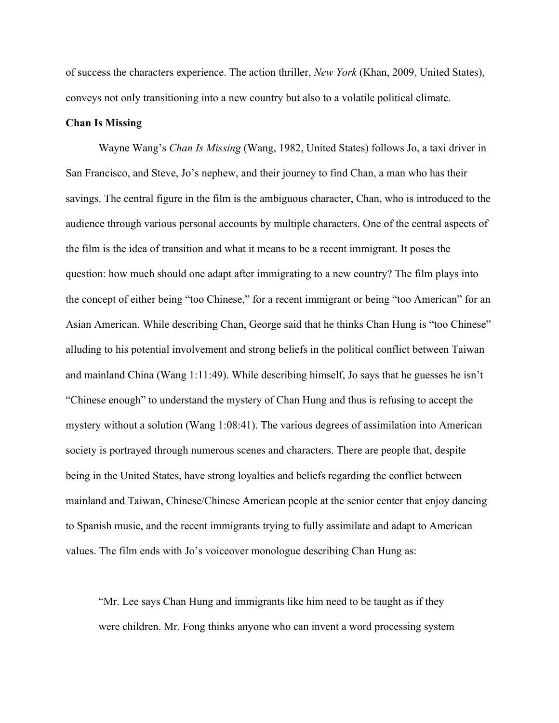of success the characters experience. The action thriller, *New York* (Khan, 2009, United States), conveys not only transitioning into a new country but also to a volatile political climate.

#### **Chan Is Missing**

Wayne Wang's *Chan Is Missing* (Wang, 1982, United States) follows Jo, a taxi driver in San Francisco, and Steve, Jo's nephew, and their journey to find Chan, a man who has their savings. The central figure in the film is the ambiguous character, Chan, who is introduced to the audience through various personal accounts by multiple characters. One of the central aspects of the film is the idea of transition and what it means to be a recent immigrant. It poses the question: how much should one adapt after immigrating to a new country? The film plays into the concept of either being "too Chinese," for a recent immigrant or being "too American" for an Asian American. While describing Chan, George said that he thinks Chan Hung is "too Chinese" alluding to his potential involvement and strong beliefs in the political conflict between Taiwan and mainland China (Wang 1:11:49). While describing himself, Jo says that he guesses he isn't "Chinese enough" to understand the mystery of Chan Hung and thus is refusing to accept the mystery without a solution (Wang 1:08:41). The various degrees of assimilation into American society is portrayed through numerous scenes and characters. There are people that, despite being in the United States, have strong loyalties and beliefs regarding the conflict between mainland and Taiwan, Chinese/Chinese American people at the senior center that enjoy dancing to Spanish music, and the recent immigrants trying to fully assimilate and adapt to American values. The film ends with Jo's voiceover monologue describing Chan Hung as:

"Mr. Lee says Chan Hung and immigrants like him need to be taught as if they were children. Mr. Fong thinks anyone who can invent a word processing system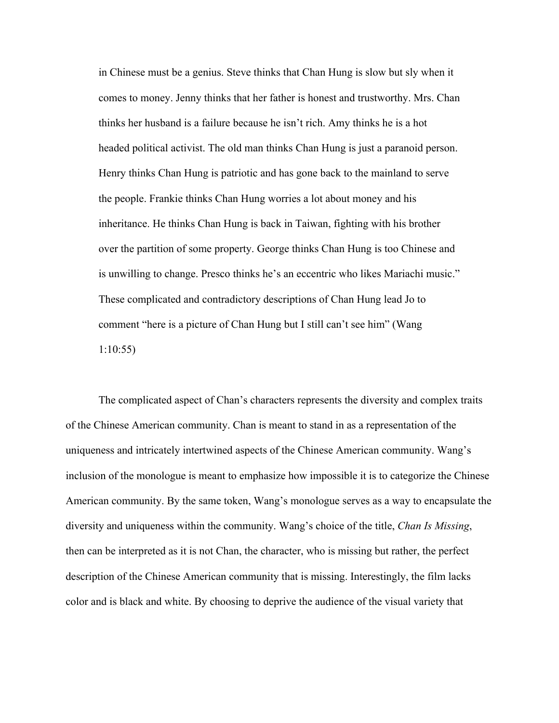in Chinese must be a genius. Steve thinks that Chan Hung is slow but sly when it comes to money. Jenny thinks that her father is honest and trustworthy. Mrs. Chan thinks her husband is a failure because he isn't rich. Amy thinks he is a hot headed political activist. The old man thinks Chan Hung is just a paranoid person. Henry thinks Chan Hung is patriotic and has gone back to the mainland to serve the people. Frankie thinks Chan Hung worries a lot about money and his inheritance. He thinks Chan Hung is back in Taiwan, fighting with his brother over the partition of some property. George thinks Chan Hung is too Chinese and is unwilling to change. Presco thinks he's an eccentric who likes Mariachi music." These complicated and contradictory descriptions of Chan Hung lead Jo to comment "here is a picture of Chan Hung but I still can't see him" (Wang 1:10:55)

The complicated aspect of Chan's characters represents the diversity and complex traits of the Chinese American community. Chan is meant to stand in as a representation of the uniqueness and intricately intertwined aspects of the Chinese American community. Wang's inclusion of the monologue is meant to emphasize how impossible it is to categorize the Chinese American community. By the same token, Wang's monologue serves as a way to encapsulate the diversity and uniqueness within the community. Wang's choice of the title, *Chan Is Missing*, then can be interpreted as it is not Chan, the character, who is missing but rather, the perfect description of the Chinese American community that is missing. Interestingly, the film lacks color and is black and white. By choosing to deprive the audience of the visual variety that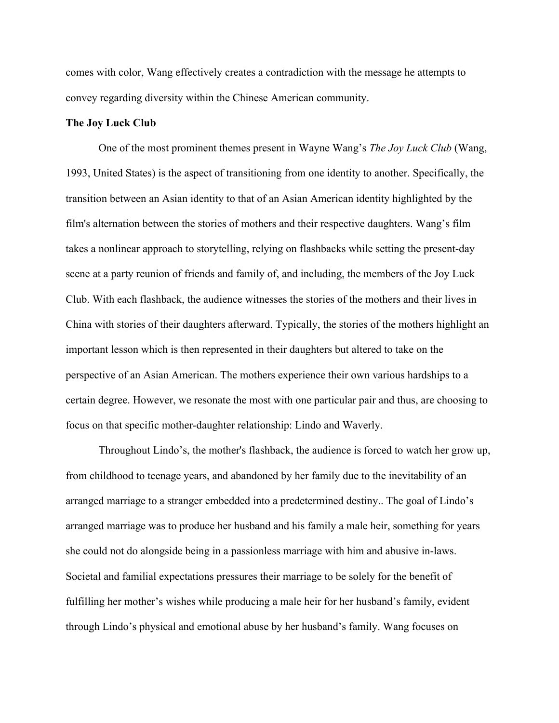comes with color, Wang effectively creates a contradiction with the message he attempts to convey regarding diversity within the Chinese American community.

# **The Joy Luck Club**

One of the most prominent themes present in Wayne Wang's *The Joy Luck Club* (Wang, 1993, United States) is the aspect of transitioning from one identity to another. Specifically, the transition between an Asian identity to that of an Asian American identity highlighted by the film's alternation between the stories of mothers and their respective daughters. Wang's film takes a nonlinear approach to storytelling, relying on flashbacks while setting the present-day scene at a party reunion of friends and family of, and including, the members of the Joy Luck Club. With each flashback, the audience witnesses the stories of the mothers and their lives in China with stories of their daughters afterward. Typically, the stories of the mothers highlight an important lesson which is then represented in their daughters but altered to take on the perspective of an Asian American. The mothers experience their own various hardships to a certain degree. However, we resonate the most with one particular pair and thus, are choosing to focus on that specific mother-daughter relationship: Lindo and Waverly.

Throughout Lindo's, the mother's flashback, the audience is forced to watch her grow up, from childhood to teenage years, and abandoned by her family due to the inevitability of an arranged marriage to a stranger embedded into a predetermined destiny.. The goal of Lindo's arranged marriage was to produce her husband and his family a male heir, something for years she could not do alongside being in a passionless marriage with him and abusive in-laws. Societal and familial expectations pressures their marriage to be solely for the benefit of fulfilling her mother's wishes while producing a male heir for her husband's family, evident through Lindo's physical and emotional abuse by her husband's family. Wang focuses on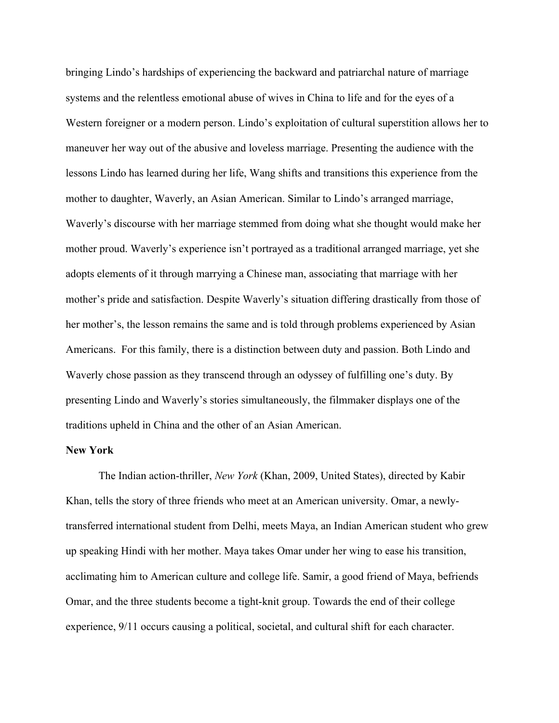bringing Lindo's hardships of experiencing the backward and patriarchal nature of marriage systems and the relentless emotional abuse of wives in China to life and for the eyes of a Western foreigner or a modern person. Lindo's exploitation of cultural superstition allows her to maneuver her way out of the abusive and loveless marriage. Presenting the audience with the lessons Lindo has learned during her life, Wang shifts and transitions this experience from the mother to daughter, Waverly, an Asian American. Similar to Lindo's arranged marriage, Waverly's discourse with her marriage stemmed from doing what she thought would make her mother proud. Waverly's experience isn't portrayed as a traditional arranged marriage, yet she adopts elements of it through marrying a Chinese man, associating that marriage with her mother's pride and satisfaction. Despite Waverly's situation differing drastically from those of her mother's, the lesson remains the same and is told through problems experienced by Asian Americans. For this family, there is a distinction between duty and passion. Both Lindo and Waverly chose passion as they transcend through an odyssey of fulfilling one's duty. By presenting Lindo and Waverly's stories simultaneously, the filmmaker displays one of the traditions upheld in China and the other of an Asian American.

# **New York**

The Indian action-thriller, *New York* (Khan, 2009, United States), directed by Kabir Khan, tells the story of three friends who meet at an American university. Omar, a newlytransferred international student from Delhi, meets Maya, an Indian American student who grew up speaking Hindi with her mother. Maya takes Omar under her wing to ease his transition, acclimating him to American culture and college life. Samir, a good friend of Maya, befriends Omar, and the three students become a tight-knit group. Towards the end of their college experience, 9/11 occurs causing a political, societal, and cultural shift for each character.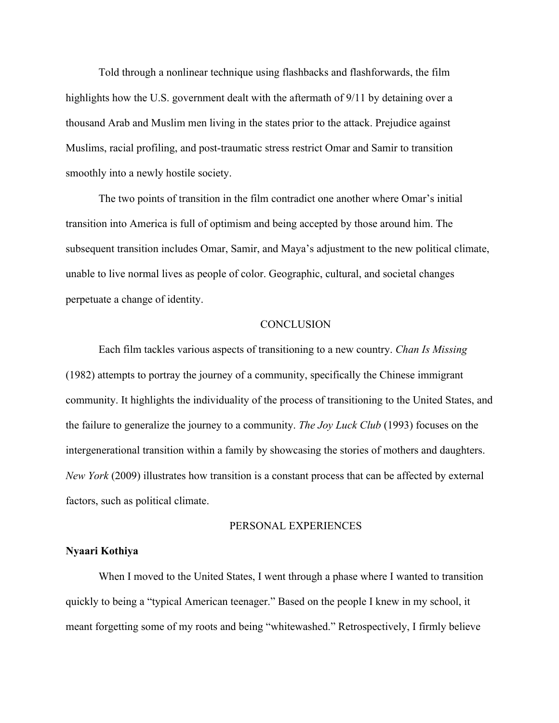Told through a nonlinear technique using flashbacks and flashforwards, the film highlights how the U.S. government dealt with the aftermath of 9/11 by detaining over a thousand Arab and Muslim men living in the states prior to the attack. Prejudice against Muslims, racial profiling, and post-traumatic stress restrict Omar and Samir to transition smoothly into a newly hostile society.

The two points of transition in the film contradict one another where Omar's initial transition into America is full of optimism and being accepted by those around him. The subsequent transition includes Omar, Samir, and Maya's adjustment to the new political climate, unable to live normal lives as people of color. Geographic, cultural, and societal changes perpetuate a change of identity.

#### **CONCLUSION**

Each film tackles various aspects of transitioning to a new country. *Chan Is Missing* (1982) attempts to portray the journey of a community, specifically the Chinese immigrant community. It highlights the individuality of the process of transitioning to the United States, and the failure to generalize the journey to a community. *The Joy Luck Club* (1993) focuses on the intergenerational transition within a family by showcasing the stories of mothers and daughters. *New York* (2009) illustrates how transition is a constant process that can be affected by external factors, such as political climate.

#### PERSONAL EXPERIENCES

#### **Nyaari Kothiya**

When I moved to the United States, I went through a phase where I wanted to transition quickly to being a "typical American teenager." Based on the people I knew in my school, it meant forgetting some of my roots and being "whitewashed." Retrospectively, I firmly believe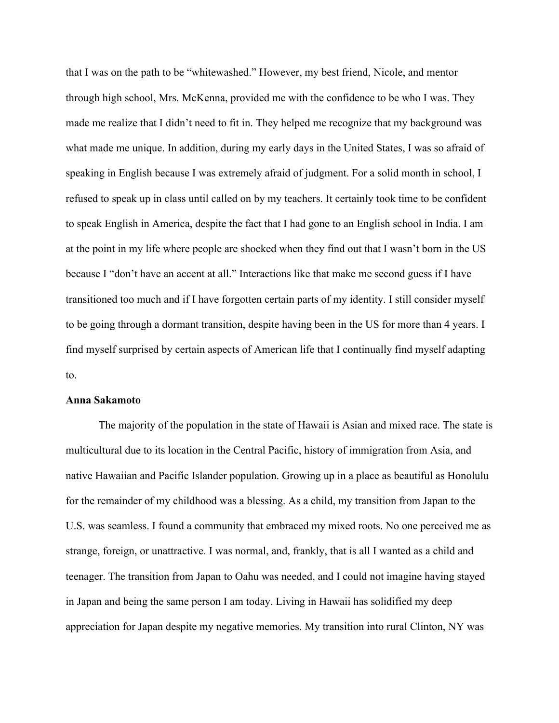that I was on the path to be "whitewashed." However, my best friend, Nicole, and mentor through high school, Mrs. McKenna, provided me with the confidence to be who I was. They made me realize that I didn't need to fit in. They helped me recognize that my background was what made me unique. In addition, during my early days in the United States, I was so afraid of speaking in English because I was extremely afraid of judgment. For a solid month in school, I refused to speak up in class until called on by my teachers. It certainly took time to be confident to speak English in America, despite the fact that I had gone to an English school in India. I am at the point in my life where people are shocked when they find out that I wasn't born in the US because I "don't have an accent at all." Interactions like that make me second guess if I have transitioned too much and if I have forgotten certain parts of my identity. I still consider myself to be going through a dormant transition, despite having been in the US for more than 4 years. I find myself surprised by certain aspects of American life that I continually find myself adapting to.

#### **Anna Sakamoto**

The majority of the population in the state of Hawaii is Asian and mixed race. The state is multicultural due to its location in the Central Pacific, history of immigration from Asia, and native Hawaiian and Pacific Islander population. Growing up in a place as beautiful as Honolulu for the remainder of my childhood was a blessing. As a child, my transition from Japan to the U.S. was seamless. I found a community that embraced my mixed roots. No one perceived me as strange, foreign, or unattractive. I was normal, and, frankly, that is all I wanted as a child and teenager. The transition from Japan to Oahu was needed, and I could not imagine having stayed in Japan and being the same person I am today. Living in Hawaii has solidified my deep appreciation for Japan despite my negative memories. My transition into rural Clinton, NY was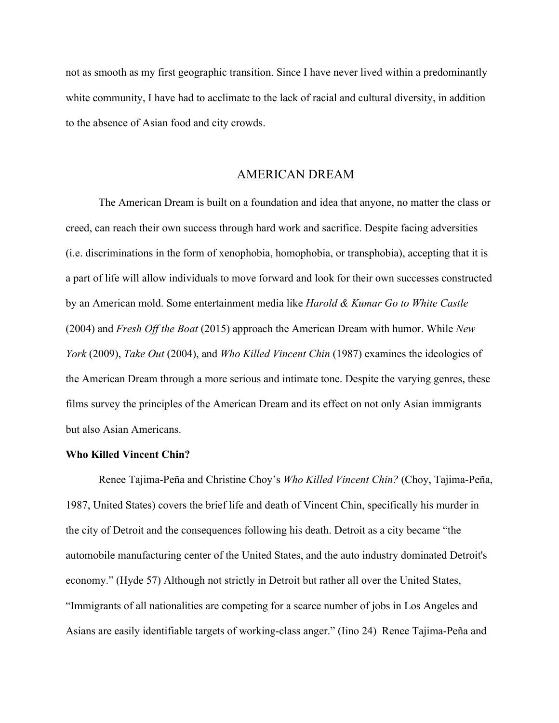not as smooth as my first geographic transition. Since I have never lived within a predominantly white community, I have had to acclimate to the lack of racial and cultural diversity, in addition to the absence of Asian food and city crowds.

# AMERICAN DREAM

The American Dream is built on a foundation and idea that anyone, no matter the class or creed, can reach their own success through hard work and sacrifice. Despite facing adversities (i.e. discriminations in the form of xenophobia, homophobia, or transphobia), accepting that it is a part of life will allow individuals to move forward and look for their own successes constructed by an American mold. Some entertainment media like *Harold & Kumar Go to White Castle*  (2004) and *Fresh Off the Boat* (2015) approach the American Dream with humor. While *New York* (2009), *Take Out* (2004), and *Who Killed Vincent Chin* (1987) examines the ideologies of the American Dream through a more serious and intimate tone. Despite the varying genres, these films survey the principles of the American Dream and its effect on not only Asian immigrants but also Asian Americans.

# **Who Killed Vincent Chin?**

Renee Tajima-Peña and Christine Choy's *Who Killed Vincent Chin?* (Choy, Tajima-Peña, 1987, United States) covers the brief life and death of Vincent Chin, specifically his murder in the city of Detroit and the consequences following his death. Detroit as a city became "the automobile manufacturing center of the United States, and the auto industry dominated Detroit's economy." (Hyde 57) Although not strictly in Detroit but rather all over the United States, "Immigrants of all nationalities are competing for a scarce number of jobs in Los Angeles and Asians are easily identifiable targets of working-class anger." (Iino 24) Renee Tajima-Peña and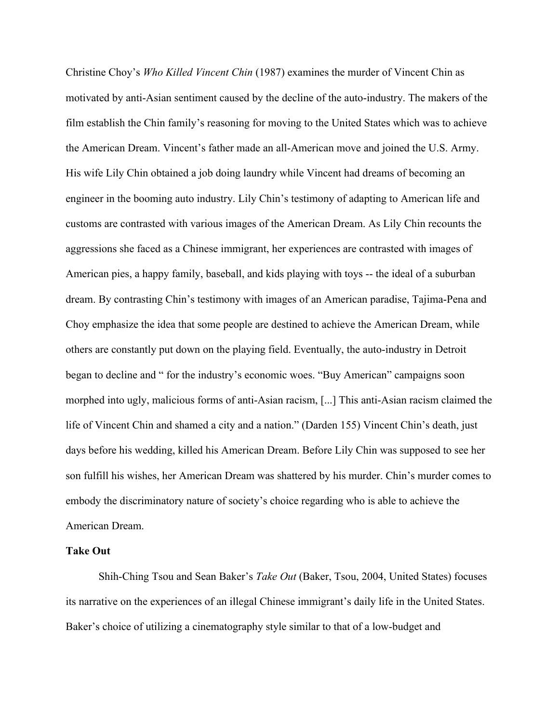Christine Choy's *Who Killed Vincent Chin* (1987) examines the murder of Vincent Chin as motivated by anti-Asian sentiment caused by the decline of the auto-industry. The makers of the film establish the Chin family's reasoning for moving to the United States which was to achieve the American Dream. Vincent's father made an all-American move and joined the U.S. Army. His wife Lily Chin obtained a job doing laundry while Vincent had dreams of becoming an engineer in the booming auto industry. Lily Chin's testimony of adapting to American life and customs are contrasted with various images of the American Dream. As Lily Chin recounts the aggressions she faced as a Chinese immigrant, her experiences are contrasted with images of American pies, a happy family, baseball, and kids playing with toys -- the ideal of a suburban dream. By contrasting Chin's testimony with images of an American paradise, Tajima-Pena and Choy emphasize the idea that some people are destined to achieve the American Dream, while others are constantly put down on the playing field. Eventually, the auto-industry in Detroit began to decline and " for the industry's economic woes. "Buy American" campaigns soon morphed into ugly, malicious forms of anti-Asian racism, [...] This anti-Asian racism claimed the life of Vincent Chin and shamed a city and a nation." (Darden 155) Vincent Chin's death, just days before his wedding, killed his American Dream. Before Lily Chin was supposed to see her son fulfill his wishes, her American Dream was shattered by his murder. Chin's murder comes to embody the discriminatory nature of society's choice regarding who is able to achieve the American Dream.

# **Take Out**

Shih-Ching Tsou and Sean Baker's *Take Out* (Baker, Tsou, 2004, United States) focuses its narrative on the experiences of an illegal Chinese immigrant's daily life in the United States. Baker's choice of utilizing a cinematography style similar to that of a low-budget and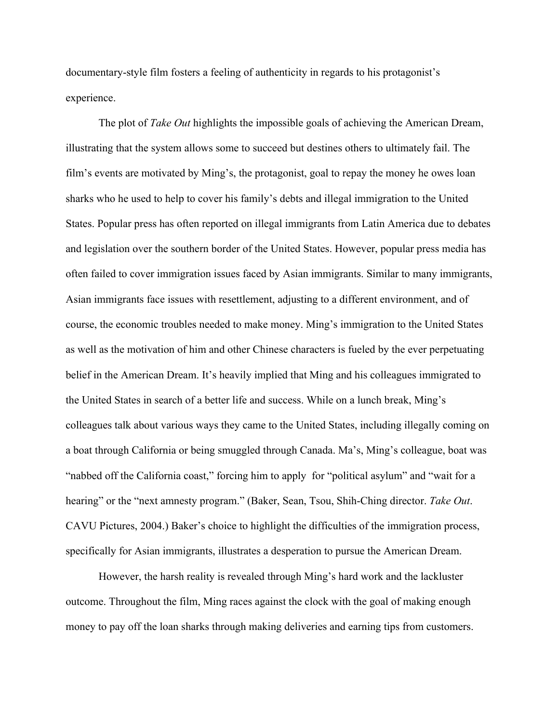documentary-style film fosters a feeling of authenticity in regards to his protagonist's experience.

The plot of *Take Out* highlights the impossible goals of achieving the American Dream, illustrating that the system allows some to succeed but destines others to ultimately fail. The film's events are motivated by Ming's, the protagonist, goal to repay the money he owes loan sharks who he used to help to cover his family's debts and illegal immigration to the United States. Popular press has often reported on illegal immigrants from Latin America due to debates and legislation over the southern border of the United States. However, popular press media has often failed to cover immigration issues faced by Asian immigrants. Similar to many immigrants, Asian immigrants face issues with resettlement, adjusting to a different environment, and of course, the economic troubles needed to make money. Ming's immigration to the United States as well as the motivation of him and other Chinese characters is fueled by the ever perpetuating belief in the American Dream. It's heavily implied that Ming and his colleagues immigrated to the United States in search of a better life and success. While on a lunch break, Ming's colleagues talk about various ways they came to the United States, including illegally coming on a boat through California or being smuggled through Canada. Ma's, Ming's colleague, boat was "nabbed off the California coast," forcing him to apply for "political asylum" and "wait for a hearing" or the "next amnesty program." (Baker, Sean, Tsou, Shih-Ching director. *Take Out*. CAVU Pictures, 2004.) Baker's choice to highlight the difficulties of the immigration process, specifically for Asian immigrants, illustrates a desperation to pursue the American Dream.

However, the harsh reality is revealed through Ming's hard work and the lackluster outcome. Throughout the film, Ming races against the clock with the goal of making enough money to pay off the loan sharks through making deliveries and earning tips from customers.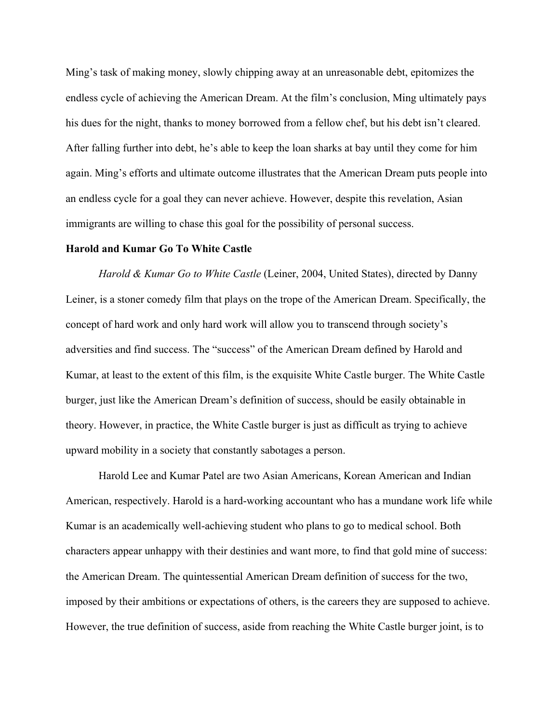Ming's task of making money, slowly chipping away at an unreasonable debt, epitomizes the endless cycle of achieving the American Dream. At the film's conclusion, Ming ultimately pays his dues for the night, thanks to money borrowed from a fellow chef, but his debt isn't cleared. After falling further into debt, he's able to keep the loan sharks at bay until they come for him again. Ming's efforts and ultimate outcome illustrates that the American Dream puts people into an endless cycle for a goal they can never achieve. However, despite this revelation, Asian immigrants are willing to chase this goal for the possibility of personal success.

#### **Harold and Kumar Go To White Castle**

*Harold & Kumar Go to White Castle* (Leiner, 2004, United States), directed by Danny Leiner, is a stoner comedy film that plays on the trope of the American Dream. Specifically, the concept of hard work and only hard work will allow you to transcend through society's adversities and find success. The "success" of the American Dream defined by Harold and Kumar, at least to the extent of this film, is the exquisite White Castle burger. The White Castle burger, just like the American Dream's definition of success, should be easily obtainable in theory. However, in practice, the White Castle burger is just as difficult as trying to achieve upward mobility in a society that constantly sabotages a person.

Harold Lee and Kumar Patel are two Asian Americans, Korean American and Indian American, respectively. Harold is a hard-working accountant who has a mundane work life while Kumar is an academically well-achieving student who plans to go to medical school. Both characters appear unhappy with their destinies and want more, to find that gold mine of success: the American Dream. The quintessential American Dream definition of success for the two, imposed by their ambitions or expectations of others, is the careers they are supposed to achieve. However, the true definition of success, aside from reaching the White Castle burger joint, is to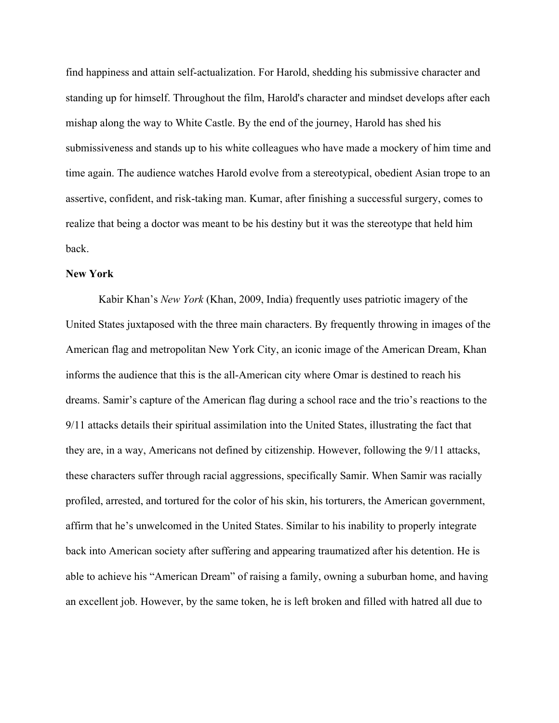find happiness and attain self-actualization. For Harold, shedding his submissive character and standing up for himself. Throughout the film, Harold's character and mindset develops after each mishap along the way to White Castle. By the end of the journey, Harold has shed his submissiveness and stands up to his white colleagues who have made a mockery of him time and time again. The audience watches Harold evolve from a stereotypical, obedient Asian trope to an assertive, confident, and risk-taking man. Kumar, after finishing a successful surgery, comes to realize that being a doctor was meant to be his destiny but it was the stereotype that held him back.

#### **New York**

Kabir Khan's *New York* (Khan, 2009, India) frequently uses patriotic imagery of the United States juxtaposed with the three main characters. By frequently throwing in images of the American flag and metropolitan New York City, an iconic image of the American Dream, Khan informs the audience that this is the all-American city where Omar is destined to reach his dreams. Samir's capture of the American flag during a school race and the trio's reactions to the 9/11 attacks details their spiritual assimilation into the United States, illustrating the fact that they are, in a way, Americans not defined by citizenship. However, following the 9/11 attacks, these characters suffer through racial aggressions, specifically Samir. When Samir was racially profiled, arrested, and tortured for the color of his skin, his torturers, the American government, affirm that he's unwelcomed in the United States. Similar to his inability to properly integrate back into American society after suffering and appearing traumatized after his detention. He is able to achieve his "American Dream" of raising a family, owning a suburban home, and having an excellent job. However, by the same token, he is left broken and filled with hatred all due to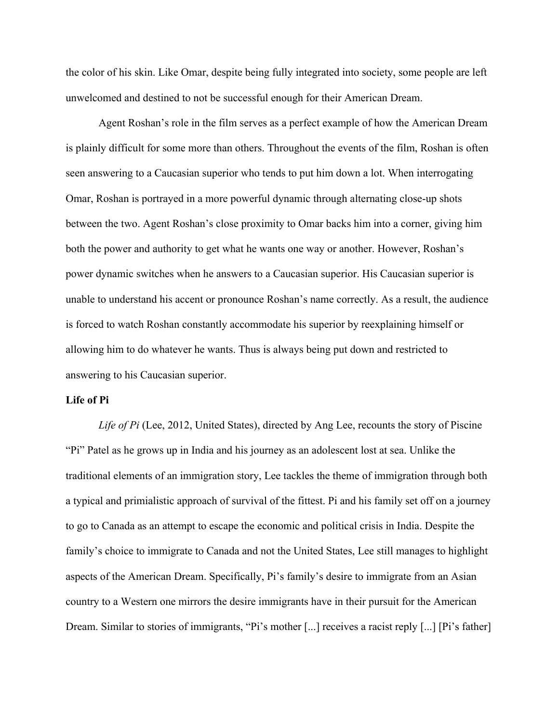the color of his skin. Like Omar, despite being fully integrated into society, some people are left unwelcomed and destined to not be successful enough for their American Dream.

Agent Roshan's role in the film serves as a perfect example of how the American Dream is plainly difficult for some more than others. Throughout the events of the film, Roshan is often seen answering to a Caucasian superior who tends to put him down a lot. When interrogating Omar, Roshan is portrayed in a more powerful dynamic through alternating close-up shots between the two. Agent Roshan's close proximity to Omar backs him into a corner, giving him both the power and authority to get what he wants one way or another. However, Roshan's power dynamic switches when he answers to a Caucasian superior. His Caucasian superior is unable to understand his accent or pronounce Roshan's name correctly. As a result, the audience is forced to watch Roshan constantly accommodate his superior by reexplaining himself or allowing him to do whatever he wants. Thus is always being put down and restricted to answering to his Caucasian superior.

## **Life of Pi**

*Life of Pi* (Lee, 2012, United States), directed by Ang Lee, recounts the story of Piscine "Pi" Patel as he grows up in India and his journey as an adolescent lost at sea. Unlike the traditional elements of an immigration story, Lee tackles the theme of immigration through both a typical and primialistic approach of survival of the fittest. Pi and his family set off on a journey to go to Canada as an attempt to escape the economic and political crisis in India. Despite the family's choice to immigrate to Canada and not the United States, Lee still manages to highlight aspects of the American Dream. Specifically, Pi's family's desire to immigrate from an Asian country to a Western one mirrors the desire immigrants have in their pursuit for the American Dream. Similar to stories of immigrants, "Pi's mother [...] receives a racist reply [...] [Pi's father]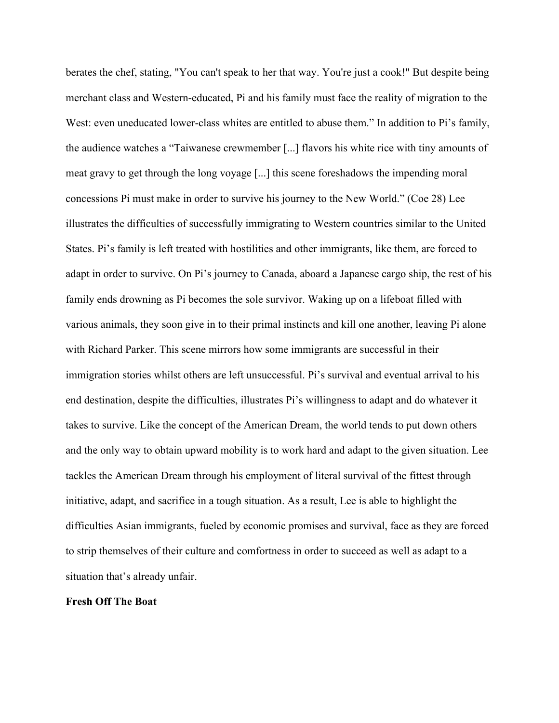berates the chef, stating, "You can't speak to her that way. You're just a cook!" But despite being merchant class and Western-educated, Pi and his family must face the reality of migration to the West: even uneducated lower-class whites are entitled to abuse them." In addition to Pi's family, the audience watches a "Taiwanese crewmember [...] flavors his white rice with tiny amounts of meat gravy to get through the long voyage [...] this scene foreshadows the impending moral concessions Pi must make in order to survive his journey to the New World." (Coe 28) Lee illustrates the difficulties of successfully immigrating to Western countries similar to the United States. Pi's family is left treated with hostilities and other immigrants, like them, are forced to adapt in order to survive. On Pi's journey to Canada, aboard a Japanese cargo ship, the rest of his family ends drowning as Pi becomes the sole survivor. Waking up on a lifeboat filled with various animals, they soon give in to their primal instincts and kill one another, leaving Pi alone with Richard Parker. This scene mirrors how some immigrants are successful in their immigration stories whilst others are left unsuccessful. Pi's survival and eventual arrival to his end destination, despite the difficulties, illustrates Pi's willingness to adapt and do whatever it takes to survive. Like the concept of the American Dream, the world tends to put down others and the only way to obtain upward mobility is to work hard and adapt to the given situation. Lee tackles the American Dream through his employment of literal survival of the fittest through initiative, adapt, and sacrifice in a tough situation. As a result, Lee is able to highlight the difficulties Asian immigrants, fueled by economic promises and survival, face as they are forced to strip themselves of their culture and comfortness in order to succeed as well as adapt to a situation that's already unfair.

# **Fresh Off The Boat**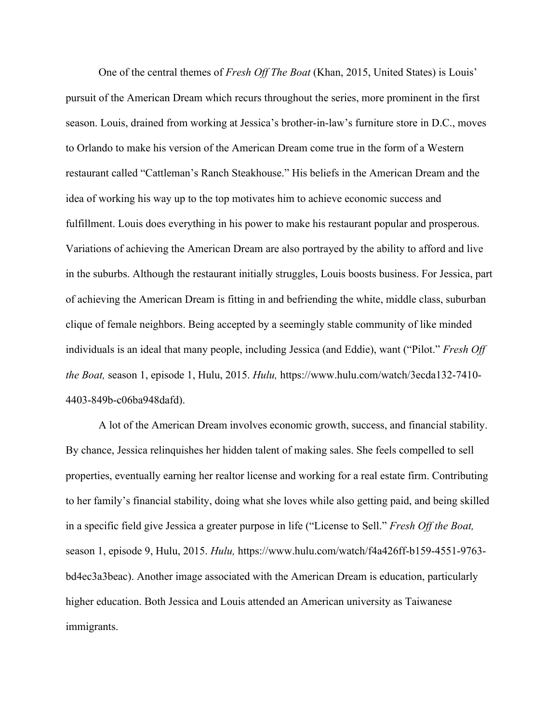One of the central themes of *Fresh Off The Boat* (Khan, 2015, United States) is Louis' pursuit of the American Dream which recurs throughout the series, more prominent in the first season. Louis, drained from working at Jessica's brother-in-law's furniture store in D.C., moves to Orlando to make his version of the American Dream come true in the form of a Western restaurant called "Cattleman's Ranch Steakhouse." His beliefs in the American Dream and the idea of working his way up to the top motivates him to achieve economic success and fulfillment. Louis does everything in his power to make his restaurant popular and prosperous. Variations of achieving the American Dream are also portrayed by the ability to afford and live in the suburbs. Although the restaurant initially struggles, Louis boosts business. For Jessica, part of achieving the American Dream is fitting in and befriending the white, middle class, suburban clique of female neighbors. Being accepted by a seemingly stable community of like minded individuals is an ideal that many people, including Jessica (and Eddie), want ("Pilot." *Fresh Off the Boat,* season 1, episode 1, Hulu, 2015. *Hulu,* https://www.hulu.com/watch/3ecda132-7410- 4403-849b-c06ba948dafd).

A lot of the American Dream involves economic growth, success, and financial stability. By chance, Jessica relinquishes her hidden talent of making sales. She feels compelled to sell properties, eventually earning her realtor license and working for a real estate firm. Contributing to her family's financial stability, doing what she loves while also getting paid, and being skilled in a specific field give Jessica a greater purpose in life ("License to Sell." *Fresh Off the Boat,* season 1, episode 9, Hulu, 2015. *Hulu,* https://www.hulu.com/watch/f4a426ff-b159-4551-9763 bd4ec3a3beac). Another image associated with the American Dream is education, particularly higher education. Both Jessica and Louis attended an American university as Taiwanese immigrants.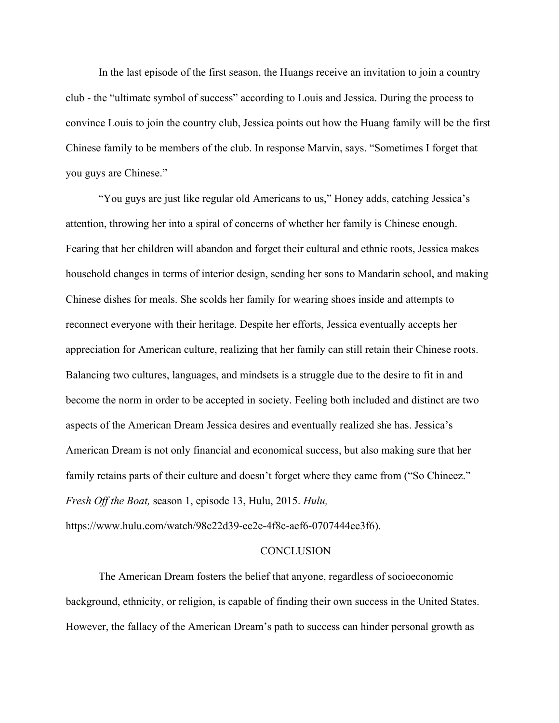In the last episode of the first season, the Huangs receive an invitation to join a country club - the "ultimate symbol of success" according to Louis and Jessica. During the process to convince Louis to join the country club, Jessica points out how the Huang family will be the first Chinese family to be members of the club. In response Marvin, says. "Sometimes I forget that you guys are Chinese."

"You guys are just like regular old Americans to us," Honey adds, catching Jessica's attention, throwing her into a spiral of concerns of whether her family is Chinese enough. Fearing that her children will abandon and forget their cultural and ethnic roots, Jessica makes household changes in terms of interior design, sending her sons to Mandarin school, and making Chinese dishes for meals. She scolds her family for wearing shoes inside and attempts to reconnect everyone with their heritage. Despite her efforts, Jessica eventually accepts her appreciation for American culture, realizing that her family can still retain their Chinese roots. Balancing two cultures, languages, and mindsets is a struggle due to the desire to fit in and become the norm in order to be accepted in society. Feeling both included and distinct are two aspects of the American Dream Jessica desires and eventually realized she has. Jessica's American Dream is not only financial and economical success, but also making sure that her family retains parts of their culture and doesn't forget where they came from ("So Chineez." *Fresh Off the Boat,* season 1, episode 13, Hulu, 2015. *Hulu,*

https://www.hulu.com/watch/98c22d39-ee2e-4f8c-aef6-0707444ee3f6).

#### **CONCLUSION**

The American Dream fosters the belief that anyone, regardless of socioeconomic background, ethnicity, or religion, is capable of finding their own success in the United States. However, the fallacy of the American Dream's path to success can hinder personal growth as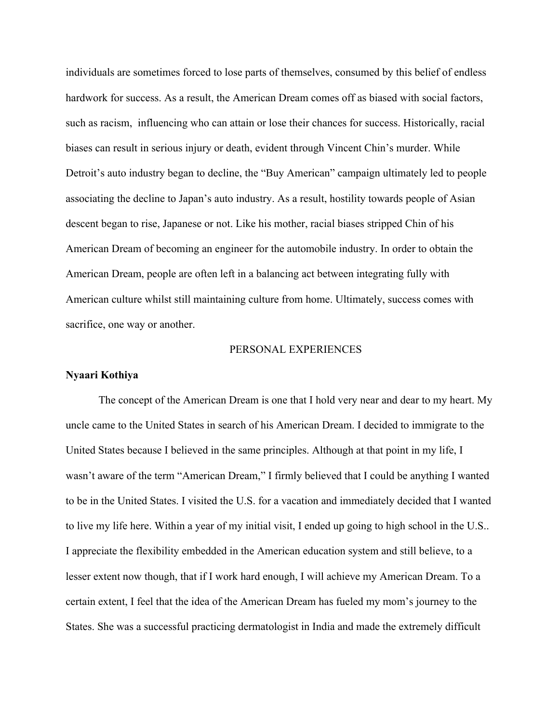individuals are sometimes forced to lose parts of themselves, consumed by this belief of endless hardwork for success. As a result, the American Dream comes off as biased with social factors, such as racism, influencing who can attain or lose their chances for success. Historically, racial biases can result in serious injury or death, evident through Vincent Chin's murder. While Detroit's auto industry began to decline, the "Buy American" campaign ultimately led to people associating the decline to Japan's auto industry. As a result, hostility towards people of Asian descent began to rise, Japanese or not. Like his mother, racial biases stripped Chin of his American Dream of becoming an engineer for the automobile industry. In order to obtain the American Dream, people are often left in a balancing act between integrating fully with American culture whilst still maintaining culture from home. Ultimately, success comes with sacrifice, one way or another.

## PERSONAL EXPERIENCES

## **Nyaari Kothiya**

The concept of the American Dream is one that I hold very near and dear to my heart. My uncle came to the United States in search of his American Dream. I decided to immigrate to the United States because I believed in the same principles. Although at that point in my life, I wasn't aware of the term "American Dream," I firmly believed that I could be anything I wanted to be in the United States. I visited the U.S. for a vacation and immediately decided that I wanted to live my life here. Within a year of my initial visit, I ended up going to high school in the U.S.. I appreciate the flexibility embedded in the American education system and still believe, to a lesser extent now though, that if I work hard enough, I will achieve my American Dream. To a certain extent, I feel that the idea of the American Dream has fueled my mom's journey to the States. She was a successful practicing dermatologist in India and made the extremely difficult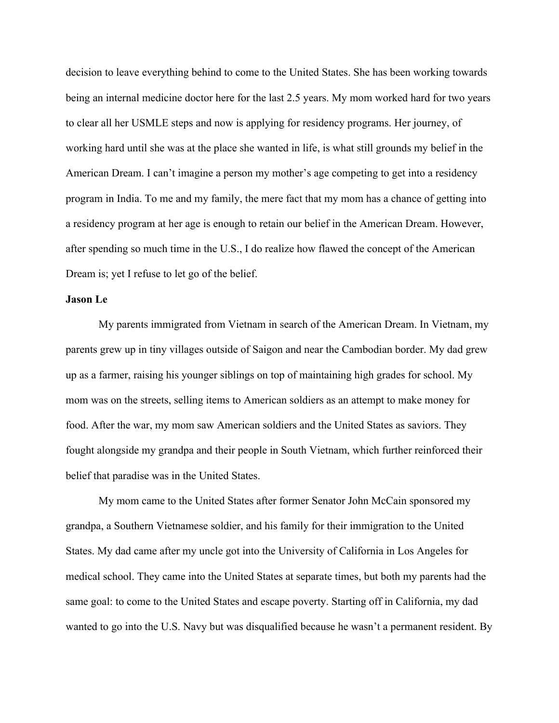decision to leave everything behind to come to the United States. She has been working towards being an internal medicine doctor here for the last 2.5 years. My mom worked hard for two years to clear all her USMLE steps and now is applying for residency programs. Her journey, of working hard until she was at the place she wanted in life, is what still grounds my belief in the American Dream. I can't imagine a person my mother's age competing to get into a residency program in India. To me and my family, the mere fact that my mom has a chance of getting into a residency program at her age is enough to retain our belief in the American Dream. However, after spending so much time in the U.S., I do realize how flawed the concept of the American Dream is; yet I refuse to let go of the belief.

## **Jason Le**

My parents immigrated from Vietnam in search of the American Dream. In Vietnam, my parents grew up in tiny villages outside of Saigon and near the Cambodian border. My dad grew up as a farmer, raising his younger siblings on top of maintaining high grades for school. My mom was on the streets, selling items to American soldiers as an attempt to make money for food. After the war, my mom saw American soldiers and the United States as saviors. They fought alongside my grandpa and their people in South Vietnam, which further reinforced their belief that paradise was in the United States.

My mom came to the United States after former Senator John McCain sponsored my grandpa, a Southern Vietnamese soldier, and his family for their immigration to the United States. My dad came after my uncle got into the University of California in Los Angeles for medical school. They came into the United States at separate times, but both my parents had the same goal: to come to the United States and escape poverty. Starting off in California, my dad wanted to go into the U.S. Navy but was disqualified because he wasn't a permanent resident. By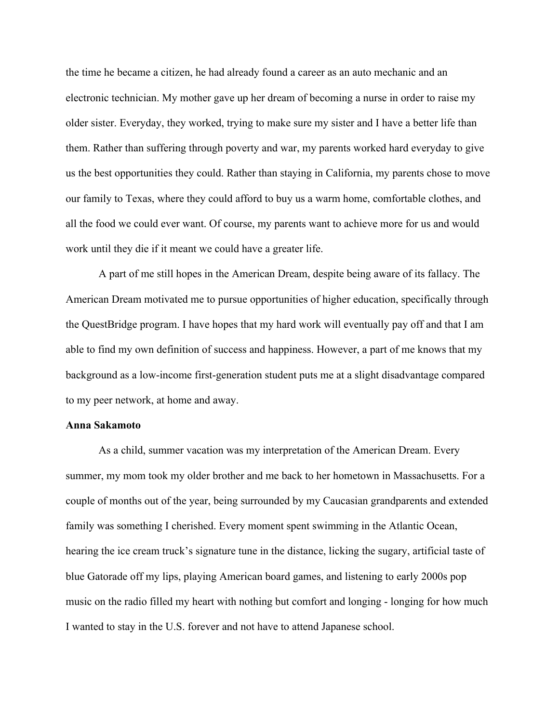the time he became a citizen, he had already found a career as an auto mechanic and an electronic technician. My mother gave up her dream of becoming a nurse in order to raise my older sister. Everyday, they worked, trying to make sure my sister and I have a better life than them. Rather than suffering through poverty and war, my parents worked hard everyday to give us the best opportunities they could. Rather than staying in California, my parents chose to move our family to Texas, where they could afford to buy us a warm home, comfortable clothes, and all the food we could ever want. Of course, my parents want to achieve more for us and would work until they die if it meant we could have a greater life.

A part of me still hopes in the American Dream, despite being aware of its fallacy. The American Dream motivated me to pursue opportunities of higher education, specifically through the QuestBridge program. I have hopes that my hard work will eventually pay off and that I am able to find my own definition of success and happiness. However, a part of me knows that my background as a low-income first-generation student puts me at a slight disadvantage compared to my peer network, at home and away.

## **Anna Sakamoto**

As a child, summer vacation was my interpretation of the American Dream. Every summer, my mom took my older brother and me back to her hometown in Massachusetts. For a couple of months out of the year, being surrounded by my Caucasian grandparents and extended family was something I cherished. Every moment spent swimming in the Atlantic Ocean, hearing the ice cream truck's signature tune in the distance, licking the sugary, artificial taste of blue Gatorade off my lips, playing American board games, and listening to early 2000s pop music on the radio filled my heart with nothing but comfort and longing - longing for how much I wanted to stay in the U.S. forever and not have to attend Japanese school.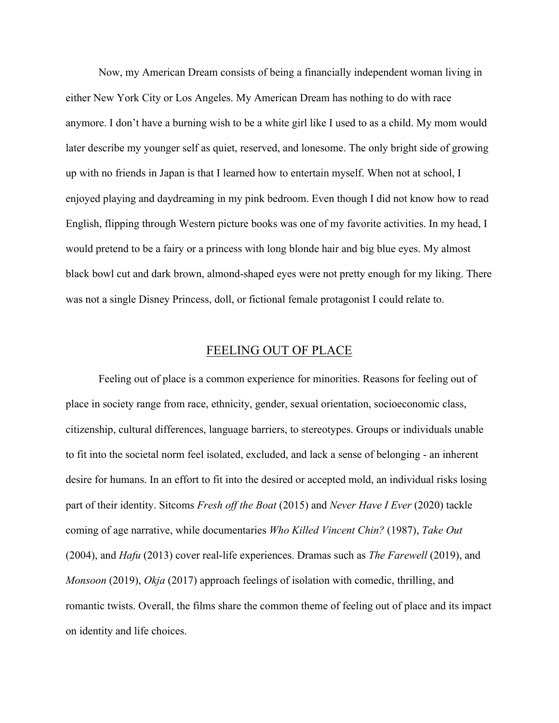Now, my American Dream consists of being a financially independent woman living in either New York City or Los Angeles. My American Dream has nothing to do with race anymore. I don't have a burning wish to be a white girl like I used to as a child. My mom would later describe my younger self as quiet, reserved, and lonesome. The only bright side of growing up with no friends in Japan is that I learned how to entertain myself. When not at school, I enjoyed playing and daydreaming in my pink bedroom. Even though I did not know how to read English, flipping through Western picture books was one of my favorite activities. In my head, I would pretend to be a fairy or a princess with long blonde hair and big blue eyes. My almost black bowl cut and dark brown, almond-shaped eyes were not pretty enough for my liking. There was not a single Disney Princess, doll, or fictional female protagonist I could relate to.

# FEELING OUT OF PLACE

Feeling out of place is a common experience for minorities. Reasons for feeling out of place in society range from race, ethnicity, gender, sexual orientation, socioeconomic class, citizenship, cultural differences, language barriers, to stereotypes. Groups or individuals unable to fit into the societal norm feel isolated, excluded, and lack a sense of belonging - an inherent desire for humans. In an effort to fit into the desired or accepted mold, an individual risks losing part of their identity. Sitcoms *Fresh off the Boat* (2015) and *Never Have I Ever* (2020) tackle coming of age narrative, while documentaries *Who Killed Vincent Chin?* (1987), *Take Out* (2004), and *Hafu* (2013) cover real-life experiences. Dramas such as *The Farewell* (2019), and *Monsoon* (2019), *Okja* (2017) approach feelings of isolation with comedic, thrilling, and romantic twists. Overall, the films share the common theme of feeling out of place and its impact on identity and life choices.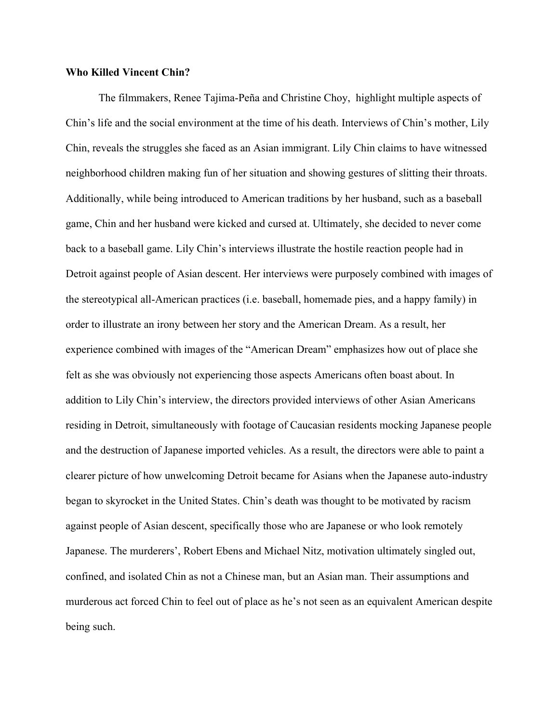## **Who Killed Vincent Chin?**

The filmmakers, Renee Tajima-Peña and Christine Choy, highlight multiple aspects of Chin's life and the social environment at the time of his death. Interviews of Chin's mother, Lily Chin, reveals the struggles she faced as an Asian immigrant. Lily Chin claims to have witnessed neighborhood children making fun of her situation and showing gestures of slitting their throats. Additionally, while being introduced to American traditions by her husband, such as a baseball game, Chin and her husband were kicked and cursed at. Ultimately, she decided to never come back to a baseball game. Lily Chin's interviews illustrate the hostile reaction people had in Detroit against people of Asian descent. Her interviews were purposely combined with images of the stereotypical all-American practices (i.e. baseball, homemade pies, and a happy family) in order to illustrate an irony between her story and the American Dream. As a result, her experience combined with images of the "American Dream" emphasizes how out of place she felt as she was obviously not experiencing those aspects Americans often boast about. In addition to Lily Chin's interview, the directors provided interviews of other Asian Americans residing in Detroit, simultaneously with footage of Caucasian residents mocking Japanese people and the destruction of Japanese imported vehicles. As a result, the directors were able to paint a clearer picture of how unwelcoming Detroit became for Asians when the Japanese auto-industry began to skyrocket in the United States. Chin's death was thought to be motivated by racism against people of Asian descent, specifically those who are Japanese or who look remotely Japanese. The murderers', Robert Ebens and Michael Nitz, motivation ultimately singled out, confined, and isolated Chin as not a Chinese man, but an Asian man. Their assumptions and murderous act forced Chin to feel out of place as he's not seen as an equivalent American despite being such.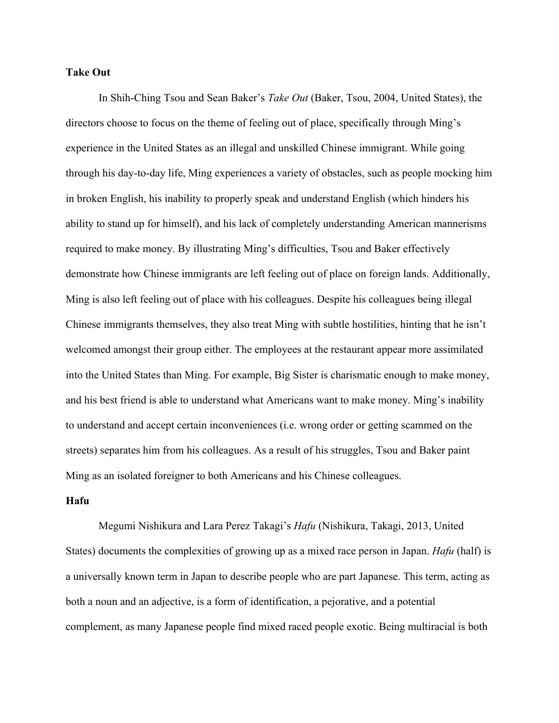## **Take Out**

In Shih-Ching Tsou and Sean Baker's *Take Out* (Baker, Tsou, 2004, United States), the directors choose to focus on the theme of feeling out of place, specifically through Ming's experience in the United States as an illegal and unskilled Chinese immigrant. While going through his day-to-day life, Ming experiences a variety of obstacles, such as people mocking him in broken English, his inability to properly speak and understand English (which hinders his ability to stand up for himself), and his lack of completely understanding American mannerisms required to make money. By illustrating Ming's difficulties, Tsou and Baker effectively demonstrate how Chinese immigrants are left feeling out of place on foreign lands. Additionally, Ming is also left feeling out of place with his colleagues. Despite his colleagues being illegal Chinese immigrants themselves, they also treat Ming with subtle hostilities, hinting that he isn't welcomed amongst their group either. The employees at the restaurant appear more assimilated into the United States than Ming. For example, Big Sister is charismatic enough to make money, and his best friend is able to understand what Americans want to make money. Ming's inability to understand and accept certain inconveniences (i.e. wrong order or getting scammed on the streets) separates him from his colleagues. As a result of his struggles, Tsou and Baker paint Ming as an isolated foreigner to both Americans and his Chinese colleagues.

## **Hafu**

Megumi Nishikura and Lara Perez Takagi's *Hafu* (Nishikura, Takagi, 2013, United States) documents the complexities of growing up as a mixed race person in Japan. *Hafu* (half) is a universally known term in Japan to describe people who are part Japanese. This term, acting as both a noun and an adjective, is a form of identification, a pejorative, and a potential complement, as many Japanese people find mixed raced people exotic. Being multiracial is both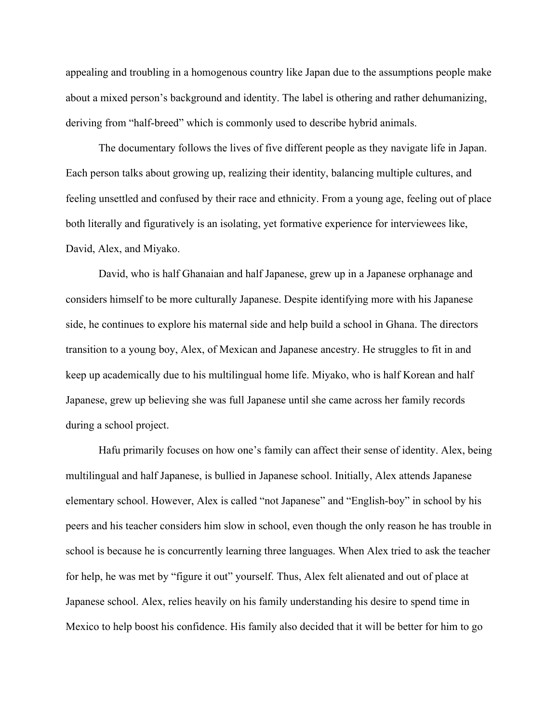appealing and troubling in a homogenous country like Japan due to the assumptions people make about a mixed person's background and identity. The label is othering and rather dehumanizing, deriving from "half-breed" which is commonly used to describe hybrid animals.

The documentary follows the lives of five different people as they navigate life in Japan. Each person talks about growing up, realizing their identity, balancing multiple cultures, and feeling unsettled and confused by their race and ethnicity. From a young age, feeling out of place both literally and figuratively is an isolating, yet formative experience for interviewees like, David, Alex, and Miyako.

David, who is half Ghanaian and half Japanese, grew up in a Japanese orphanage and considers himself to be more culturally Japanese. Despite identifying more with his Japanese side, he continues to explore his maternal side and help build a school in Ghana. The directors transition to a young boy, Alex, of Mexican and Japanese ancestry. He struggles to fit in and keep up academically due to his multilingual home life. Miyako, who is half Korean and half Japanese, grew up believing she was full Japanese until she came across her family records during a school project.

Hafu primarily focuses on how one's family can affect their sense of identity. Alex, being multilingual and half Japanese, is bullied in Japanese school. Initially, Alex attends Japanese elementary school. However, Alex is called "not Japanese" and "English-boy" in school by his peers and his teacher considers him slow in school, even though the only reason he has trouble in school is because he is concurrently learning three languages. When Alex tried to ask the teacher for help, he was met by "figure it out" yourself. Thus, Alex felt alienated and out of place at Japanese school. Alex, relies heavily on his family understanding his desire to spend time in Mexico to help boost his confidence. His family also decided that it will be better for him to go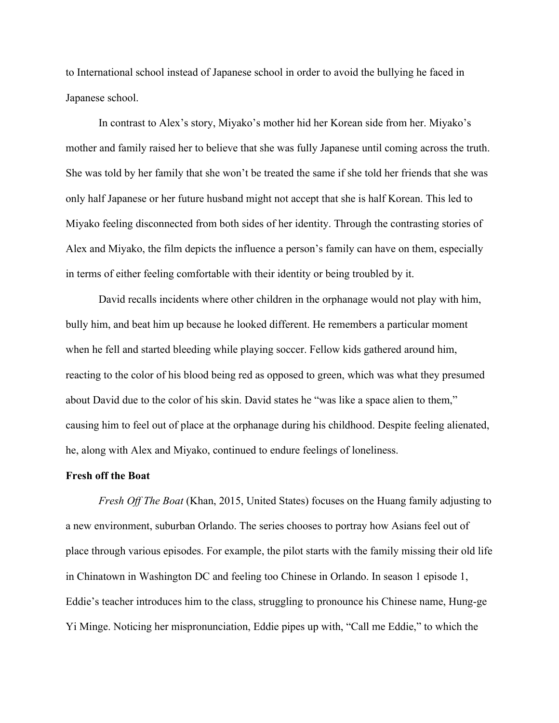to International school instead of Japanese school in order to avoid the bullying he faced in Japanese school.

In contrast to Alex's story, Miyako's mother hid her Korean side from her. Miyako's mother and family raised her to believe that she was fully Japanese until coming across the truth. She was told by her family that she won't be treated the same if she told her friends that she was only half Japanese or her future husband might not accept that she is half Korean. This led to Miyako feeling disconnected from both sides of her identity. Through the contrasting stories of Alex and Miyako, the film depicts the influence a person's family can have on them, especially in terms of either feeling comfortable with their identity or being troubled by it.

David recalls incidents where other children in the orphanage would not play with him, bully him, and beat him up because he looked different. He remembers a particular moment when he fell and started bleeding while playing soccer. Fellow kids gathered around him, reacting to the color of his blood being red as opposed to green, which was what they presumed about David due to the color of his skin. David states he "was like a space alien to them," causing him to feel out of place at the orphanage during his childhood. Despite feeling alienated, he, along with Alex and Miyako, continued to endure feelings of loneliness.

#### **Fresh off the Boat**

*Fresh Off The Boat* (Khan, 2015, United States) focuses on the Huang family adjusting to a new environment, suburban Orlando. The series chooses to portray how Asians feel out of place through various episodes. For example, the pilot starts with the family missing their old life in Chinatown in Washington DC and feeling too Chinese in Orlando. In season 1 episode 1, Eddie's teacher introduces him to the class, struggling to pronounce his Chinese name, Hung-ge Yi Minge. Noticing her mispronunciation, Eddie pipes up with, "Call me Eddie," to which the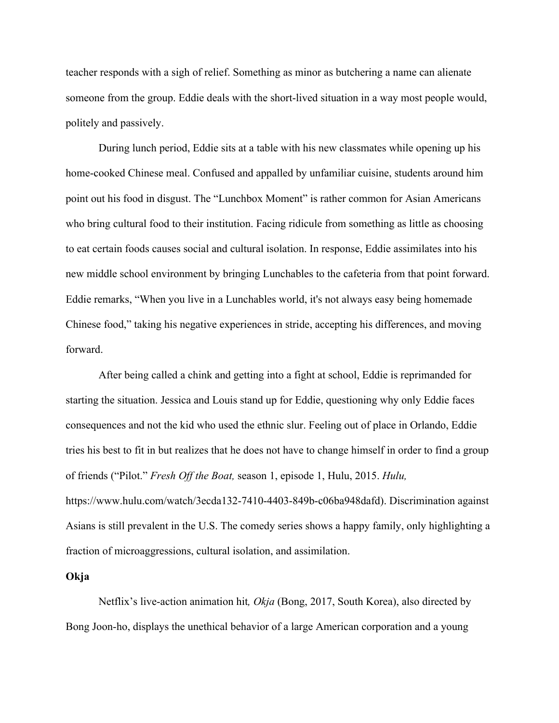teacher responds with a sigh of relief. Something as minor as butchering a name can alienate someone from the group. Eddie deals with the short-lived situation in a way most people would, politely and passively.

During lunch period, Eddie sits at a table with his new classmates while opening up his home-cooked Chinese meal. Confused and appalled by unfamiliar cuisine, students around him point out his food in disgust. The "Lunchbox Moment" is rather common for Asian Americans who bring cultural food to their institution. Facing ridicule from something as little as choosing to eat certain foods causes social and cultural isolation. In response, Eddie assimilates into his new middle school environment by bringing Lunchables to the cafeteria from that point forward. Eddie remarks, "When you live in a Lunchables world, it's not always easy being homemade Chinese food," taking his negative experiences in stride, accepting his differences, and moving forward.

After being called a chink and getting into a fight at school, Eddie is reprimanded for starting the situation. Jessica and Louis stand up for Eddie, questioning why only Eddie faces consequences and not the kid who used the ethnic slur. Feeling out of place in Orlando, Eddie tries his best to fit in but realizes that he does not have to change himself in order to find a group of friends ("Pilot." *Fresh Off the Boat,* season 1, episode 1, Hulu, 2015. *Hulu,* https://www.hulu.com/watch/3ecda132-7410-4403-849b-c06ba948dafd). Discrimination against Asians is still prevalent in the U.S. The comedy series shows a happy family, only highlighting a fraction of microaggressions, cultural isolation, and assimilation.

#### **Okja**

Netflix's live-action animation hit*, Okja* (Bong, 2017, South Korea), also directed by Bong Joon-ho, displays the unethical behavior of a large American corporation and a young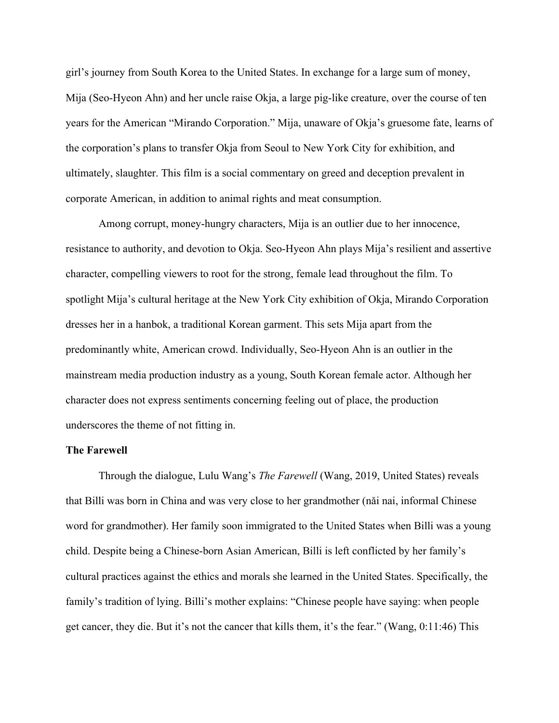girl's journey from South Korea to the United States. In exchange for a large sum of money, Mija (Seo-Hyeon Ahn) and her uncle raise Okja, a large pig-like creature, over the course of ten years for the American "Mirando Corporation." Mija, unaware of Okja's gruesome fate, learns of the corporation's plans to transfer Okja from Seoul to New York City for exhibition, and ultimately, slaughter. This film is a social commentary on greed and deception prevalent in corporate American, in addition to animal rights and meat consumption.

Among corrupt, money-hungry characters, Mija is an outlier due to her innocence, resistance to authority, and devotion to Okja. Seo-Hyeon Ahn plays Mija's resilient and assertive character, compelling viewers to root for the strong, female lead throughout the film. To spotlight Mija's cultural heritage at the New York City exhibition of Okja, Mirando Corporation dresses her in a hanbok, a traditional Korean garment. This sets Mija apart from the predominantly white, American crowd. Individually, Seo-Hyeon Ahn is an outlier in the mainstream media production industry as a young, South Korean female actor. Although her character does not express sentiments concerning feeling out of place, the production underscores the theme of not fitting in.

## **The Farewell**

Through the dialogue, Lulu Wang's *The Farewell* (Wang, 2019, United States) reveals that Billi was born in China and was very close to her grandmother (nǎi nai, informal Chinese word for grandmother). Her family soon immigrated to the United States when Billi was a young child. Despite being a Chinese-born Asian American, Billi is left conflicted by her family's cultural practices against the ethics and morals she learned in the United States. Specifically, the family's tradition of lying. Billi's mother explains: "Chinese people have saying: when people get cancer, they die. But it's not the cancer that kills them, it's the fear." (Wang, 0:11:46) This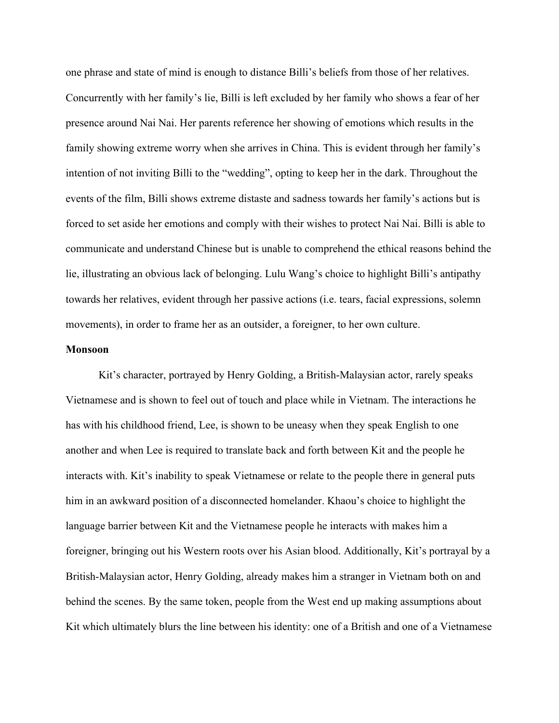one phrase and state of mind is enough to distance Billi's beliefs from those of her relatives. Concurrently with her family's lie, Billi is left excluded by her family who shows a fear of her presence around Nai Nai. Her parents reference her showing of emotions which results in the family showing extreme worry when she arrives in China. This is evident through her family's intention of not inviting Billi to the "wedding", opting to keep her in the dark. Throughout the events of the film, Billi shows extreme distaste and sadness towards her family's actions but is forced to set aside her emotions and comply with their wishes to protect Nai Nai. Billi is able to communicate and understand Chinese but is unable to comprehend the ethical reasons behind the lie, illustrating an obvious lack of belonging. Lulu Wang's choice to highlight Billi's antipathy towards her relatives, evident through her passive actions (i.e. tears, facial expressions, solemn movements), in order to frame her as an outsider, a foreigner, to her own culture.

## **Monsoon**

Kit's character, portrayed by Henry Golding, a British-Malaysian actor, rarely speaks Vietnamese and is shown to feel out of touch and place while in Vietnam. The interactions he has with his childhood friend, Lee, is shown to be uneasy when they speak English to one another and when Lee is required to translate back and forth between Kit and the people he interacts with. Kit's inability to speak Vietnamese or relate to the people there in general puts him in an awkward position of a disconnected homelander. Khaou's choice to highlight the language barrier between Kit and the Vietnamese people he interacts with makes him a foreigner, bringing out his Western roots over his Asian blood. Additionally, Kit's portrayal by a British-Malaysian actor, Henry Golding, already makes him a stranger in Vietnam both on and behind the scenes. By the same token, people from the West end up making assumptions about Kit which ultimately blurs the line between his identity: one of a British and one of a Vietnamese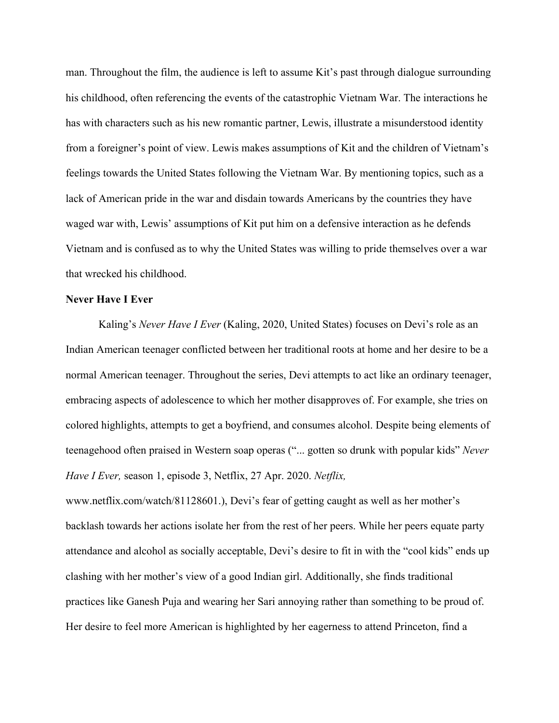man. Throughout the film, the audience is left to assume Kit's past through dialogue surrounding his childhood, often referencing the events of the catastrophic Vietnam War. The interactions he has with characters such as his new romantic partner, Lewis, illustrate a misunderstood identity from a foreigner's point of view. Lewis makes assumptions of Kit and the children of Vietnam's feelings towards the United States following the Vietnam War. By mentioning topics, such as a lack of American pride in the war and disdain towards Americans by the countries they have waged war with, Lewis' assumptions of Kit put him on a defensive interaction as he defends Vietnam and is confused as to why the United States was willing to pride themselves over a war that wrecked his childhood.

# **Never Have I Ever**

Kaling's *Never Have I Ever* (Kaling, 2020, United States) focuses on Devi's role as an Indian American teenager conflicted between her traditional roots at home and her desire to be a normal American teenager. Throughout the series, Devi attempts to act like an ordinary teenager, embracing aspects of adolescence to which her mother disapproves of. For example, she tries on colored highlights, attempts to get a boyfriend, and consumes alcohol. Despite being elements of teenagehood often praised in Western soap operas ("... gotten so drunk with popular kids" *Never Have I Ever,* season 1, episode 3, Netflix, 27 Apr. 2020. *Netflix,*

www.netflix.com/watch/81128601.), Devi's fear of getting caught as well as her mother's backlash towards her actions isolate her from the rest of her peers. While her peers equate party attendance and alcohol as socially acceptable, Devi's desire to fit in with the "cool kids" ends up clashing with her mother's view of a good Indian girl. Additionally, she finds traditional practices like Ganesh Puja and wearing her Sari annoying rather than something to be proud of. Her desire to feel more American is highlighted by her eagerness to attend Princeton, find a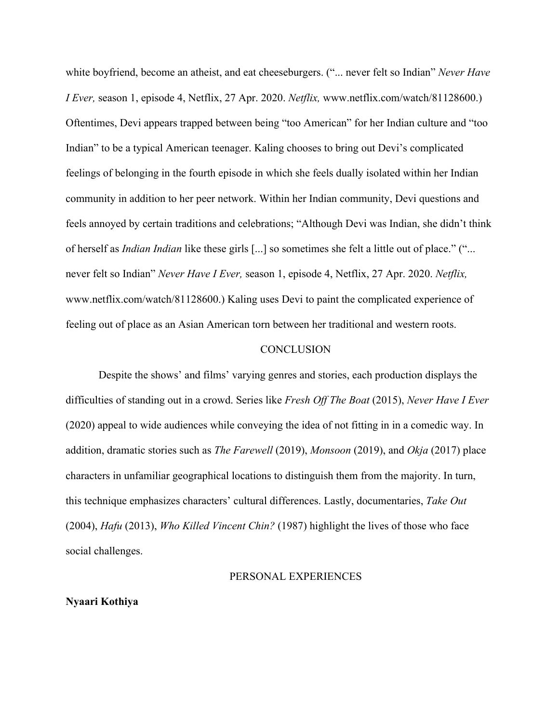white boyfriend, become an atheist, and eat cheeseburgers. ("... never felt so Indian" *Never Have I Ever,* season 1, episode 4, Netflix, 27 Apr. 2020. *Netflix,* www.netflix.com/watch/81128600.) Oftentimes, Devi appears trapped between being "too American" for her Indian culture and "too Indian" to be a typical American teenager. Kaling chooses to bring out Devi's complicated feelings of belonging in the fourth episode in which she feels dually isolated within her Indian community in addition to her peer network. Within her Indian community, Devi questions and feels annoyed by certain traditions and celebrations; "Although Devi was Indian, she didn't think of herself as *Indian Indian* like these girls [...] so sometimes she felt a little out of place." ("... never felt so Indian" *Never Have I Ever,* season 1, episode 4, Netflix, 27 Apr. 2020. *Netflix,* www.netflix.com/watch/81128600.) Kaling uses Devi to paint the complicated experience of feeling out of place as an Asian American torn between her traditional and western roots.

#### **CONCLUSION**

Despite the shows' and films' varying genres and stories, each production displays the difficulties of standing out in a crowd. Series like *Fresh Off The Boat* (2015), *Never Have I Ever*  (2020) appeal to wide audiences while conveying the idea of not fitting in in a comedic way. In addition, dramatic stories such as *The Farewell* (2019), *Monsoon* (2019), and *Okja* (2017) place characters in unfamiliar geographical locations to distinguish them from the majority. In turn, this technique emphasizes characters' cultural differences. Lastly, documentaries, *Take Out* (2004), *Hafu* (2013), *Who Killed Vincent Chin?* (1987) highlight the lives of those who face social challenges.

#### PERSONAL EXPERIENCES

## **Nyaari Kothiya**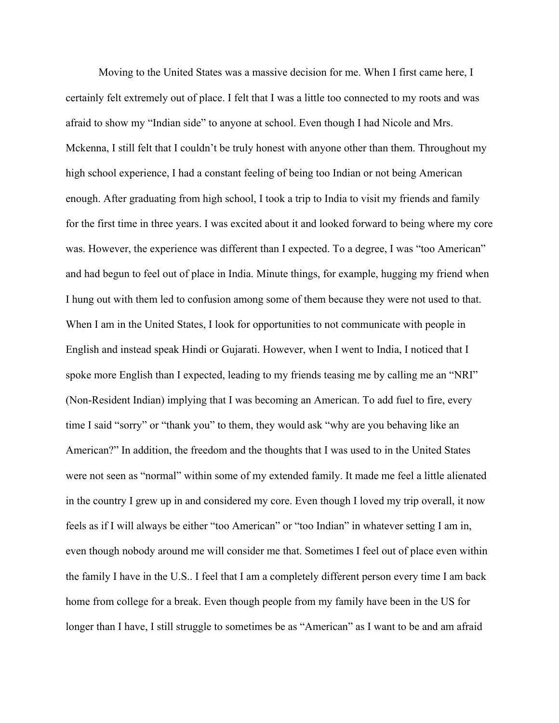Moving to the United States was a massive decision for me. When I first came here, I certainly felt extremely out of place. I felt that I was a little too connected to my roots and was afraid to show my "Indian side" to anyone at school. Even though I had Nicole and Mrs. Mckenna, I still felt that I couldn't be truly honest with anyone other than them. Throughout my high school experience, I had a constant feeling of being too Indian or not being American enough. After graduating from high school, I took a trip to India to visit my friends and family for the first time in three years. I was excited about it and looked forward to being where my core was. However, the experience was different than I expected. To a degree, I was "too American" and had begun to feel out of place in India. Minute things, for example, hugging my friend when I hung out with them led to confusion among some of them because they were not used to that. When I am in the United States, I look for opportunities to not communicate with people in English and instead speak Hindi or Gujarati. However, when I went to India, I noticed that I spoke more English than I expected, leading to my friends teasing me by calling me an "NRI" (Non-Resident Indian) implying that I was becoming an American. To add fuel to fire, every time I said "sorry" or "thank you" to them, they would ask "why are you behaving like an American?" In addition, the freedom and the thoughts that I was used to in the United States were not seen as "normal" within some of my extended family. It made me feel a little alienated in the country I grew up in and considered my core. Even though I loved my trip overall, it now feels as if I will always be either "too American" or "too Indian" in whatever setting I am in, even though nobody around me will consider me that. Sometimes I feel out of place even within the family I have in the U.S.. I feel that I am a completely different person every time I am back home from college for a break. Even though people from my family have been in the US for longer than I have, I still struggle to sometimes be as "American" as I want to be and am afraid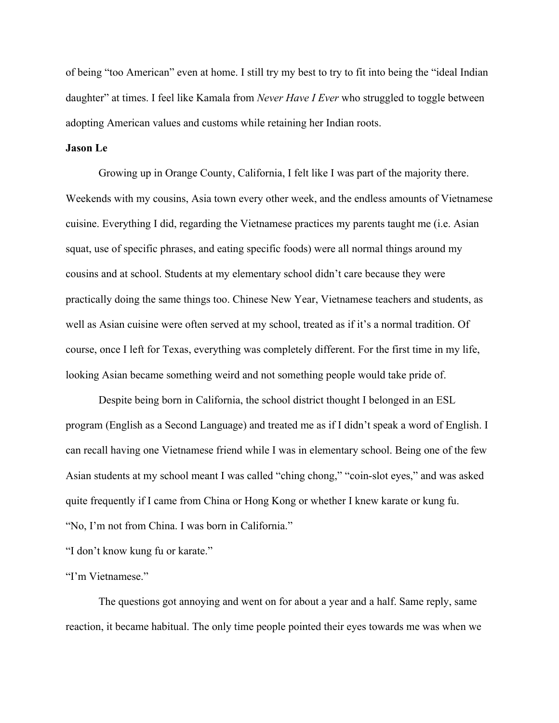of being "too American" even at home. I still try my best to try to fit into being the "ideal Indian daughter" at times. I feel like Kamala from *Never Have I Ever* who struggled to toggle between adopting American values and customs while retaining her Indian roots.

# **Jason Le**

Growing up in Orange County, California, I felt like I was part of the majority there. Weekends with my cousins, Asia town every other week, and the endless amounts of Vietnamese cuisine. Everything I did, regarding the Vietnamese practices my parents taught me (i.e. Asian squat, use of specific phrases, and eating specific foods) were all normal things around my cousins and at school. Students at my elementary school didn't care because they were practically doing the same things too. Chinese New Year, Vietnamese teachers and students, as well as Asian cuisine were often served at my school, treated as if it's a normal tradition. Of course, once I left for Texas, everything was completely different. For the first time in my life, looking Asian became something weird and not something people would take pride of.

Despite being born in California, the school district thought I belonged in an ESL program (English as a Second Language) and treated me as if I didn't speak a word of English. I can recall having one Vietnamese friend while I was in elementary school. Being one of the few Asian students at my school meant I was called "ching chong," "coin-slot eyes," and was asked quite frequently if I came from China or Hong Kong or whether I knew karate or kung fu. "No, I'm not from China. I was born in California."

"I don't know kung fu or karate."

#### "I'm Vietnamese."

The questions got annoying and went on for about a year and a half. Same reply, same reaction, it became habitual. The only time people pointed their eyes towards me was when we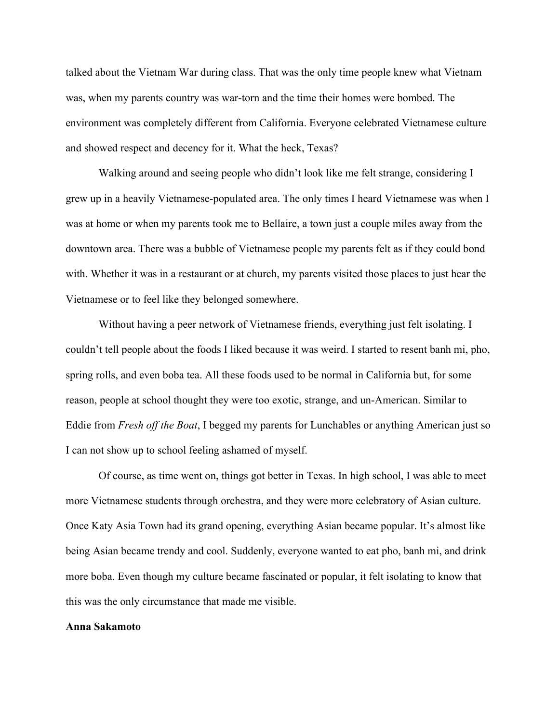talked about the Vietnam War during class. That was the only time people knew what Vietnam was, when my parents country was war-torn and the time their homes were bombed. The environment was completely different from California. Everyone celebrated Vietnamese culture and showed respect and decency for it. What the heck, Texas?

Walking around and seeing people who didn't look like me felt strange, considering I grew up in a heavily Vietnamese-populated area. The only times I heard Vietnamese was when I was at home or when my parents took me to Bellaire, a town just a couple miles away from the downtown area. There was a bubble of Vietnamese people my parents felt as if they could bond with. Whether it was in a restaurant or at church, my parents visited those places to just hear the Vietnamese or to feel like they belonged somewhere.

Without having a peer network of Vietnamese friends, everything just felt isolating. I couldn't tell people about the foods I liked because it was weird. I started to resent banh mi, pho, spring rolls, and even boba tea. All these foods used to be normal in California but, for some reason, people at school thought they were too exotic, strange, and un-American. Similar to Eddie from *Fresh off the Boat*, I begged my parents for Lunchables or anything American just so I can not show up to school feeling ashamed of myself.

Of course, as time went on, things got better in Texas. In high school, I was able to meet more Vietnamese students through orchestra, and they were more celebratory of Asian culture. Once Katy Asia Town had its grand opening, everything Asian became popular. It's almost like being Asian became trendy and cool. Suddenly, everyone wanted to eat pho, banh mi, and drink more boba. Even though my culture became fascinated or popular, it felt isolating to know that this was the only circumstance that made me visible.

#### **Anna Sakamoto**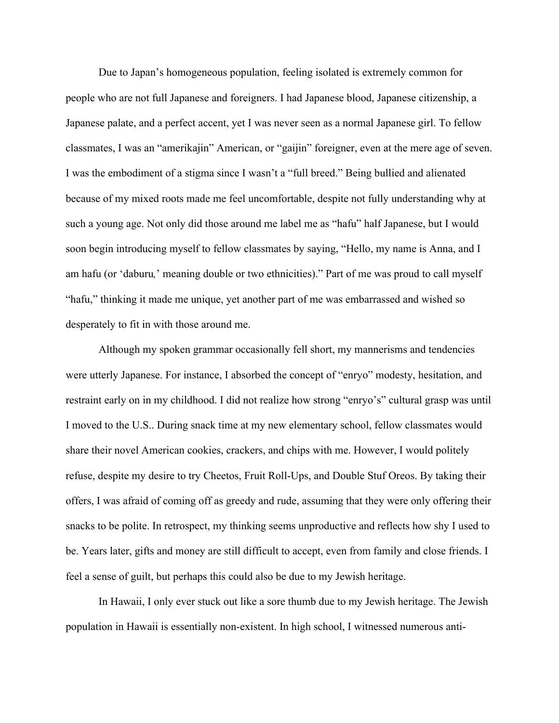Due to Japan's homogeneous population, feeling isolated is extremely common for people who are not full Japanese and foreigners. I had Japanese blood, Japanese citizenship, a Japanese palate, and a perfect accent, yet I was never seen as a normal Japanese girl. To fellow classmates, I was an "amerikajin" American, or "gaijin" foreigner, even at the mere age of seven. I was the embodiment of a stigma since I wasn't a "full breed." Being bullied and alienated because of my mixed roots made me feel uncomfortable, despite not fully understanding why at such a young age. Not only did those around me label me as "hafu" half Japanese, but I would soon begin introducing myself to fellow classmates by saying, "Hello, my name is Anna, and I am hafu (or 'daburu*,*' meaning double or two ethnicities)." Part of me was proud to call myself "hafu," thinking it made me unique, yet another part of me was embarrassed and wished so desperately to fit in with those around me.

Although my spoken grammar occasionally fell short, my mannerisms and tendencies were utterly Japanese. For instance, I absorbed the concept of "enryo" modesty, hesitation, and restraint early on in my childhood. I did not realize how strong "enryo's" cultural grasp was until I moved to the U.S.. During snack time at my new elementary school, fellow classmates would share their novel American cookies, crackers, and chips with me. However, I would politely refuse, despite my desire to try Cheetos, Fruit Roll-Ups, and Double Stuf Oreos. By taking their offers, I was afraid of coming off as greedy and rude, assuming that they were only offering their snacks to be polite. In retrospect, my thinking seems unproductive and reflects how shy I used to be. Years later, gifts and money are still difficult to accept, even from family and close friends. I feel a sense of guilt, but perhaps this could also be due to my Jewish heritage.

In Hawaii, I only ever stuck out like a sore thumb due to my Jewish heritage. The Jewish population in Hawaii is essentially non-existent. In high school, I witnessed numerous anti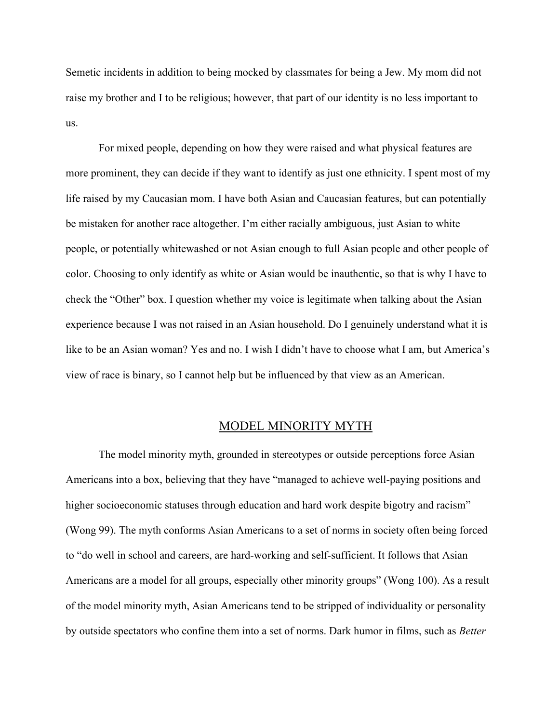Semetic incidents in addition to being mocked by classmates for being a Jew. My mom did not raise my brother and I to be religious; however, that part of our identity is no less important to us.

For mixed people, depending on how they were raised and what physical features are more prominent, they can decide if they want to identify as just one ethnicity. I spent most of my life raised by my Caucasian mom. I have both Asian and Caucasian features, but can potentially be mistaken for another race altogether. I'm either racially ambiguous, just Asian to white people, or potentially whitewashed or not Asian enough to full Asian people and other people of color. Choosing to only identify as white or Asian would be inauthentic, so that is why I have to check the "Other" box. I question whether my voice is legitimate when talking about the Asian experience because I was not raised in an Asian household. Do I genuinely understand what it is like to be an Asian woman? Yes and no. I wish I didn't have to choose what I am, but America's view of race is binary, so I cannot help but be influenced by that view as an American.

# MODEL MINORITY MYTH

The model minority myth, grounded in stereotypes or outside perceptions force Asian Americans into a box, believing that they have "managed to achieve well-paying positions and higher socioeconomic statuses through education and hard work despite bigotry and racism" (Wong 99). The myth conforms Asian Americans to a set of norms in society often being forced to "do well in school and careers, are hard-working and self-sufficient. It follows that Asian Americans are a model for all groups, especially other minority groups" (Wong 100). As a result of the model minority myth, Asian Americans tend to be stripped of individuality or personality by outside spectators who confine them into a set of norms. Dark humor in films, such as *Better*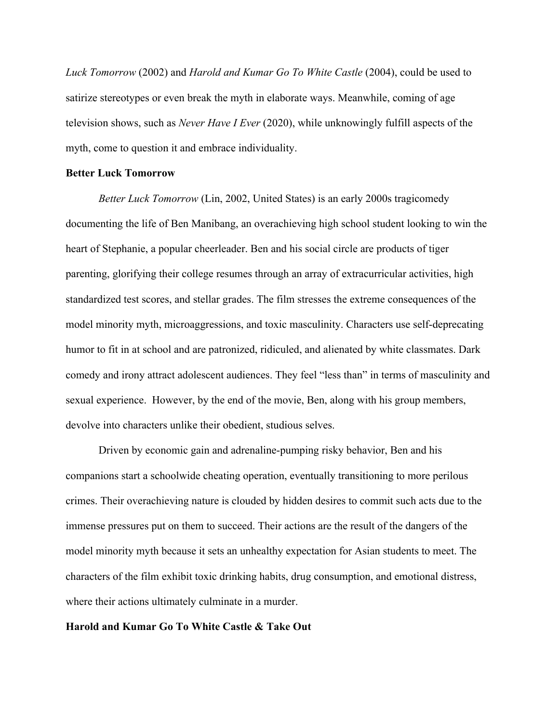*Luck Tomorrow* (2002) and *Harold and Kumar Go To White Castle* (2004), could be used to satirize stereotypes or even break the myth in elaborate ways. Meanwhile, coming of age television shows, such as *Never Have I Ever* (2020), while unknowingly fulfill aspects of the myth, come to question it and embrace individuality.

## **Better Luck Tomorrow**

*Better Luck Tomorrow* (Lin, 2002, United States) is an early 2000s tragicomedy documenting the life of Ben Manibang, an overachieving high school student looking to win the heart of Stephanie, a popular cheerleader. Ben and his social circle are products of tiger parenting, glorifying their college resumes through an array of extracurricular activities, high standardized test scores, and stellar grades. The film stresses the extreme consequences of the model minority myth, microaggressions, and toxic masculinity. Characters use self-deprecating humor to fit in at school and are patronized, ridiculed, and alienated by white classmates. Dark comedy and irony attract adolescent audiences. They feel "less than" in terms of masculinity and sexual experience. However, by the end of the movie, Ben, along with his group members, devolve into characters unlike their obedient, studious selves.

Driven by economic gain and adrenaline-pumping risky behavior, Ben and his companions start a schoolwide cheating operation, eventually transitioning to more perilous crimes. Their overachieving nature is clouded by hidden desires to commit such acts due to the immense pressures put on them to succeed. Their actions are the result of the dangers of the model minority myth because it sets an unhealthy expectation for Asian students to meet. The characters of the film exhibit toxic drinking habits, drug consumption, and emotional distress, where their actions ultimately culminate in a murder.

# **Harold and Kumar Go To White Castle & Take Out**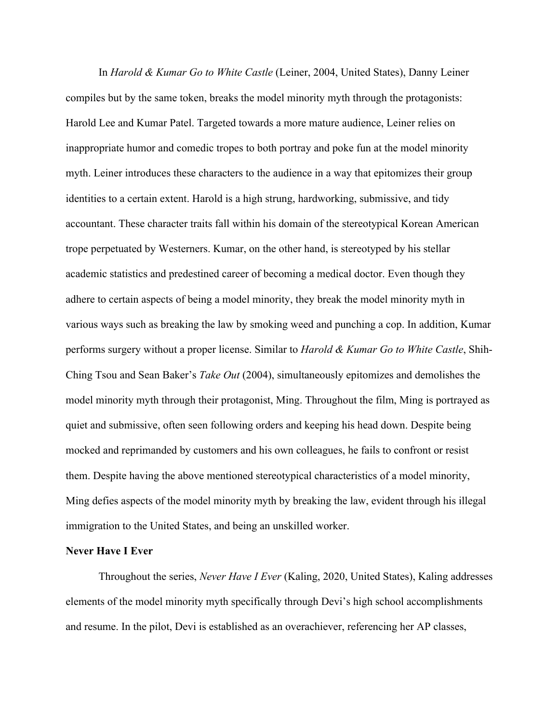In *Harold & Kumar Go to White Castle* (Leiner, 2004, United States), Danny Leiner compiles but by the same token, breaks the model minority myth through the protagonists: Harold Lee and Kumar Patel. Targeted towards a more mature audience, Leiner relies on inappropriate humor and comedic tropes to both portray and poke fun at the model minority myth. Leiner introduces these characters to the audience in a way that epitomizes their group identities to a certain extent. Harold is a high strung, hardworking, submissive, and tidy accountant. These character traits fall within his domain of the stereotypical Korean American trope perpetuated by Westerners. Kumar, on the other hand, is stereotyped by his stellar academic statistics and predestined career of becoming a medical doctor. Even though they adhere to certain aspects of being a model minority, they break the model minority myth in various ways such as breaking the law by smoking weed and punching a cop. In addition, Kumar performs surgery without a proper license. Similar to *Harold & Kumar Go to White Castle*, Shih-Ching Tsou and Sean Baker's *Take Out* (2004), simultaneously epitomizes and demolishes the model minority myth through their protagonist, Ming. Throughout the film, Ming is portrayed as quiet and submissive, often seen following orders and keeping his head down. Despite being mocked and reprimanded by customers and his own colleagues, he fails to confront or resist them. Despite having the above mentioned stereotypical characteristics of a model minority, Ming defies aspects of the model minority myth by breaking the law, evident through his illegal immigration to the United States, and being an unskilled worker.

#### **Never Have I Ever**

Throughout the series, *Never Have I Ever* (Kaling, 2020, United States), Kaling addresses elements of the model minority myth specifically through Devi's high school accomplishments and resume. In the pilot, Devi is established as an overachiever, referencing her AP classes,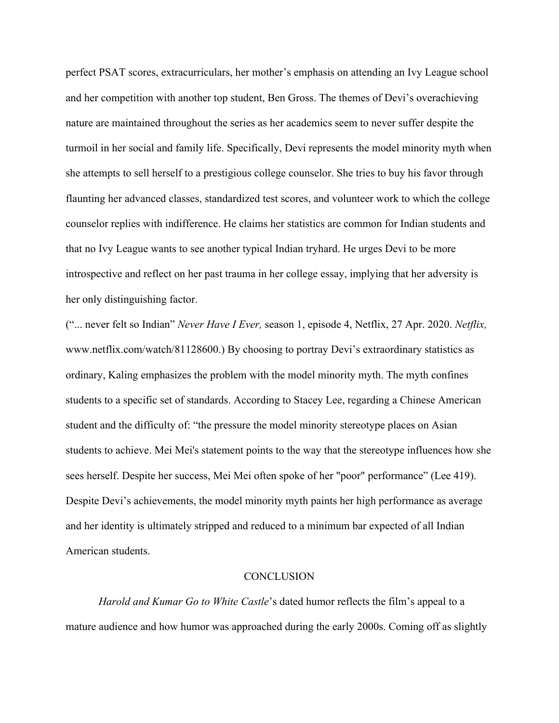perfect PSAT scores, extracurriculars, her mother's emphasis on attending an Ivy League school and her competition with another top student, Ben Gross. The themes of Devi's overachieving nature are maintained throughout the series as her academics seem to never suffer despite the turmoil in her social and family life. Specifically, Devi represents the model minority myth when she attempts to sell herself to a prestigious college counselor. She tries to buy his favor through flaunting her advanced classes, standardized test scores, and volunteer work to which the college counselor replies with indifference. He claims her statistics are common for Indian students and that no Ivy League wants to see another typical Indian tryhard. He urges Devi to be more introspective and reflect on her past trauma in her college essay, implying that her adversity is her only distinguishing factor.

("... never felt so Indian" *Never Have I Ever,* season 1, episode 4, Netflix, 27 Apr. 2020. *Netflix,* www.netflix.com/watch/81128600.) By choosing to portray Devi's extraordinary statistics as ordinary, Kaling emphasizes the problem with the model minority myth. The myth confines students to a specific set of standards. According to Stacey Lee, regarding a Chinese American student and the difficulty of: "the pressure the model minority stereotype places on Asian students to achieve. Mei Mei's statement points to the way that the stereotype influences how she sees herself. Despite her success, Mei Mei often spoke of her "poor" performance" (Lee 419). Despite Devi's achievements, the model minority myth paints her high performance as average and her identity is ultimately stripped and reduced to a minimum bar expected of all Indian American students.

#### **CONCLUSION**

*Harold and Kumar Go to White Castle*'s dated humor reflects the film's appeal to a mature audience and how humor was approached during the early 2000s. Coming off as slightly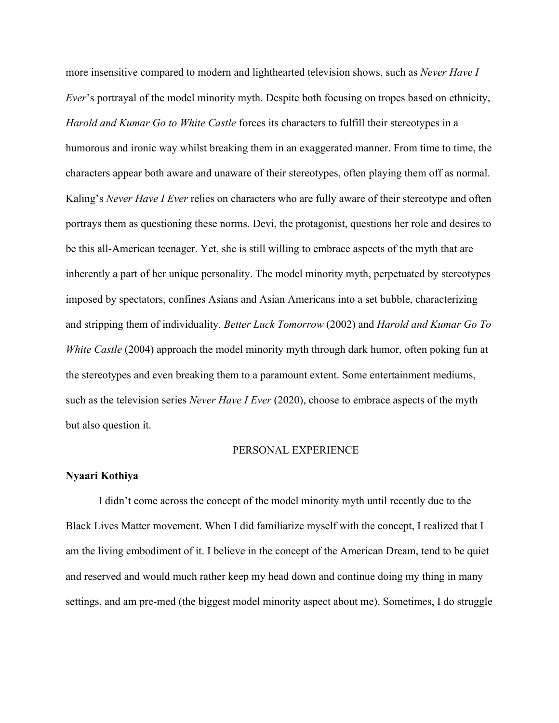more insensitive compared to modern and lighthearted television shows, such as *Never Have I Ever*'s portrayal of the model minority myth. Despite both focusing on tropes based on ethnicity, *Harold and Kumar Go to White Castle* forces its characters to fulfill their stereotypes in a humorous and ironic way whilst breaking them in an exaggerated manner. From time to time, the characters appear both aware and unaware of their stereotypes, often playing them off as normal. Kaling's *Never Have I Ever* relies on characters who are fully aware of their stereotype and often portrays them as questioning these norms. Devi, the protagonist, questions her role and desires to be this all-American teenager. Yet, she is still willing to embrace aspects of the myth that are inherently a part of her unique personality. The model minority myth, perpetuated by stereotypes imposed by spectators, confines Asians and Asian Americans into a set bubble, characterizing and stripping them of individuality. *Better Luck Tomorrow* (2002) and *Harold and Kumar Go To White Castle* (2004) approach the model minority myth through dark humor, often poking fun at the stereotypes and even breaking them to a paramount extent. Some entertainment mediums, such as the television series *Never Have I Ever* (2020), choose to embrace aspects of the myth but also question it.

#### PERSONAL EXPERIENCE

#### **Nyaari Kothiya**

I didn't come across the concept of the model minority myth until recently due to the Black Lives Matter movement. When I did familiarize myself with the concept, I realized that I am the living embodiment of it. I believe in the concept of the American Dream, tend to be quiet and reserved and would much rather keep my head down and continue doing my thing in many settings, and am pre-med (the biggest model minority aspect about me). Sometimes, I do struggle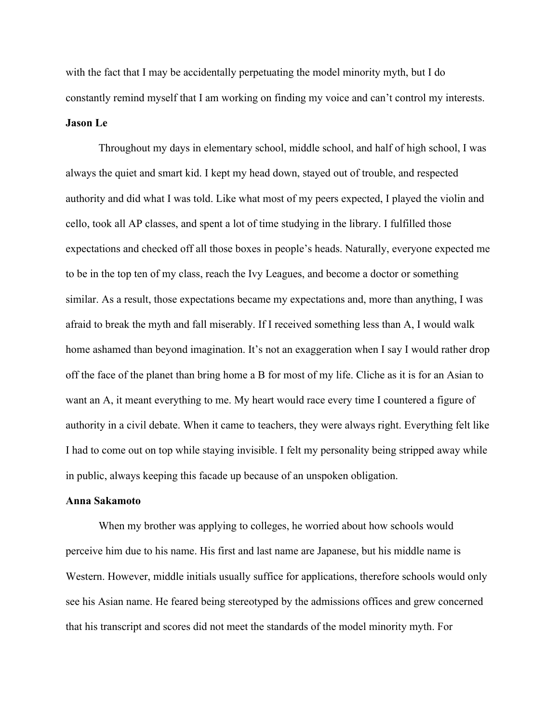with the fact that I may be accidentally perpetuating the model minority myth, but I do constantly remind myself that I am working on finding my voice and can't control my interests. **Jason Le**

Throughout my days in elementary school, middle school, and half of high school, I was always the quiet and smart kid. I kept my head down, stayed out of trouble, and respected authority and did what I was told. Like what most of my peers expected, I played the violin and cello, took all AP classes, and spent a lot of time studying in the library. I fulfilled those expectations and checked off all those boxes in people's heads. Naturally, everyone expected me to be in the top ten of my class, reach the Ivy Leagues, and become a doctor or something similar. As a result, those expectations became my expectations and, more than anything, I was afraid to break the myth and fall miserably. If I received something less than A, I would walk home ashamed than beyond imagination. It's not an exaggeration when I say I would rather drop off the face of the planet than bring home a B for most of my life. Cliche as it is for an Asian to want an A, it meant everything to me. My heart would race every time I countered a figure of authority in a civil debate. When it came to teachers, they were always right. Everything felt like I had to come out on top while staying invisible. I felt my personality being stripped away while in public, always keeping this facade up because of an unspoken obligation.

## **Anna Sakamoto**

When my brother was applying to colleges, he worried about how schools would perceive him due to his name. His first and last name are Japanese, but his middle name is Western. However, middle initials usually suffice for applications, therefore schools would only see his Asian name. He feared being stereotyped by the admissions offices and grew concerned that his transcript and scores did not meet the standards of the model minority myth. For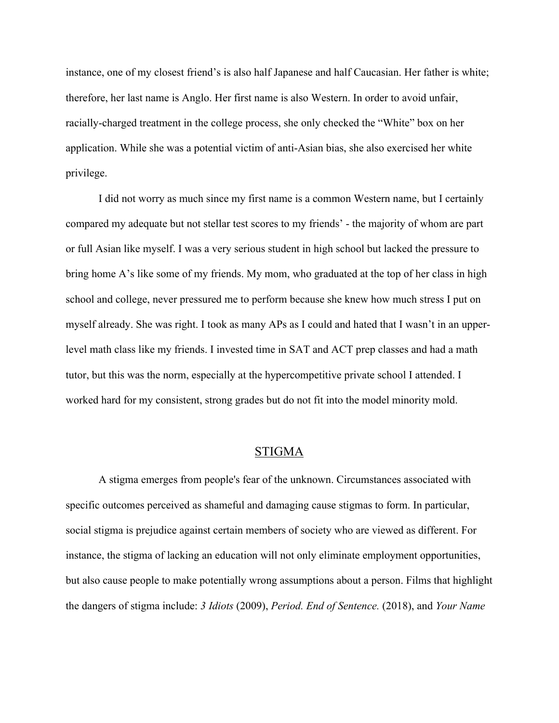instance, one of my closest friend's is also half Japanese and half Caucasian. Her father is white; therefore, her last name is Anglo. Her first name is also Western. In order to avoid unfair, racially-charged treatment in the college process, she only checked the "White" box on her application. While she was a potential victim of anti-Asian bias, she also exercised her white privilege.

I did not worry as much since my first name is a common Western name, but I certainly compared my adequate but not stellar test scores to my friends' - the majority of whom are part or full Asian like myself. I was a very serious student in high school but lacked the pressure to bring home A's like some of my friends. My mom, who graduated at the top of her class in high school and college, never pressured me to perform because she knew how much stress I put on myself already. She was right. I took as many APs as I could and hated that I wasn't in an upperlevel math class like my friends. I invested time in SAT and ACT prep classes and had a math tutor, but this was the norm, especially at the hypercompetitive private school I attended. I worked hard for my consistent, strong grades but do not fit into the model minority mold.

# STIGMA

A stigma emerges from people's fear of the unknown. Circumstances associated with specific outcomes perceived as shameful and damaging cause stigmas to form. In particular, social stigma is prejudice against certain members of society who are viewed as different. For instance, the stigma of lacking an education will not only eliminate employment opportunities, but also cause people to make potentially wrong assumptions about a person. Films that highlight the dangers of stigma include: *3 Idiots* (2009), *Period. End of Sentence.* (2018), and *Your Name*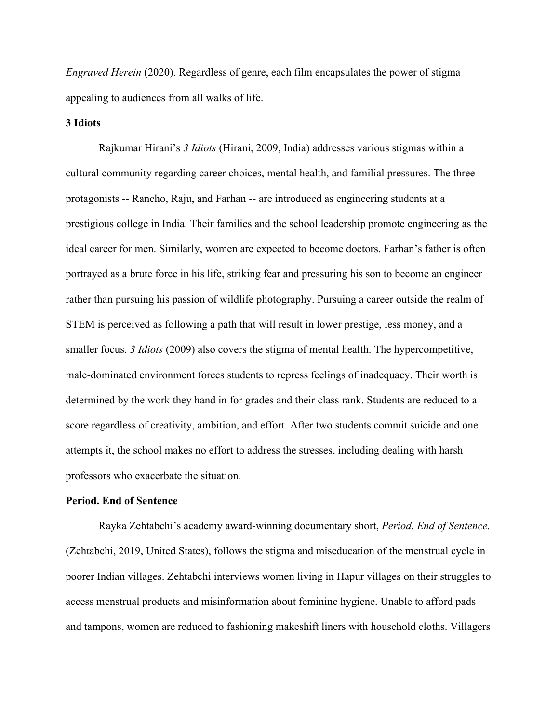*Engraved Herein* (2020). Regardless of genre, each film encapsulates the power of stigma appealing to audiences from all walks of life.

### **3 Idiots**

Rajkumar Hirani's *3 Idiots* (Hirani, 2009, India) addresses various stigmas within a cultural community regarding career choices, mental health, and familial pressures. The three protagonists -- Rancho, Raju, and Farhan -- are introduced as engineering students at a prestigious college in India. Their families and the school leadership promote engineering as the ideal career for men. Similarly, women are expected to become doctors. Farhan's father is often portrayed as a brute force in his life, striking fear and pressuring his son to become an engineer rather than pursuing his passion of wildlife photography. Pursuing a career outside the realm of STEM is perceived as following a path that will result in lower prestige, less money, and a smaller focus. *3 Idiots* (2009) also covers the stigma of mental health. The hypercompetitive, male-dominated environment forces students to repress feelings of inadequacy. Their worth is determined by the work they hand in for grades and their class rank. Students are reduced to a score regardless of creativity, ambition, and effort. After two students commit suicide and one attempts it, the school makes no effort to address the stresses, including dealing with harsh professors who exacerbate the situation.

## **Period. End of Sentence**

Rayka Zehtabchi's academy award-winning documentary short, *Period. End of Sentence.* (Zehtabchi, 2019, United States), follows the stigma and miseducation of the menstrual cycle in poorer Indian villages. Zehtabchi interviews women living in Hapur villages on their struggles to access menstrual products and misinformation about feminine hygiene. Unable to afford pads and tampons, women are reduced to fashioning makeshift liners with household cloths. Villagers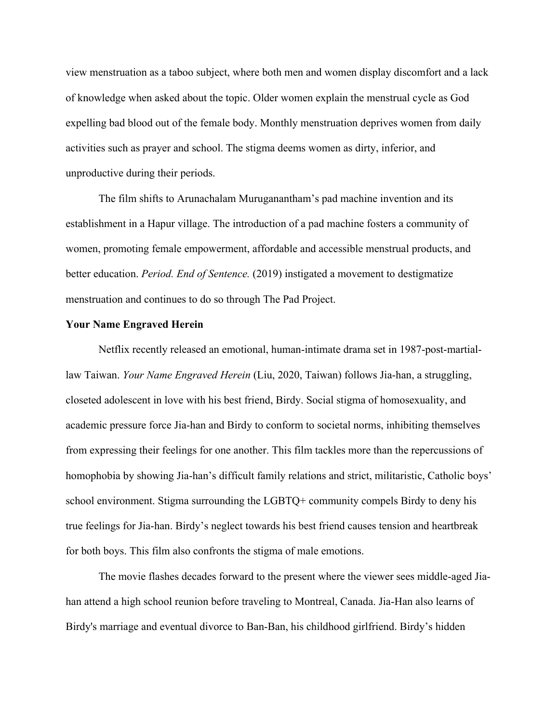view menstruation as a taboo subject, where both men and women display discomfort and a lack of knowledge when asked about the topic. Older women explain the menstrual cycle as God expelling bad blood out of the female body. Monthly menstruation deprives women from daily activities such as prayer and school. The stigma deems women as dirty, inferior, and unproductive during their periods.

The film shifts to Arunachalam Muruganantham's pad machine invention and its establishment in a Hapur village. The introduction of a pad machine fosters a community of women, promoting female empowerment, affordable and accessible menstrual products, and better education. *Period. End of Sentence.* (2019) instigated a movement to destigmatize menstruation and continues to do so through The Pad Project.

#### **Your Name Engraved Herein**

Netflix recently released an emotional, human-intimate drama set in 1987-post-martiallaw Taiwan. *Your Name Engraved Herein* (Liu, 2020, Taiwan) follows Jia-han, a struggling, closeted adolescent in love with his best friend, Birdy. Social stigma of homosexuality, and academic pressure force Jia-han and Birdy to conform to societal norms, inhibiting themselves from expressing their feelings for one another. This film tackles more than the repercussions of homophobia by showing Jia-han's difficult family relations and strict, militaristic, Catholic boys' school environment. Stigma surrounding the LGBTQ+ community compels Birdy to deny his true feelings for Jia-han. Birdy's neglect towards his best friend causes tension and heartbreak for both boys. This film also confronts the stigma of male emotions.

The movie flashes decades forward to the present where the viewer sees middle-aged Jiahan attend a high school reunion before traveling to Montreal, Canada. Jia-Han also learns of Birdy's marriage and eventual divorce to Ban-Ban, his childhood girlfriend. Birdy's hidden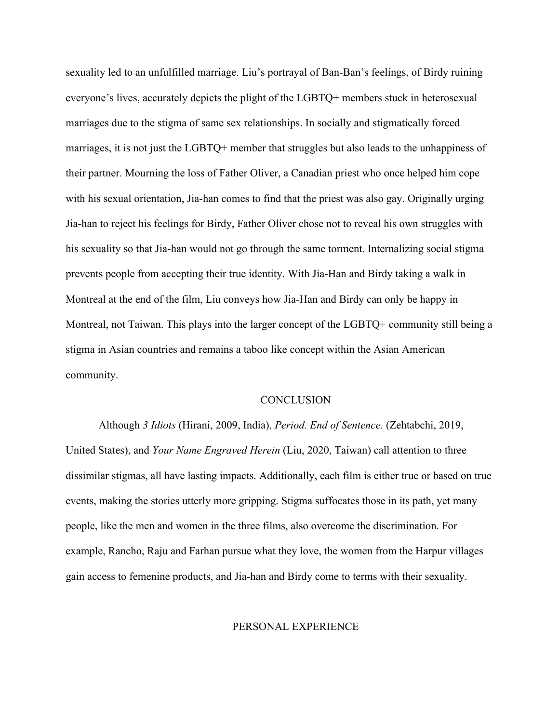sexuality led to an unfulfilled marriage. Liu's portrayal of Ban-Ban's feelings, of Birdy ruining everyone's lives, accurately depicts the plight of the LGBTQ+ members stuck in heterosexual marriages due to the stigma of same sex relationships. In socially and stigmatically forced marriages, it is not just the LGBTQ+ member that struggles but also leads to the unhappiness of their partner. Mourning the loss of Father Oliver, a Canadian priest who once helped him cope with his sexual orientation, Jia-han comes to find that the priest was also gay. Originally urging Jia-han to reject his feelings for Birdy, Father Oliver chose not to reveal his own struggles with his sexuality so that Jia-han would not go through the same torment. Internalizing social stigma prevents people from accepting their true identity. With Jia-Han and Birdy taking a walk in Montreal at the end of the film, Liu conveys how Jia-Han and Birdy can only be happy in Montreal, not Taiwan. This plays into the larger concept of the LGBTQ+ community still being a stigma in Asian countries and remains a taboo like concept within the Asian American community.

#### **CONCLUSION**

Although *3 Idiots* (Hirani, 2009, India), *Period. End of Sentence.* (Zehtabchi, 2019, United States), and *Your Name Engraved Herein* (Liu, 2020, Taiwan) call attention to three dissimilar stigmas, all have lasting impacts. Additionally, each film is either true or based on true events, making the stories utterly more gripping. Stigma suffocates those in its path, yet many people, like the men and women in the three films, also overcome the discrimination. For example, Rancho, Raju and Farhan pursue what they love, the women from the Harpur villages gain access to femenine products, and Jia-han and Birdy come to terms with their sexuality.

## PERSONAL EXPERIENCE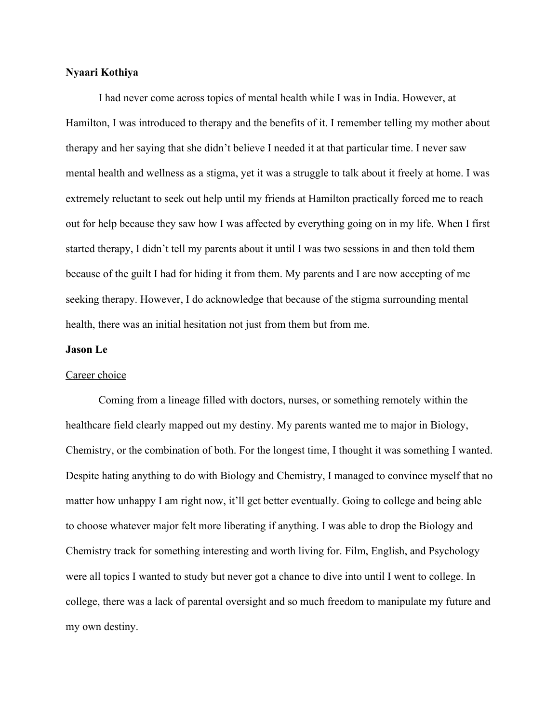## **Nyaari Kothiya**

I had never come across topics of mental health while I was in India. However, at Hamilton, I was introduced to therapy and the benefits of it. I remember telling my mother about therapy and her saying that she didn't believe I needed it at that particular time. I never saw mental health and wellness as a stigma, yet it was a struggle to talk about it freely at home. I was extremely reluctant to seek out help until my friends at Hamilton practically forced me to reach out for help because they saw how I was affected by everything going on in my life. When I first started therapy, I didn't tell my parents about it until I was two sessions in and then told them because of the guilt I had for hiding it from them. My parents and I are now accepting of me seeking therapy. However, I do acknowledge that because of the stigma surrounding mental health, there was an initial hesitation not just from them but from me.

### **Jason Le**

#### Career choice

Coming from a lineage filled with doctors, nurses, or something remotely within the healthcare field clearly mapped out my destiny. My parents wanted me to major in Biology, Chemistry, or the combination of both. For the longest time, I thought it was something I wanted. Despite hating anything to do with Biology and Chemistry, I managed to convince myself that no matter how unhappy I am right now, it'll get better eventually. Going to college and being able to choose whatever major felt more liberating if anything. I was able to drop the Biology and Chemistry track for something interesting and worth living for. Film, English, and Psychology were all topics I wanted to study but never got a chance to dive into until I went to college. In college, there was a lack of parental oversight and so much freedom to manipulate my future and my own destiny.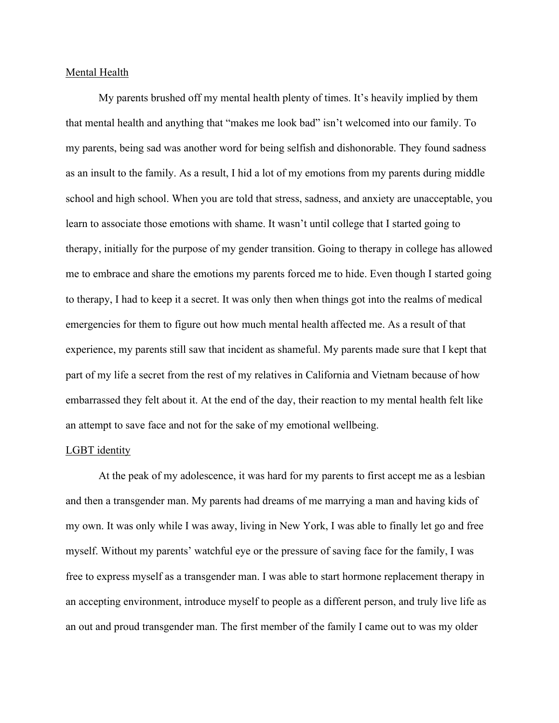## Mental Health

My parents brushed off my mental health plenty of times. It's heavily implied by them that mental health and anything that "makes me look bad" isn't welcomed into our family. To my parents, being sad was another word for being selfish and dishonorable. They found sadness as an insult to the family. As a result, I hid a lot of my emotions from my parents during middle school and high school. When you are told that stress, sadness, and anxiety are unacceptable, you learn to associate those emotions with shame. It wasn't until college that I started going to therapy, initially for the purpose of my gender transition. Going to therapy in college has allowed me to embrace and share the emotions my parents forced me to hide. Even though I started going to therapy, I had to keep it a secret. It was only then when things got into the realms of medical emergencies for them to figure out how much mental health affected me. As a result of that experience, my parents still saw that incident as shameful. My parents made sure that I kept that part of my life a secret from the rest of my relatives in California and Vietnam because of how embarrassed they felt about it. At the end of the day, their reaction to my mental health felt like an attempt to save face and not for the sake of my emotional wellbeing.

# LGBT identity

At the peak of my adolescence, it was hard for my parents to first accept me as a lesbian and then a transgender man. My parents had dreams of me marrying a man and having kids of my own. It was only while I was away, living in New York, I was able to finally let go and free myself. Without my parents' watchful eye or the pressure of saving face for the family, I was free to express myself as a transgender man. I was able to start hormone replacement therapy in an accepting environment, introduce myself to people as a different person, and truly live life as an out and proud transgender man. The first member of the family I came out to was my older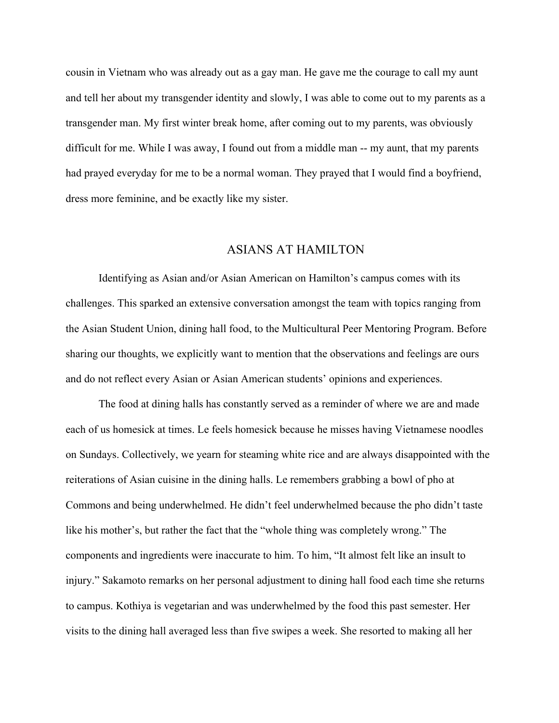cousin in Vietnam who was already out as a gay man. He gave me the courage to call my aunt and tell her about my transgender identity and slowly, I was able to come out to my parents as a transgender man. My first winter break home, after coming out to my parents, was obviously difficult for me. While I was away, I found out from a middle man -- my aunt, that my parents had prayed everyday for me to be a normal woman. They prayed that I would find a boyfriend, dress more feminine, and be exactly like my sister.

# ASIANS AT HAMILTON

Identifying as Asian and/or Asian American on Hamilton's campus comes with its challenges. This sparked an extensive conversation amongst the team with topics ranging from the Asian Student Union, dining hall food, to the Multicultural Peer Mentoring Program. Before sharing our thoughts, we explicitly want to mention that the observations and feelings are ours and do not reflect every Asian or Asian American students' opinions and experiences.

The food at dining halls has constantly served as a reminder of where we are and made each of us homesick at times. Le feels homesick because he misses having Vietnamese noodles on Sundays. Collectively, we yearn for steaming white rice and are always disappointed with the reiterations of Asian cuisine in the dining halls. Le remembers grabbing a bowl of pho at Commons and being underwhelmed. He didn't feel underwhelmed because the pho didn't taste like his mother's, but rather the fact that the "whole thing was completely wrong." The components and ingredients were inaccurate to him. To him, "It almost felt like an insult to injury." Sakamoto remarks on her personal adjustment to dining hall food each time she returns to campus. Kothiya is vegetarian and was underwhelmed by the food this past semester. Her visits to the dining hall averaged less than five swipes a week. She resorted to making all her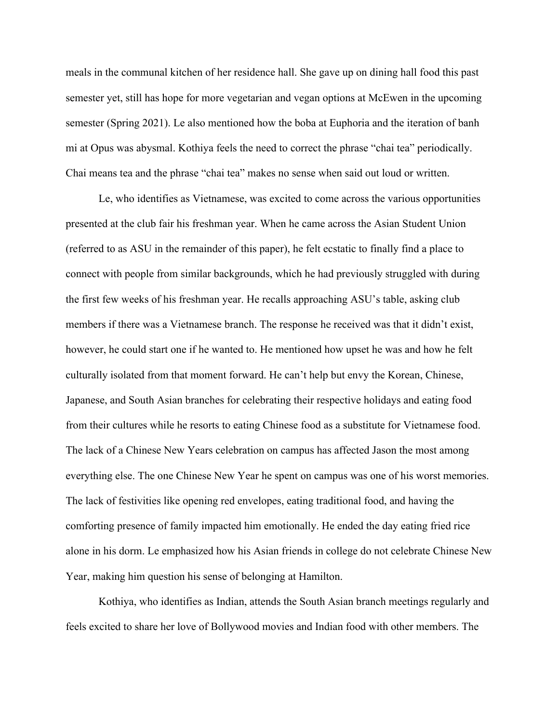meals in the communal kitchen of her residence hall. She gave up on dining hall food this past semester yet, still has hope for more vegetarian and vegan options at McEwen in the upcoming semester (Spring 2021). Le also mentioned how the boba at Euphoria and the iteration of banh mi at Opus was abysmal. Kothiya feels the need to correct the phrase "chai tea" periodically. Chai means tea and the phrase "chai tea" makes no sense when said out loud or written.

Le, who identifies as Vietnamese, was excited to come across the various opportunities presented at the club fair his freshman year. When he came across the Asian Student Union (referred to as ASU in the remainder of this paper), he felt ecstatic to finally find a place to connect with people from similar backgrounds, which he had previously struggled with during the first few weeks of his freshman year. He recalls approaching ASU's table, asking club members if there was a Vietnamese branch. The response he received was that it didn't exist, however, he could start one if he wanted to. He mentioned how upset he was and how he felt culturally isolated from that moment forward. He can't help but envy the Korean, Chinese, Japanese, and South Asian branches for celebrating their respective holidays and eating food from their cultures while he resorts to eating Chinese food as a substitute for Vietnamese food. The lack of a Chinese New Years celebration on campus has affected Jason the most among everything else. The one Chinese New Year he spent on campus was one of his worst memories. The lack of festivities like opening red envelopes, eating traditional food, and having the comforting presence of family impacted him emotionally. He ended the day eating fried rice alone in his dorm. Le emphasized how his Asian friends in college do not celebrate Chinese New Year, making him question his sense of belonging at Hamilton.

Kothiya, who identifies as Indian, attends the South Asian branch meetings regularly and feels excited to share her love of Bollywood movies and Indian food with other members. The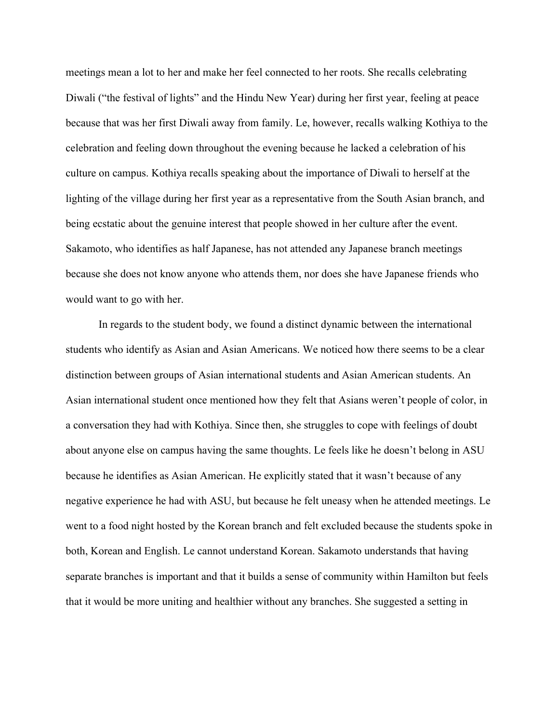meetings mean a lot to her and make her feel connected to her roots. She recalls celebrating Diwali ("the festival of lights" and the Hindu New Year) during her first year, feeling at peace because that was her first Diwali away from family. Le, however, recalls walking Kothiya to the celebration and feeling down throughout the evening because he lacked a celebration of his culture on campus. Kothiya recalls speaking about the importance of Diwali to herself at the lighting of the village during her first year as a representative from the South Asian branch, and being ecstatic about the genuine interest that people showed in her culture after the event. Sakamoto, who identifies as half Japanese, has not attended any Japanese branch meetings because she does not know anyone who attends them, nor does she have Japanese friends who would want to go with her.

In regards to the student body, we found a distinct dynamic between the international students who identify as Asian and Asian Americans. We noticed how there seems to be a clear distinction between groups of Asian international students and Asian American students. An Asian international student once mentioned how they felt that Asians weren't people of color, in a conversation they had with Kothiya. Since then, she struggles to cope with feelings of doubt about anyone else on campus having the same thoughts. Le feels like he doesn't belong in ASU because he identifies as Asian American. He explicitly stated that it wasn't because of any negative experience he had with ASU, but because he felt uneasy when he attended meetings. Le went to a food night hosted by the Korean branch and felt excluded because the students spoke in both, Korean and English. Le cannot understand Korean. Sakamoto understands that having separate branches is important and that it builds a sense of community within Hamilton but feels that it would be more uniting and healthier without any branches. She suggested a setting in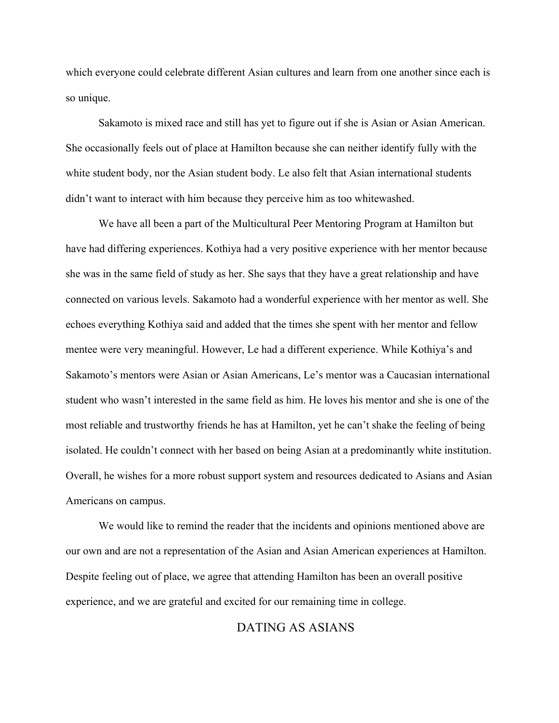which everyone could celebrate different Asian cultures and learn from one another since each is so unique.

Sakamoto is mixed race and still has yet to figure out if she is Asian or Asian American. She occasionally feels out of place at Hamilton because she can neither identify fully with the white student body, nor the Asian student body. Le also felt that Asian international students didn't want to interact with him because they perceive him as too whitewashed.

We have all been a part of the Multicultural Peer Mentoring Program at Hamilton but have had differing experiences. Kothiya had a very positive experience with her mentor because she was in the same field of study as her. She says that they have a great relationship and have connected on various levels. Sakamoto had a wonderful experience with her mentor as well. She echoes everything Kothiya said and added that the times she spent with her mentor and fellow mentee were very meaningful. However, Le had a different experience. While Kothiya's and Sakamoto's mentors were Asian or Asian Americans, Le's mentor was a Caucasian international student who wasn't interested in the same field as him. He loves his mentor and she is one of the most reliable and trustworthy friends he has at Hamilton, yet he can't shake the feeling of being isolated. He couldn't connect with her based on being Asian at a predominantly white institution. Overall, he wishes for a more robust support system and resources dedicated to Asians and Asian Americans on campus.

We would like to remind the reader that the incidents and opinions mentioned above are our own and are not a representation of the Asian and Asian American experiences at Hamilton. Despite feeling out of place, we agree that attending Hamilton has been an overall positive experience, and we are grateful and excited for our remaining time in college.

# DATING AS ASIANS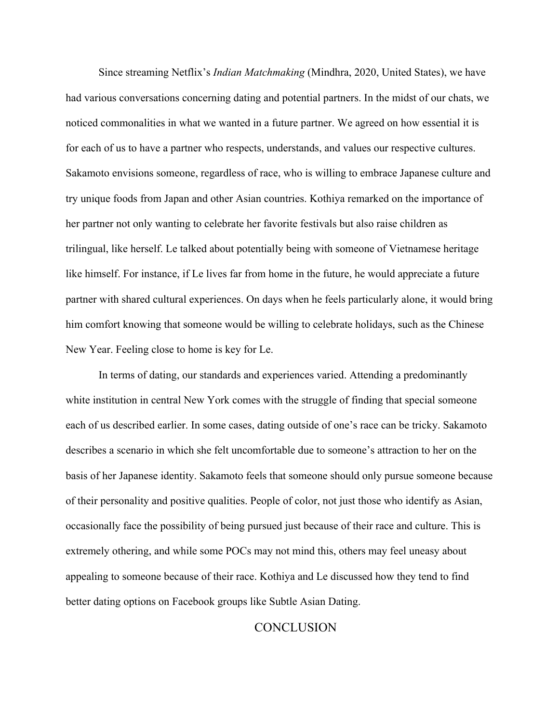Since streaming Netflix's *Indian Matchmaking* (Mindhra, 2020, United States), we have had various conversations concerning dating and potential partners. In the midst of our chats, we noticed commonalities in what we wanted in a future partner. We agreed on how essential it is for each of us to have a partner who respects, understands, and values our respective cultures. Sakamoto envisions someone, regardless of race, who is willing to embrace Japanese culture and try unique foods from Japan and other Asian countries. Kothiya remarked on the importance of her partner not only wanting to celebrate her favorite festivals but also raise children as trilingual, like herself. Le talked about potentially being with someone of Vietnamese heritage like himself. For instance, if Le lives far from home in the future, he would appreciate a future partner with shared cultural experiences. On days when he feels particularly alone, it would bring him comfort knowing that someone would be willing to celebrate holidays, such as the Chinese New Year. Feeling close to home is key for Le.

In terms of dating, our standards and experiences varied. Attending a predominantly white institution in central New York comes with the struggle of finding that special someone each of us described earlier. In some cases, dating outside of one's race can be tricky. Sakamoto describes a scenario in which she felt uncomfortable due to someone's attraction to her on the basis of her Japanese identity. Sakamoto feels that someone should only pursue someone because of their personality and positive qualities. People of color, not just those who identify as Asian, occasionally face the possibility of being pursued just because of their race and culture. This is extremely othering, and while some POCs may not mind this, others may feel uneasy about appealing to someone because of their race. Kothiya and Le discussed how they tend to find better dating options on Facebook groups like Subtle Asian Dating.

# **CONCLUSION**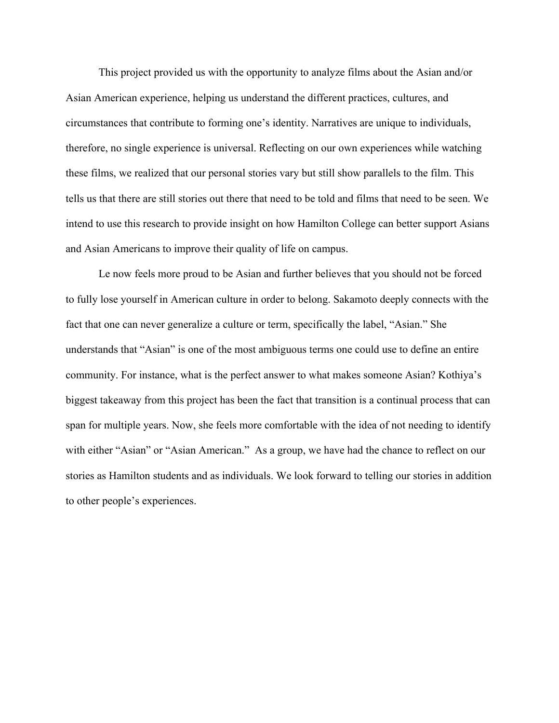This project provided us with the opportunity to analyze films about the Asian and/or Asian American experience, helping us understand the different practices, cultures, and circumstances that contribute to forming one's identity. Narratives are unique to individuals, therefore, no single experience is universal. Reflecting on our own experiences while watching these films, we realized that our personal stories vary but still show parallels to the film. This tells us that there are still stories out there that need to be told and films that need to be seen. We intend to use this research to provide insight on how Hamilton College can better support Asians and Asian Americans to improve their quality of life on campus.

Le now feels more proud to be Asian and further believes that you should not be forced to fully lose yourself in American culture in order to belong. Sakamoto deeply connects with the fact that one can never generalize a culture or term, specifically the label, "Asian." She understands that "Asian" is one of the most ambiguous terms one could use to define an entire community. For instance, what is the perfect answer to what makes someone Asian? Kothiya's biggest takeaway from this project has been the fact that transition is a continual process that can span for multiple years. Now, she feels more comfortable with the idea of not needing to identify with either "Asian" or "Asian American." As a group, we have had the chance to reflect on our stories as Hamilton students and as individuals. We look forward to telling our stories in addition to other people's experiences.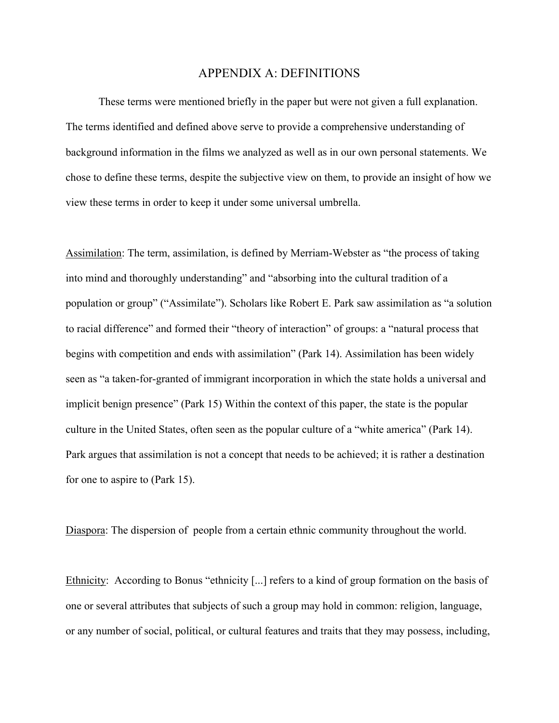## APPENDIX A: DEFINITIONS

These terms were mentioned briefly in the paper but were not given a full explanation. The terms identified and defined above serve to provide a comprehensive understanding of background information in the films we analyzed as well as in our own personal statements. We chose to define these terms, despite the subjective view on them, to provide an insight of how we view these terms in order to keep it under some universal umbrella.

Assimilation: The term, assimilation, is defined by Merriam-Webster as "the process of taking into mind and thoroughly understanding" and "absorbing into the cultural tradition of a population or group" ("Assimilate"). Scholars like Robert E. Park saw assimilation as "a solution to racial difference" and formed their "theory of interaction" of groups: a "natural process that begins with competition and ends with assimilation" (Park 14). Assimilation has been widely seen as "a taken-for-granted of immigrant incorporation in which the state holds a universal and implicit benign presence" (Park 15) Within the context of this paper, the state is the popular culture in the United States, often seen as the popular culture of a "white america" (Park 14). Park argues that assimilation is not a concept that needs to be achieved; it is rather a destination for one to aspire to (Park 15).

Diaspora: The dispersion of people from a certain ethnic community throughout the world.

Ethnicity: According to Bonus "ethnicity [...] refers to a kind of group formation on the basis of one or several attributes that subjects of such a group may hold in common: religion, language, or any number of social, political, or cultural features and traits that they may possess, including,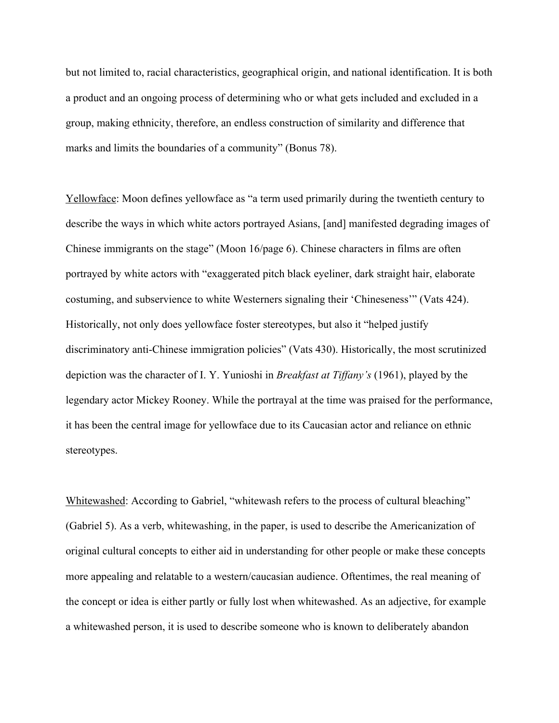but not limited to, racial characteristics, geographical origin, and national identification. It is both a product and an ongoing process of determining who or what gets included and excluded in a group, making ethnicity, therefore, an endless construction of similarity and difference that marks and limits the boundaries of a community" (Bonus 78).

Yellowface: Moon defines yellowface as "a term used primarily during the twentieth century to describe the ways in which white actors portrayed Asians, [and] manifested degrading images of Chinese immigrants on the stage" (Moon 16/page 6). Chinese characters in films are often portrayed by white actors with "exaggerated pitch black eyeliner, dark straight hair, elaborate costuming, and subservience to white Westerners signaling their 'Chineseness'" (Vats 424). Historically, not only does yellowface foster stereotypes, but also it "helped justify discriminatory anti-Chinese immigration policies" (Vats 430). Historically, the most scrutinized depiction was the character of I. Y. Yunioshi in *Breakfast at Tiffany's* (1961), played by the legendary actor Mickey Rooney. While the portrayal at the time was praised for the performance, it has been the central image for yellowface due to its Caucasian actor and reliance on ethnic stereotypes.

Whitewashed: According to Gabriel, "whitewash refers to the process of cultural bleaching" (Gabriel 5). As a verb, whitewashing, in the paper, is used to describe the Americanization of original cultural concepts to either aid in understanding for other people or make these concepts more appealing and relatable to a western/caucasian audience. Oftentimes, the real meaning of the concept or idea is either partly or fully lost when whitewashed. As an adjective, for example a whitewashed person, it is used to describe someone who is known to deliberately abandon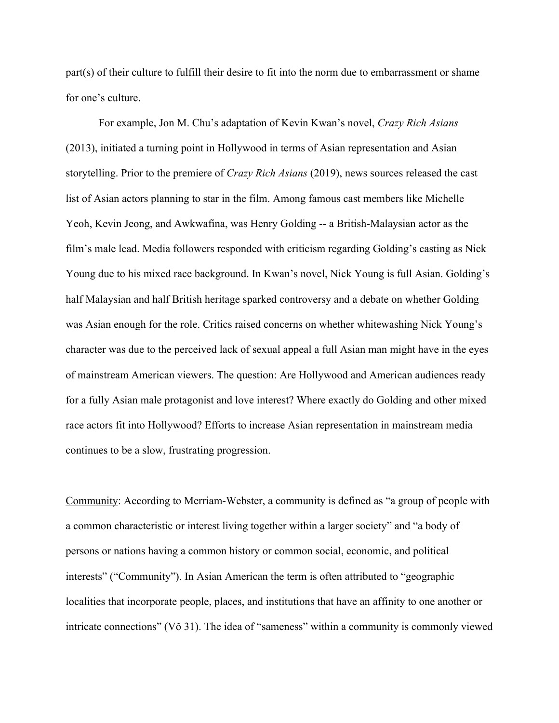part(s) of their culture to fulfill their desire to fit into the norm due to embarrassment or shame for one's culture.

For example, Jon M. Chu's adaptation of Kevin Kwan's novel, *Crazy Rich Asians*  (2013), initiated a turning point in Hollywood in terms of Asian representation and Asian storytelling. Prior to the premiere of *Crazy Rich Asians* (2019), news sources released the cast list of Asian actors planning to star in the film. Among famous cast members like Michelle Yeoh, Kevin Jeong, and Awkwafina, was Henry Golding -- a British-Malaysian actor as the film's male lead. Media followers responded with criticism regarding Golding's casting as Nick Young due to his mixed race background. In Kwan's novel, Nick Young is full Asian. Golding's half Malaysian and half British heritage sparked controversy and a debate on whether Golding was Asian enough for the role. Critics raised concerns on whether whitewashing Nick Young's character was due to the perceived lack of sexual appeal a full Asian man might have in the eyes of mainstream American viewers. The question: Are Hollywood and American audiences ready for a fully Asian male protagonist and love interest? Where exactly do Golding and other mixed race actors fit into Hollywood? Efforts to increase Asian representation in mainstream media continues to be a slow, frustrating progression.

Community: According to Merriam-Webster, a community is defined as "a group of people with a common characteristic or interest living together within a larger society" and "a body of persons or nations having a common history or common social, economic, and political interests" ("Community"). In Asian American the term is often attributed to "geographic localities that incorporate people, places, and institutions that have an affinity to one another or intricate connections" (Võ 31). The idea of "sameness" within a community is commonly viewed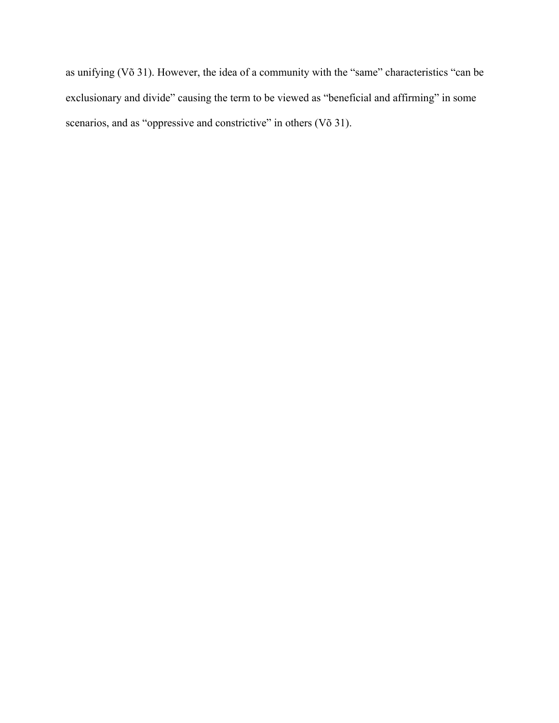as unifying (Võ 31). However, the idea of a community with the "same" characteristics "can be exclusionary and divide" causing the term to be viewed as "beneficial and affirming" in some scenarios, and as "oppressive and constrictive" in others (Võ 31).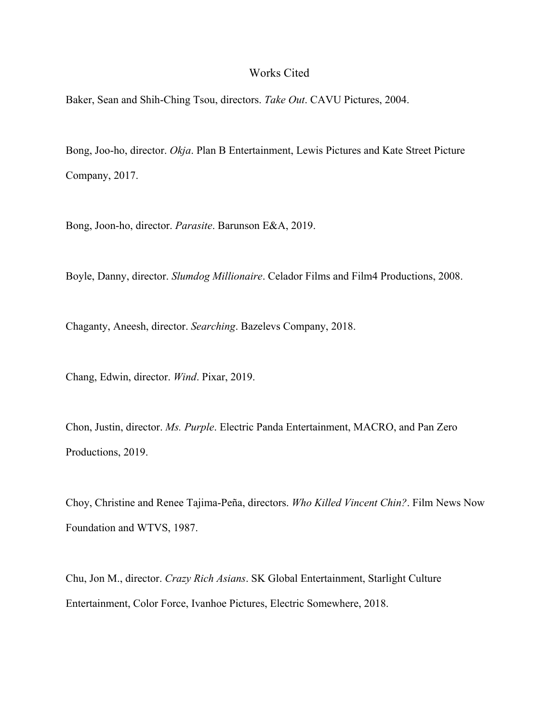## Works Cited

Baker, Sean and Shih-Ching Tsou, directors. *Take Out*. CAVU Pictures, 2004.

Bong, Joo-ho, director. *Okja*. Plan B Entertainment, Lewis Pictures and Kate Street Picture Company, 2017.

Bong, Joon-ho, director. *Parasite*. Barunson E&A, 2019.

Boyle, Danny, director. *Slumdog Millionaire*. Celador Films and Film4 Productions, 2008.

Chaganty, Aneesh, director. *Searching*. Bazelevs Company, 2018.

Chang, Edwin, director. *Wind*. Pixar, 2019.

Chon, Justin, director. *Ms. Purple*. Electric Panda Entertainment, MACRO, and Pan Zero Productions, 2019.

Choy, Christine and Renee Tajima-Peña, directors. *Who Killed Vincent Chin?*. Film News Now Foundation and WTVS, 1987.

Chu, Jon M., director. *Crazy Rich Asians*. SK Global Entertainment, Starlight Culture Entertainment, Color Force, Ivanhoe Pictures, Electric Somewhere, 2018.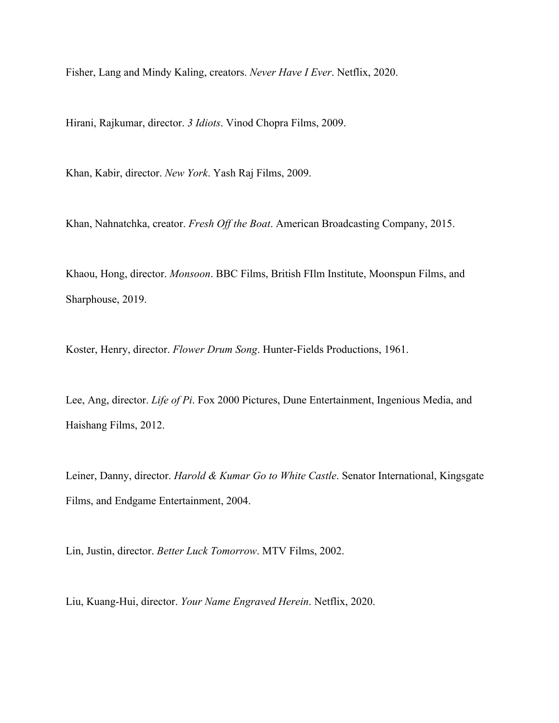Fisher, Lang and Mindy Kaling, creators. *Never Have I Ever*. Netflix, 2020.

Hirani, Rajkumar, director. *3 Idiots*. Vinod Chopra Films, 2009.

Khan, Kabir, director. *New York*. Yash Raj Films, 2009.

Khan, Nahnatchka, creator. *Fresh Off the Boat*. American Broadcasting Company, 2015.

Khaou, Hong, director. *Monsoon*. BBC Films, British FIlm Institute, Moonspun Films, and Sharphouse, 2019.

Koster, Henry, director. *Flower Drum Song*. Hunter-Fields Productions, 1961.

Lee, Ang, director. *Life of Pi*. Fox 2000 Pictures, Dune Entertainment, Ingenious Media, and Haishang Films, 2012.

Leiner, Danny, director. *Harold & Kumar Go to White Castle*. Senator International, Kingsgate Films, and Endgame Entertainment, 2004.

Lin, Justin, director. *Better Luck Tomorrow*. MTV Films, 2002.

Liu, Kuang-Hui, director. *Your Name Engraved Herein*. Netflix, 2020.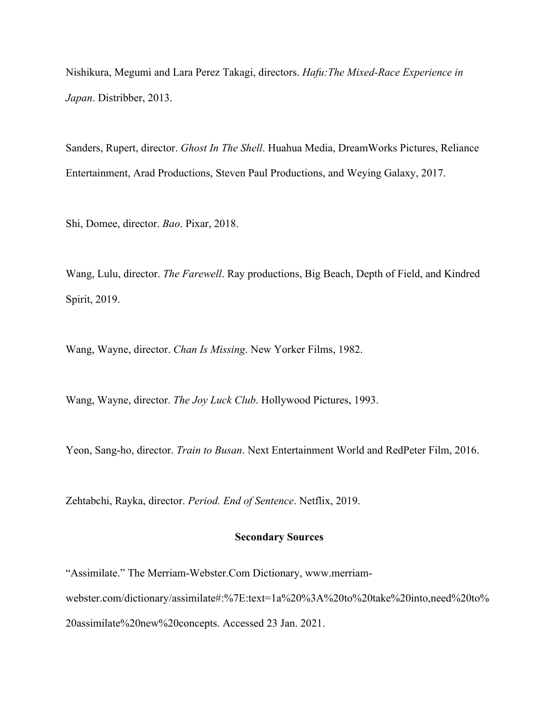Nishikura, Megumi and Lara Perez Takagi, directors. *Hafu:The Mixed-Race Experience in Japan*. Distribber, 2013.

Sanders, Rupert, director. *Ghost In The Shell*. Huahua Media, DreamWorks Pictures, Reliance Entertainment, Arad Productions, Steven Paul Productions, and Weying Galaxy, 2017.

Shi, Domee, director. *Bao*. Pixar, 2018.

Wang, Lulu, director. *The Farewell*. Ray productions, Big Beach, Depth of Field, and Kindred Spirit, 2019.

Wang, Wayne, director. *Chan Is Missing*. New Yorker Films, 1982.

Wang, Wayne, director. *The Joy Luck Club*. Hollywood Pictures, 1993.

Yeon, Sang-ho, director. *Train to Busan*. Next Entertainment World and RedPeter Film, 2016.

Zehtabchi, Rayka, director. *Period. End of Sentence*. Netflix, 2019.

# **Secondary Sources**

"Assimilate." The Merriam-Webster.Com Dictionary, www.merriamwebster.com/dictionary/assimilate#:%7E:text=1a%20%3A%20to%20take%20into,need%20to% 20assimilate%20new%20concepts. Accessed 23 Jan. 2021.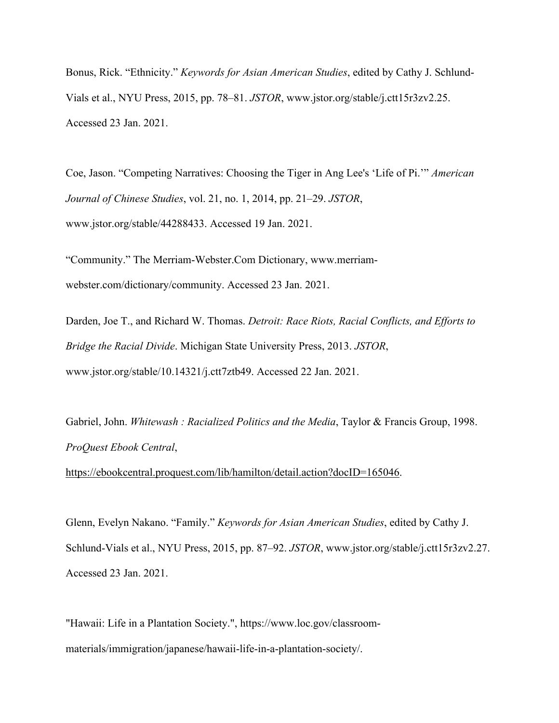Bonus, Rick. "Ethnicity." *Keywords for Asian American Studies*, edited by Cathy J. Schlund-Vials et al., NYU Press, 2015, pp. 78–81. *JSTOR*, www.jstor.org/stable/j.ctt15r3zv2.25. Accessed 23 Jan. 2021.

Coe, Jason. "Competing Narratives: Choosing the Tiger in Ang Lee's 'Life of Pi.'" *American Journal of Chinese Studies*, vol. 21, no. 1, 2014, pp. 21–29. *JSTOR*, www.jstor.org/stable/44288433. Accessed 19 Jan. 2021.

"Community." The Merriam-Webster.Com Dictionary, www.merriamwebster.com/dictionary/community. Accessed 23 Jan. 2021.

Darden, Joe T., and Richard W. Thomas. *Detroit: Race Riots, Racial Conflicts, and Efforts to Bridge the Racial Divide*. Michigan State University Press, 2013. *JSTOR*, www.jstor.org/stable/10.14321/j.ctt7ztb49. Accessed 22 Jan. 2021.

Gabriel, John. *Whitewash : Racialized Politics and the Media*, Taylor & Francis Group, 1998. *ProQuest Ebook Central*,

https://ebookcentral.proquest.com/lib/hamilton/detail.action?docID=165046.

Glenn, Evelyn Nakano. "Family." *Keywords for Asian American Studies*, edited by Cathy J. Schlund-Vials et al., NYU Press, 2015, pp. 87–92. *JSTOR*, www.jstor.org/stable/j.ctt15r3zv2.27. Accessed 23 Jan. 2021.

"Hawaii: Life in a Plantation Society.", https://www.loc.gov/classroommaterials/immigration/japanese/hawaii-life-in-a-plantation-society/.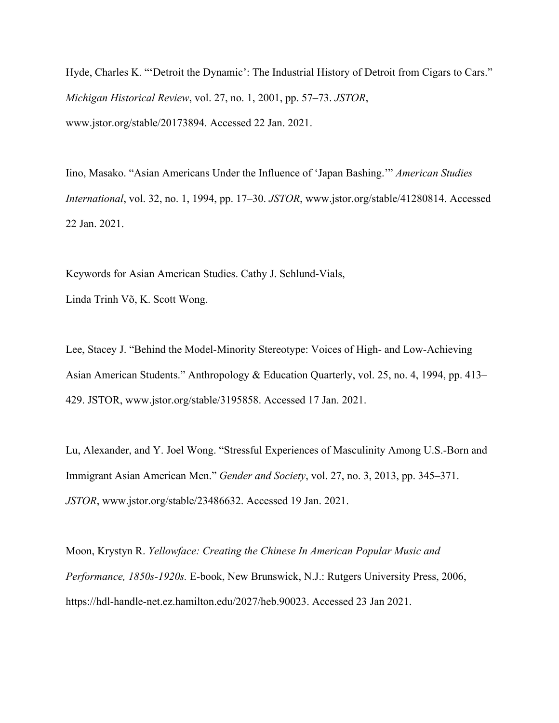Hyde, Charles K. "'Detroit the Dynamic': The Industrial History of Detroit from Cigars to Cars." *Michigan Historical Review*, vol. 27, no. 1, 2001, pp. 57–73. *JSTOR*, www.jstor.org/stable/20173894. Accessed 22 Jan. 2021.

Iino, Masako. "Asian Americans Under the Influence of 'Japan Bashing.'" *American Studies International*, vol. 32, no. 1, 1994, pp. 17–30. *JSTOR*, www.jstor.org/stable/41280814. Accessed 22 Jan. 2021.

Keywords for Asian American Studies. Cathy J. Schlund-Vials,

Linda Trinh Võ, K. Scott Wong.

Lee, Stacey J. "Behind the Model-Minority Stereotype: Voices of High- and Low-Achieving Asian American Students." Anthropology & Education Quarterly, vol. 25, no. 4, 1994, pp. 413– 429. JSTOR, www.jstor.org/stable/3195858. Accessed 17 Jan. 2021.

Lu, Alexander, and Y. Joel Wong. "Stressful Experiences of Masculinity Among U.S.-Born and Immigrant Asian American Men." *Gender and Society*, vol. 27, no. 3, 2013, pp. 345–371. *JSTOR*, www.jstor.org/stable/23486632. Accessed 19 Jan. 2021.

Moon, Krystyn R. *Yellowface: Creating the Chinese In American Popular Music and Performance, 1850s-1920s.* E-book, New Brunswick, N.J.: Rutgers University Press, 2006, https://hdl-handle-net.ez.hamilton.edu/2027/heb.90023. Accessed 23 Jan 2021.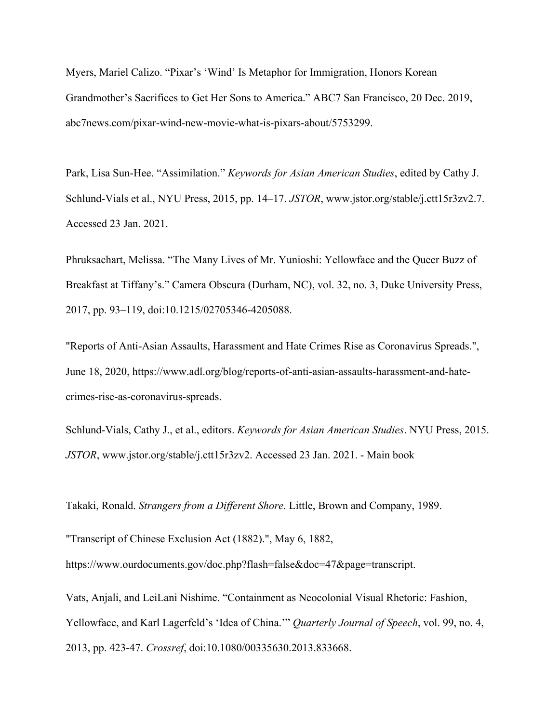Myers, Mariel Calizo. "Pixar's 'Wind' Is Metaphor for Immigration, Honors Korean Grandmother's Sacrifices to Get Her Sons to America." ABC7 San Francisco, 20 Dec. 2019, abc7news.com/pixar-wind-new-movie-what-is-pixars-about/5753299.

Park, Lisa Sun-Hee. "Assimilation." *Keywords for Asian American Studies*, edited by Cathy J. Schlund-Vials et al., NYU Press, 2015, pp. 14–17. *JSTOR*, www.jstor.org/stable/j.ctt15r3zv2.7. Accessed 23 Jan. 2021.

Phruksachart, Melissa. "The Many Lives of Mr. Yunioshi: Yellowface and the Queer Buzz of Breakfast at Tiffany's." Camera Obscura (Durham, NC), vol. 32, no. 3, Duke University Press, 2017, pp. 93–119, doi:10.1215/02705346-4205088.

"Reports of Anti-Asian Assaults, Harassment and Hate Crimes Rise as Coronavirus Spreads.", June 18, 2020, https://www.adl.org/blog/reports-of-anti-asian-assaults-harassment-and-hatecrimes-rise-as-coronavirus-spreads.

Schlund-Vials, Cathy J., et al., editors. *Keywords for Asian American Studies*. NYU Press, 2015. *JSTOR*, www.jstor.org/stable/j.ctt15r3zv2. Accessed 23 Jan. 2021. - Main book

Takaki, Ronald. *Strangers from a Different Shore.* Little, Brown and Company, 1989.

"Transcript of Chinese Exclusion Act (1882).", May 6, 1882,

https://www.ourdocuments.gov/doc.php?flash=false&doc=47&page=transcript.

Vats, Anjali, and LeiLani Nishime. "Containment as Neocolonial Visual Rhetoric: Fashion, Yellowface, and Karl Lagerfeld's 'Idea of China.'" *Quarterly Journal of Speech*, vol. 99, no. 4, 2013, pp. 423-47. *Crossref*, doi:10.1080/00335630.2013.833668.